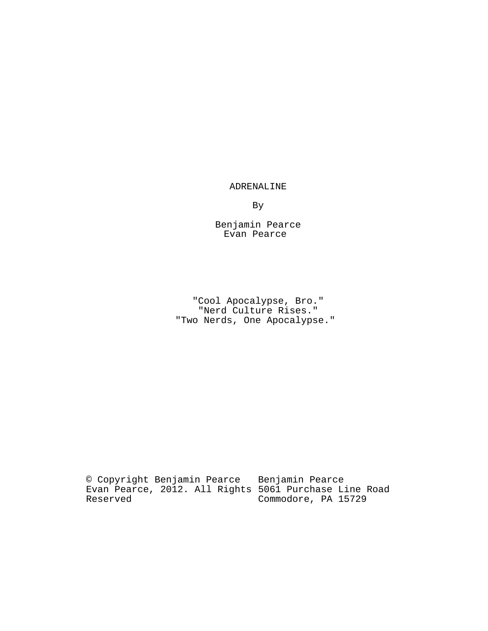# ADRENALINE

By

Benjamin Pearce Evan Pearce

"Cool Apocalypse, Bro." "Nerd Culture Rises." "Two Nerds, One Apocalypse."

© Copyright Benjamin Pearce Evan Pearce, 2012. All Rights Reserved Benjamin Pearce 5061 Purchase Line Road Commodore, PA 15729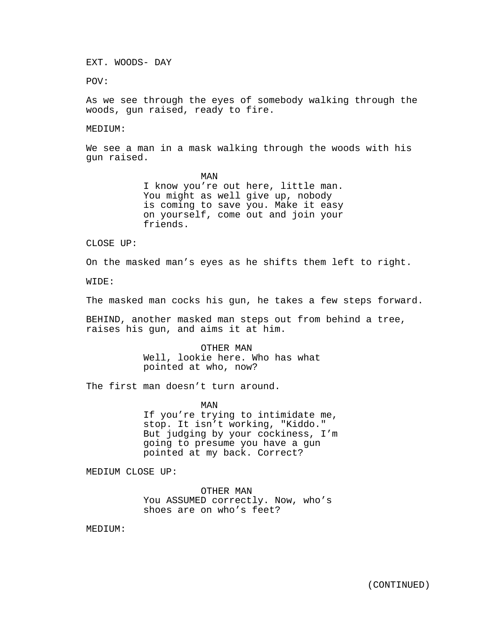EXT. WOODS- DAY

POV:

As we see through the eyes of somebody walking through the woods, gun raised, ready to fire.

### MEDIUM:

We see a man in a mask walking through the woods with his gun raised.

> MAN I know you're out here, little man. You might as well give up, nobody is coming to save you. Make it easy on yourself, come out and join your friends.

CLOSE UP:

On the masked man's eyes as he shifts them left to right.

WIDE:

The masked man cocks his gun, he takes a few steps forward.

BEHIND, another masked man steps out from behind a tree, raises his gun, and aims it at him.

> OTHER MAN Well, lookie here. Who has what pointed at who, now?

The first man doesn't turn around.

MAN

If you're trying to intimidate me, stop. It isn't working, "Kiddo." But judging by your cockiness, I'm going to presume you have a gun pointed at my back. Correct?

MEDIUM CLOSE UP:

OTHER MAN You ASSUMED correctly. Now, who's shoes are on who's feet?

MEDIUM: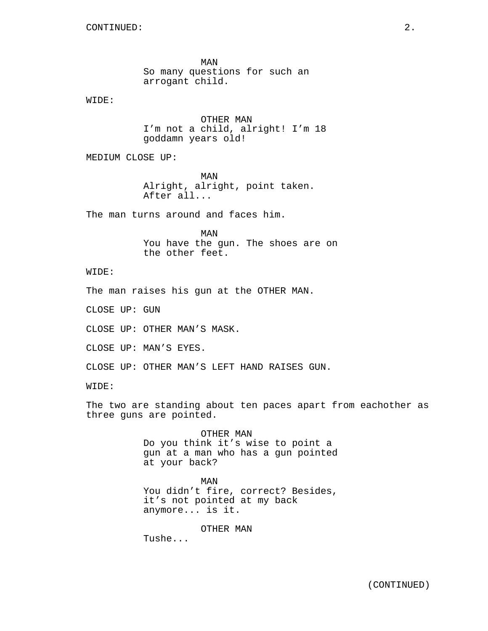MAN So many questions for such an arrogant child.

WIDE:

OTHER MAN I'm not a child, alright! I'm 18 goddamn years old!

MEDIUM CLOSE UP:

MAN Alright, alright, point taken. After all...

The man turns around and faces him.

MAN You have the gun. The shoes are on the other feet.

WIDE:

The man raises his gun at the OTHER MAN.

CLOSE UP: GUN

CLOSE UP: OTHER MAN'S MASK.

CLOSE UP: MAN'S EYES.

CLOSE UP: OTHER MAN'S LEFT HAND RAISES GUN.

WIDE:

The two are standing about ten paces apart from eachother as three guns are pointed.

> OTHER MAN Do you think it's wise to point a gun at a man who has a gun pointed at your back?

> MAN You didn't fire, correct? Besides, it's not pointed at my back anymore... is it.

> > OTHER MAN

Tushe...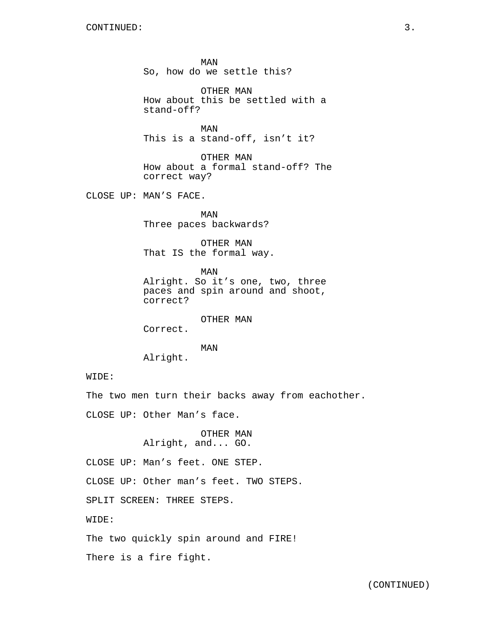MAN So, how do we settle this?

OTHER MAN How about this be settled with a stand-off?

MAN This is a stand-off, isn't it?

OTHER MAN How about a formal stand-off? The correct way?

CLOSE UP: MAN'S FACE.

MAN Three paces backwards?

OTHER MAN That IS the formal way.

MAN Alright. So it's one, two, three paces and spin around and shoot, correct?

OTHER MAN

Correct.

MAN

Alright.

WIDE:

The two men turn their backs away from eachother.

CLOSE UP: Other Man's face.

OTHER MAN Alright, and... GO.

CLOSE UP: Man's feet. ONE STEP.

CLOSE UP: Other man's feet. TWO STEPS.

SPLIT SCREEN: THREE STEPS.

WIDE:

The two quickly spin around and FIRE!

There is a fire fight.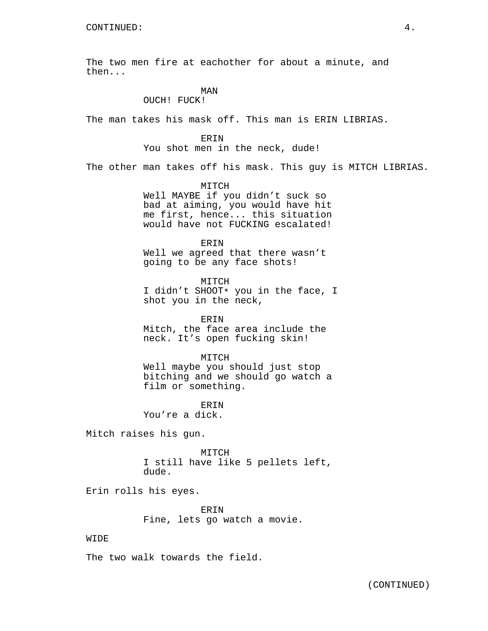The two men fire at eachother for about a minute, and then...

# MAN

OUCH! FUCK!

The man takes his mask off. This man is ERIN LIBRIAS.

ERIN

You shot men in the neck, dude!

The other man takes off his mask. This guy is MITCH LIBRIAS.

MITCH Well MAYBE if you didn't suck so bad at aiming, you would have hit me first, hence... this situation would have not FUCKING escalated!

ERIN Well we agreed that there wasn't going to be any face shots!

MITCH I didn't SHOOT\* you in the face, I shot you in the neck,

ERIN Mitch, the face area include the neck. It's open fucking skin!

MITCH Well maybe you should just stop bitching and we should go watch a film or something.

**ERIN** You're a dick.

Mitch raises his gun.

MITCH I still have like 5 pellets left, dude.

Erin rolls his eyes.

ERIN Fine, lets go watch a movie.

### WIDE

The two walk towards the field.

(CONTINUED)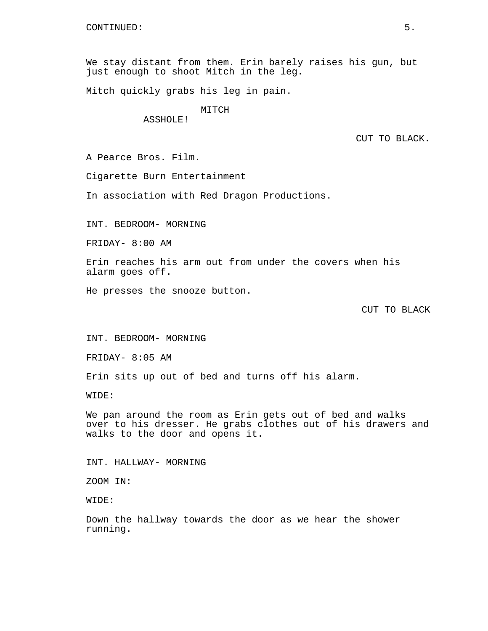We stay distant from them. Erin barely raises his gun, but just enough to shoot Mitch in the leg.

Mitch quickly grabs his leg in pain.

## MITCH

ASSHOLE!

CUT TO BLACK.

A Pearce Bros. Film.

Cigarette Burn Entertainment

In association with Red Dragon Productions.

INT. BEDROOM- MORNING

FRIDAY- 8:00 AM

Erin reaches his arm out from under the covers when his alarm goes off.

He presses the snooze button.

CUT TO BLACK

INT. BEDROOM- MORNING

FRIDAY- 8:05 AM

Erin sits up out of bed and turns off his alarm.

WIDE:

We pan around the room as Erin gets out of bed and walks over to his dresser. He grabs clothes out of his drawers and walks to the door and opens it.

INT. HALLWAY- MORNING

ZOOM IN:

WIDE:

Down the hallway towards the door as we hear the shower running.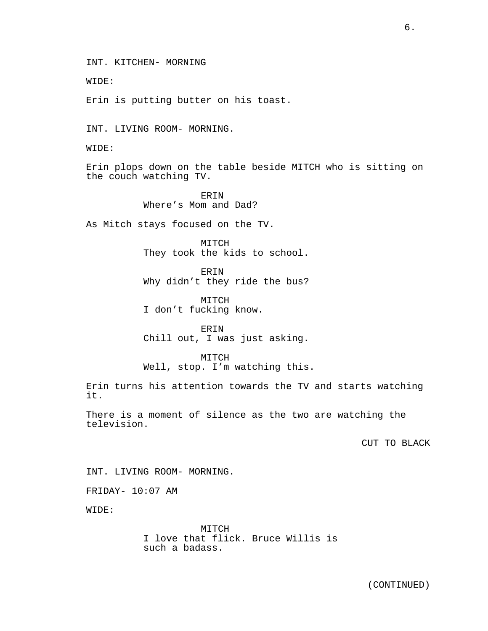6.

INT. KITCHEN- MORNING

WIDE:

Erin is putting butter on his toast.

INT. LIVING ROOM- MORNING.

WIDE:

Erin plops down on the table beside MITCH who is sitting on the couch watching TV.

> ERIN Where's Mom and Dad?

As Mitch stays focused on the TV.

MITCH They took the kids to school.

**ERIN** Why didn't they ride the bus?

MITCH I don't fucking know.

ERIN Chill out, I was just asking.

MITCH Well, stop. I'm watching this.

Erin turns his attention towards the TV and starts watching it.

There is a moment of silence as the two are watching the television.

CUT TO BLACK

INT. LIVING ROOM- MORNING.

FRIDAY- 10:07 AM

WIDE:

MITCH I love that flick. Bruce Willis is such a badass.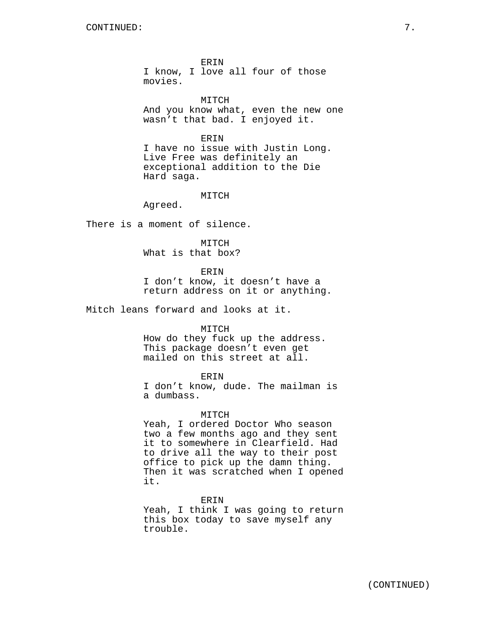ERIN I know, I love all four of those movies.

MITCH And you know what, even the new one wasn't that bad. I enjoyed it.

ERIN I have no issue with Justin Long. Live Free was definitely an exceptional addition to the Die Hard saga.

MITCH

Agreed.

There is a moment of silence.

MITCH What is that box?

ERIN

I don't know, it doesn't have a return address on it or anything.

Mitch leans forward and looks at it.

#### MITCH

How do they fuck up the address. This package doesn't even get mailed on this street at all.

### ERIN

I don't know, dude. The mailman is a dumbass.

#### MITCH

Yeah, I ordered Doctor Who season two a few months ago and they sent it to somewhere in Clearfield. Had to drive all the way to their post office to pick up the damn thing. Then it was scratched when I opened it.

#### ERIN

Yeah, I think I was going to return this box today to save myself any trouble.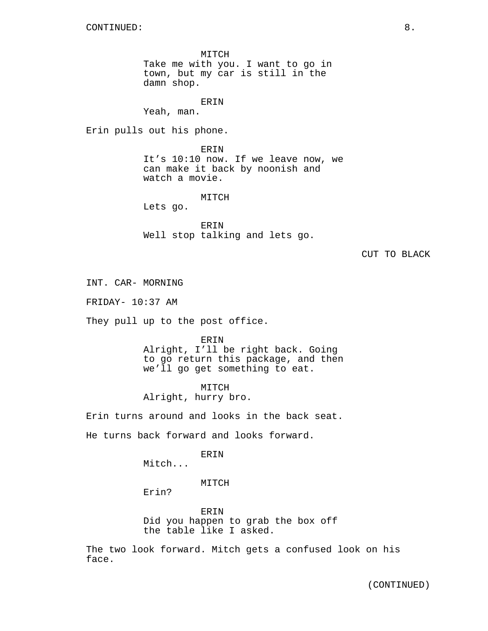MITCH Take me with you. I want to go in town, but my car is still in the damn shop.

ERIN

Yeah, man.

Erin pulls out his phone.

ERIN It's 10:10 now. If we leave now, we can make it back by noonish and watch a movie.

MITCH

Lets go.

ERIN Well stop talking and lets go.

### CUT TO BLACK

INT. CAR- MORNING

FRIDAY- 10:37 AM

They pull up to the post office.

ERIN

Alright, I'll be right back. Going to go return this package, and then we'll go get something to eat.

MITCH

Alright, hurry bro.

Erin turns around and looks in the back seat.

He turns back forward and looks forward.

ERIN

Mitch...

MITCH

Erin?

ERIN Did you happen to grab the box off the table like I asked.

The two look forward. Mitch gets a confused look on his face.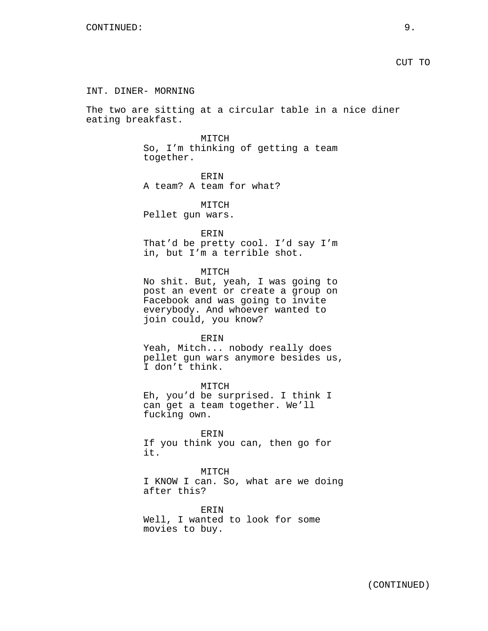### INT. DINER- MORNING

The two are sitting at a circular table in a nice diner eating breakfast.

#### MITCH

So, I'm thinking of getting a team together.

ERIN A team? A team for what?

MITCH Pellet gun wars.

ERIN

That'd be pretty cool. I'd say I'm in, but I'm a terrible shot.

MITCH

No shit. But, yeah, I was going to post an event or create a group on Facebook and was going to invite everybody. And whoever wanted to join could, you know?

### ERIN

Yeah, Mitch... nobody really does pellet gun wars anymore besides us, I don't think.

MITCH Eh, you'd be surprised. I think I can get a team together. We'll fucking own.

ERIN

If you think you can, then go for it.

MITCH

I KNOW I can. So, what are we doing after this?

ERIN Well, I wanted to look for some movies to buy.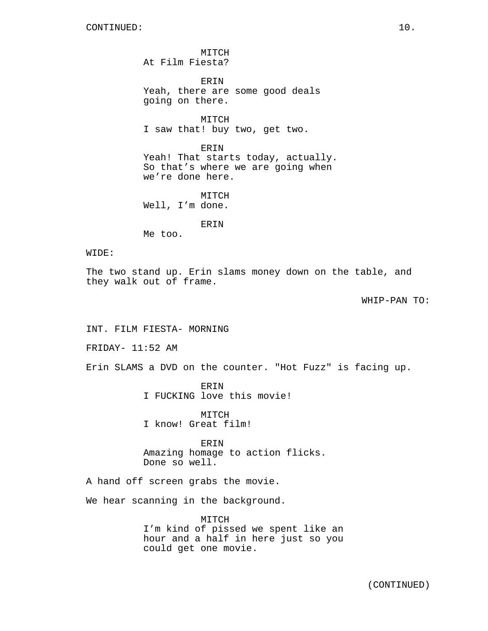MITCH At Film Fiesta?

ERIN Yeah, there are some good deals going on there.

MITCH I saw that! buy two, get two.

ERIN Yeah! That starts today, actually. So that's where we are going when we're done here.

MITCH Well, I'm done.

ERIN

Me too.

## WIDE:

The two stand up. Erin slams money down on the table, and they walk out of frame.

WHIP-PAN TO:

INT. FILM FIESTA- MORNING

FRIDAY- 11:52 AM

Erin SLAMS a DVD on the counter. "Hot Fuzz" is facing up.

ERIN I FUCKING love this movie!

MITCH I know! Great film!

ERIN Amazing homage to action flicks. Done so well.

A hand off screen grabs the movie.

We hear scanning in the background.

MITCH I'm kind of pissed we spent like an hour and a half in here just so you could get one movie.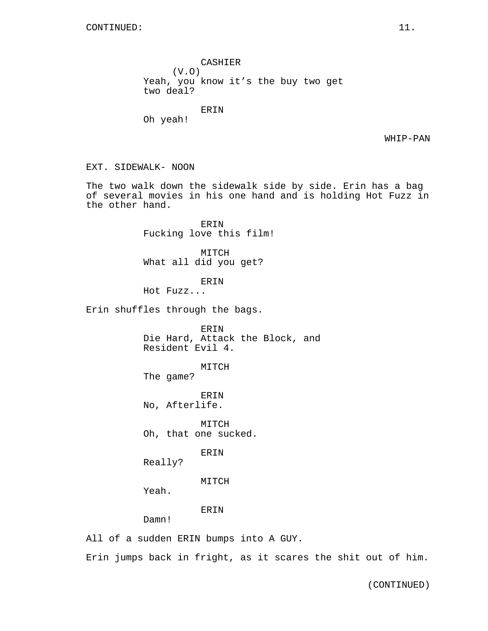CASHIER (V.O) Yeah, you know it's the buy two get two deal? ERIN Oh yeah! EXT. SIDEWALK- NOON The two walk down the sidewalk side by side. Erin has a bag of several movies in his one hand and is holding Hot Fuzz in the other hand. ERIN Fucking love this film! MITCH What all did you get? ERIN Hot Fuzz... Erin shuffles through the bags. ERIN Die Hard, Attack the Block, and Resident Evil 4. MITCH The game? ERIN

No, Afterlife.

MITCH Oh, that one sucked.

ERIN

Really?

MITCH

Yeah.

ERIN

Damn!

All of a sudden ERIN bumps into A GUY.

Erin jumps back in fright, as it scares the shit out of him.

WHIP-PAN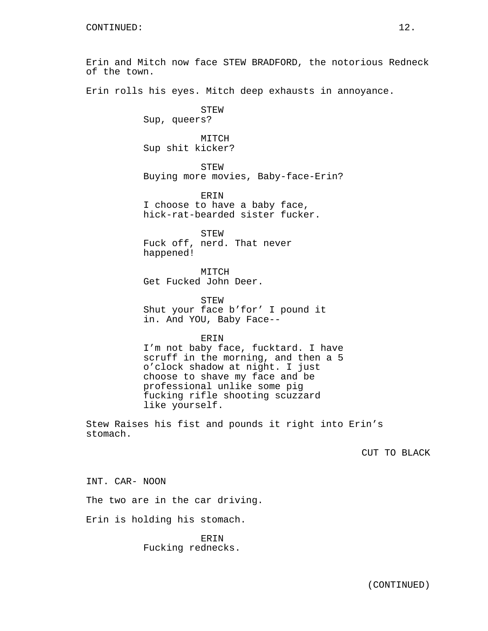Erin and Mitch now face STEW BRADFORD, the notorious Redneck of the town. Erin rolls his eyes. Mitch deep exhausts in annoyance. STEW Sup, queers? MITCH Sup shit kicker? STEW Buying more movies, Baby-face-Erin? ERIN I choose to have a baby face, hick-rat-bearded sister fucker. STEW Fuck off, nerd. That never happened! MITCH Get Fucked John Deer. STEW Shut your face b'for' I pound it in. And YOU, Baby Face-- ERIN I'm not baby face, fucktard. I have scruff in the morning, and then a 5 o'clock shadow at night. I just choose to shave my face and be professional unlike some pig fucking rifle shooting scuzzard like yourself. Stew Raises his fist and pounds it right into Erin's stomach. CUT TO BLACK

INT. CAR- NOON

The two are in the car driving.

Erin is holding his stomach.

ERIN Fucking rednecks.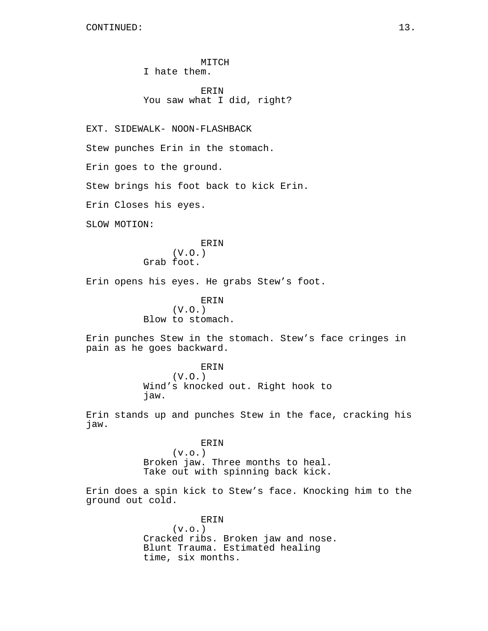MITCH I hate them.

ERIN You saw what I did, right?

EXT. SIDEWALK- NOON-FLASHBACK

Stew punches Erin in the stomach.

Erin goes to the ground.

Stew brings his foot back to kick Erin.

Erin Closes his eyes.

SLOW MOTION:

# ERIN

(V.O.) Grab foot.

Erin opens his eyes. He grabs Stew's foot.

# ERIN (V.O.) Blow to stomach.

Erin punches Stew in the stomach. Stew's face cringes in pain as he goes backward.

> ERIN (V.O.) Wind's knocked out. Right hook to jaw.

Erin stands up and punches Stew in the face, cracking his jaw.

> ERIN  $(v.o.)$ Broken jaw. Three months to heal. Take out with spinning back kick.

Erin does a spin kick to Stew's face. Knocking him to the ground out cold.

> ERIN  $(v.o.)$ Cracked ribs. Broken jaw and nose. Blunt Trauma. Estimated healing time, six months.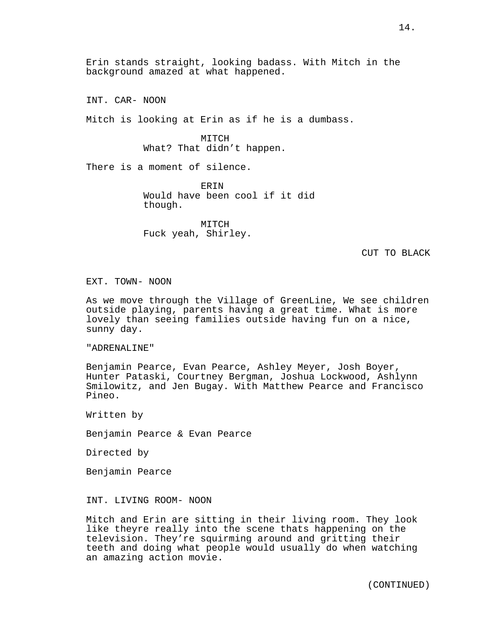Erin stands straight, looking badass. With Mitch in the background amazed at what happened.

INT. CAR- NOON

Mitch is looking at Erin as if he is a dumbass.

MITCH What? That didn't happen.

There is a moment of silence.

ERIN Would have been cool if it did though.

MITCH Fuck yeah, Shirley.

CUT TO BLACK

EXT. TOWN- NOON

As we move through the Village of GreenLine, We see children outside playing, parents having a great time. What is more lovely than seeing families outside having fun on a nice, sunny day.

"ADRENALINE"

Benjamin Pearce, Evan Pearce, Ashley Meyer, Josh Boyer, Hunter Pataski, Courtney Bergman, Joshua Lockwood, Ashlynn Smilowitz, and Jen Bugay. With Matthew Pearce and Francisco Pineo.

Written by

Benjamin Pearce & Evan Pearce

Directed by

Benjamin Pearce

INT. LIVING ROOM- NOON

Mitch and Erin are sitting in their living room. They look like theyre really into the scene thats happening on the television. They're squirming around and gritting their teeth and doing what people would usually do when watching an amazing action movie.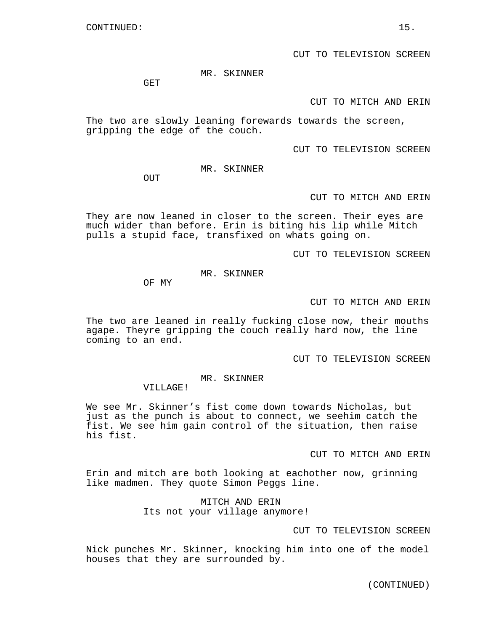MR. SKINNER

GET

CUT TO MITCH AND ERIN

The two are slowly leaning forewards towards the screen, gripping the edge of the couch.

CUT TO TELEVISION SCREEN

MR. SKINNER

OUT

CUT TO MITCH AND ERIN

They are now leaned in closer to the screen. Their eyes are much wider than before. Erin is biting his lip while Mitch pulls a stupid face, transfixed on whats going on.

CUT TO TELEVISION SCREEN

MR. SKINNER

OF MY

#### CUT TO MITCH AND ERIN

The two are leaned in really fucking close now, their mouths agape. Theyre gripping the couch really hard now, the line coming to an end.

CUT TO TELEVISION SCREEN

MR. SKINNER

VILLAGE!

We see Mr. Skinner's fist come down towards Nicholas, but just as the punch is about to connect, we seehim catch the fist. We see him gain control of the situation, then raise his fist.

CUT TO MITCH AND ERIN

Erin and mitch are both looking at eachother now, grinning like madmen. They quote Simon Peggs line.

> MITCH AND ERIN Its not your village anymore!

> > CUT TO TELEVISION SCREEN

Nick punches Mr. Skinner, knocking him into one of the model houses that they are surrounded by.

(CONTINUED)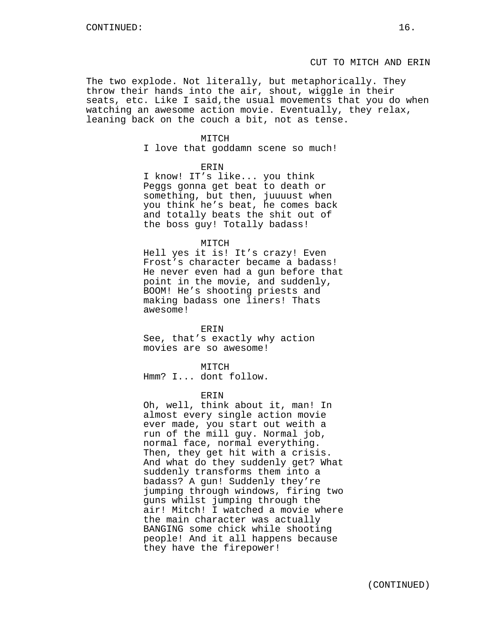The two explode. Not literally, but metaphorically. They throw their hands into the air, shout, wiggle in their seats, etc. Like I said,the usual movements that you do when watching an awesome action movie. Eventually, they relax, leaning back on the couch a bit, not as tense.

#### MITCH

I love that goddamn scene so much!

### ERIN

I know! IT's like... you think Peggs gonna get beat to death or something, but then, juuuust when you think he's beat, he comes back and totally beats the shit out of the boss guy! Totally badass!

#### MITCH

Hell yes it is! It's crazy! Even Frost's character became a badass! He never even had a gun before that point in the movie, and suddenly, BOOM! He's shooting priests and making badass one liners! Thats awesome!

#### ERIN

See, that's exactly why action movies are so awesome!

### MITCH

Hmm? I... dont follow.

### ERIN

Oh, well, think about it, man! In almost every single action movie ever made, you start out weith a run of the mill guy. Normal job, normal face, normal everything. Then, they get hit with a crisis. And what do they suddenly get? What suddenly transforms them into a badass? A gun! Suddenly they're jumping through windows, firing two guns whilst jumping through the air! Mitch! I watched a movie where the main character was actually BANGING some chick while shooting people! And it all happens because they have the firepower!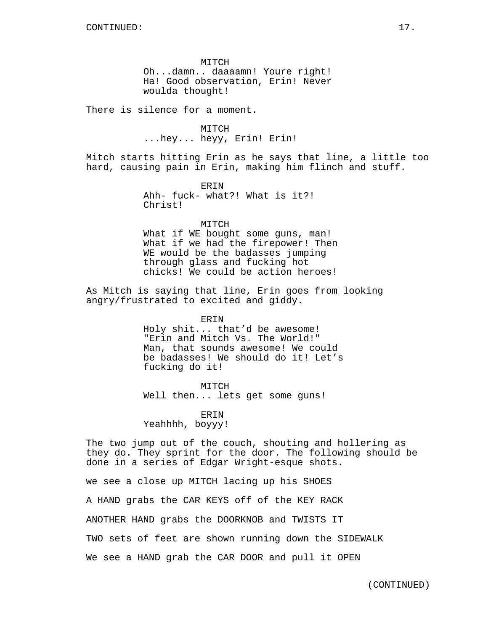MITCH Oh...damn.. daaaamn! Youre right! Ha! Good observation, Erin! Never woulda thought!

There is silence for a moment.

MITCH ...hey... heyy, Erin! Erin!

Mitch starts hitting Erin as he says that line, a little too hard, causing pain in Erin, making him flinch and stuff.

> ERIN Ahh- fuck- what?! What is it?! Christ!

> > MITCH

What if WE bought some guns, man! What if we had the firepower! Then WE would be the badasses jumping through glass and fucking hot chicks! We could be action heroes!

As Mitch is saying that line, Erin goes from looking angry/frustrated to excited and giddy.

> ERIN Holy shit... that'd be awesome! "Erin and Mitch Vs. The World!" Man, that sounds awesome! We could be badasses! We should do it! Let's fucking do it!

MITCH Well then... lets get some guns!

**ERIN** Yeahhhh, boyyy!

The two jump out of the couch, shouting and hollering as they do. They sprint for the door. The following should be done in a series of Edgar Wright-esque shots.

we see a close up MITCH lacing up his SHOES

A HAND grabs the CAR KEYS off of the KEY RACK

ANOTHER HAND grabs the DOORKNOB and TWISTS IT

TWO sets of feet are shown running down the SIDEWALK

We see a HAND grab the CAR DOOR and pull it OPEN

(CONTINUED)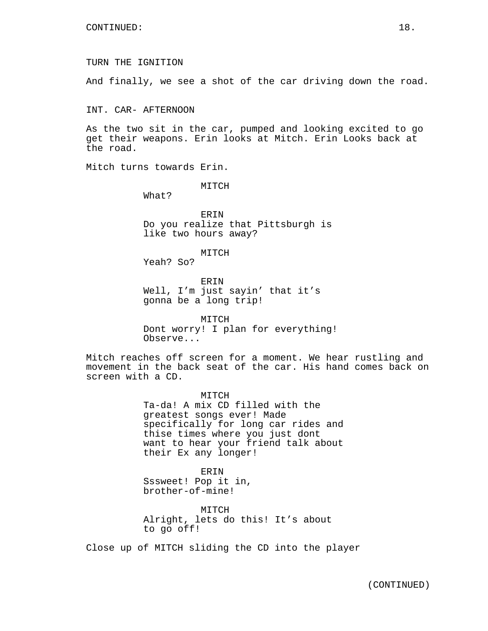TURN THE IGNITION

And finally, we see a shot of the car driving down the road.

INT. CAR- AFTERNOON

As the two sit in the car, pumped and looking excited to go get their weapons. Erin looks at Mitch. Erin Looks back at the road.

Mitch turns towards Erin.

MITCH

What?

ERIN Do you realize that Pittsburgh is like two hours away?

MITCH

Yeah? So?

ERIN Well, I'm just sayin' that it's gonna be a long trip!

MITCH Dont worry! I plan for everything! Observe...

Mitch reaches off screen for a moment. We hear rustling and movement in the back seat of the car. His hand comes back on screen with a CD.

> MITCH Ta-da! A mix CD filled with the greatest songs ever! Made specifically for long car rides and thise times where you just dont want to hear your friend talk about their Ex any longer!

ERIN Sssweet! Pop it in, brother-of-mine!

MITCH Alright, lets do this! It's about to go off!

Close up of MITCH sliding the CD into the player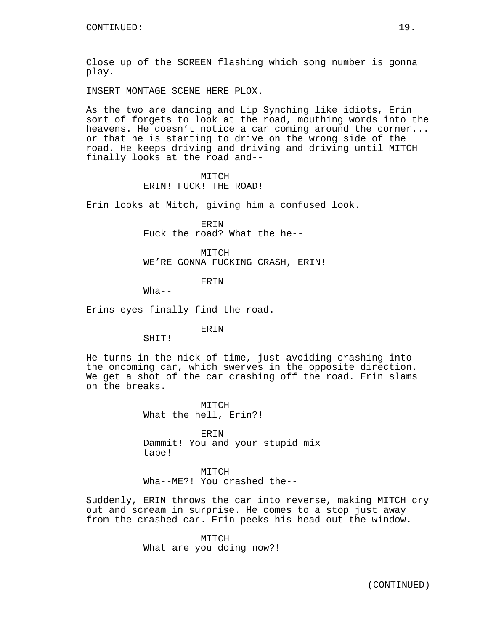Close up of the SCREEN flashing which song number is gonna play.

INSERT MONTAGE SCENE HERE PLOX.

As the two are dancing and Lip Synching like idiots, Erin sort of forgets to look at the road, mouthing words into the heavens. He doesn't notice a car coming around the corner... or that he is starting to drive on the wrong side of the road. He keeps driving and driving and driving until MITCH finally looks at the road and--

### MITCH ERIN! FUCK! THE ROAD!

Erin looks at Mitch, giving him a confused look.

ERIN Fuck the road? What the he--

MITCH WE'RE GONNA FUCKING CRASH, ERIN!

ERIN

 $What--$ 

Erins eyes finally find the road.

ERIN

SHIT!

He turns in the nick of time, just avoiding crashing into the oncoming car, which swerves in the opposite direction. We get a shot of the car crashing off the road. Erin slams on the breaks.

> MITCH What the hell, Erin?!

ERIN Dammit! You and your stupid mix tape!

MITCH Wha--ME?! You crashed the--

Suddenly, ERIN throws the car into reverse, making MITCH cry out and scream in surprise. He comes to a stop just away from the crashed car. Erin peeks his head out the window.

> MITCH What are you doing now?!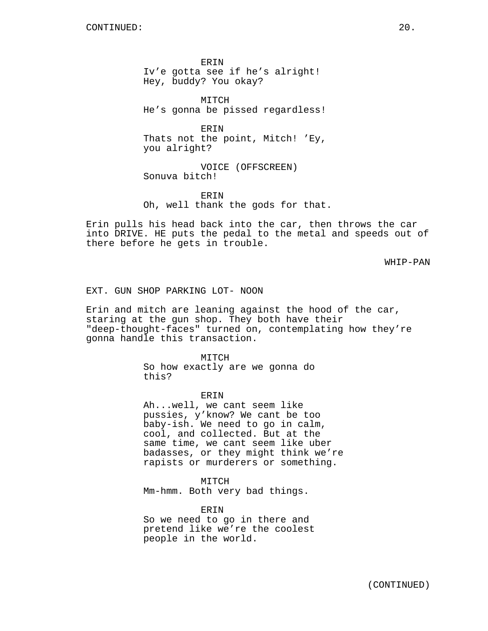ERIN Iv'e gotta see if he's alright! Hey, buddy? You okay?

MITCH He's gonna be pissed regardless!

ERIN Thats not the point, Mitch! 'Ey, you alright?

VOICE (OFFSCREEN) Sonuva bitch!

ERIN Oh, well thank the gods for that.

Erin pulls his head back into the car, then throws the car into DRIVE. HE puts the pedal to the metal and speeds out of there before he gets in trouble.

WHIP-PAN

EXT. GUN SHOP PARKING LOT- NOON

Erin and mitch are leaning against the hood of the car, staring at the gun shop. They both have their "deep-thought-faces" turned on, contemplating how they're gonna handle this transaction.

> MITCH So how exactly are we gonna do this?

> > ERIN

Ah...well, we cant seem like pussies, y'know? We cant be too baby-ish. We need to go in calm, cool, and collected. But at the same time, we cant seem like uber badasses, or they might think we're rapists or murderers or something.

MITCH

Mm-hmm. Both very bad things.

ERIN

So we need to go in there and pretend like we're the coolest people in the world.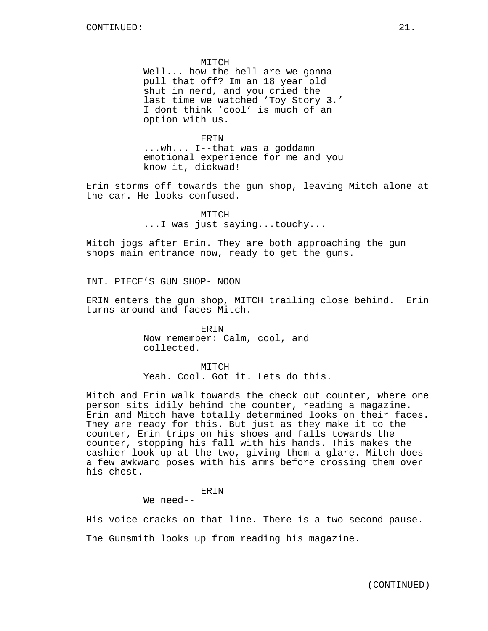#### MITCH

Well... how the hell are we gonna pull that off? Im an 18 year old shut in nerd, and you cried the last time we watched 'Toy Story 3.' I dont think 'cool' is much of an option with us.

ERIN

...wh... I--that was a goddamn emotional experience for me and you know it, dickwad!

Erin storms off towards the gun shop, leaving Mitch alone at the car. He looks confused.

> MITCH ...I was just saying...touchy...

Mitch jogs after Erin. They are both approaching the gun shops main entrance now, ready to get the guns.

INT. PIECE'S GUN SHOP- NOON

ERIN enters the gun shop, MITCH trailing close behind. Erin turns around and faces Mitch.

> ERIN Now remember: Calm, cool, and collected.

MITCH Yeah. Cool. Got it. Lets do this.

Mitch and Erin walk towards the check out counter, where one person sits idily behind the counter, reading a magazine. Erin and Mitch have totally determined looks on their faces. They are ready for this. But just as they make it to the counter, Erin trips on his shoes and falls towards the counter, stopping his fall with his hands. This makes the cashier look up at the two, giving them a glare. Mitch does a few awkward poses with his arms before crossing them over his chest.

ERIN

We need--

His voice cracks on that line. There is a two second pause.

The Gunsmith looks up from reading his magazine.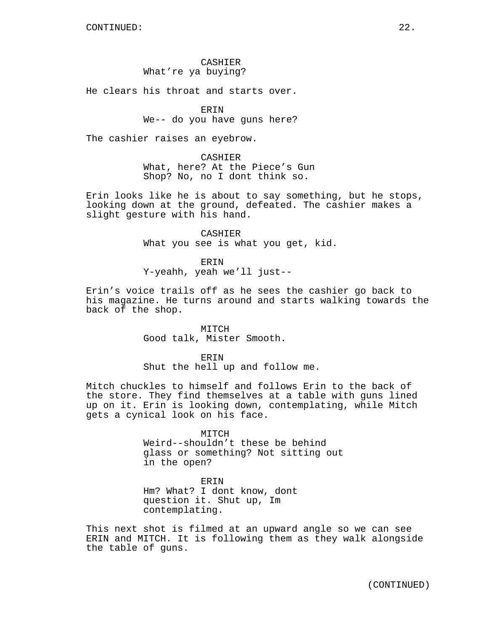## CASHIER What're ya buying?

He clears his throat and starts over.

## **ERIN**

### We-- do you have guns here?

The cashier raises an eyebrow.

# CASHIER

What, here? At the Piece's Gun Shop? No, no I dont think so.

Erin looks like he is about to say something, but he stops, looking down at the ground, defeated. The cashier makes a slight gesture with his hand.

> CASHIER What you see is what you get, kid.

ERIN Y-yeahh, yeah we'll just--

Erin's voice trails off as he sees the cashier go back to his magazine. He turns around and starts walking towards the back of the shop.

> MITCH Good talk, Mister Smooth.

ERIN Shut the hell up and follow me.

Mitch chuckles to himself and follows Erin to the back of the store. They find themselves at a table with guns lined up on it. Erin is looking down, contemplating, while Mitch gets a cynical look on his face.

# **MTTCH** Weird--shouldn't these be behind glass or something? Not sitting out in the open?

ERIN Hm? What? I dont know, dont question it. Shut up, Im contemplating.

This next shot is filmed at an upward angle so we can see ERIN and MITCH. It is following them as they walk alongside the table of guns.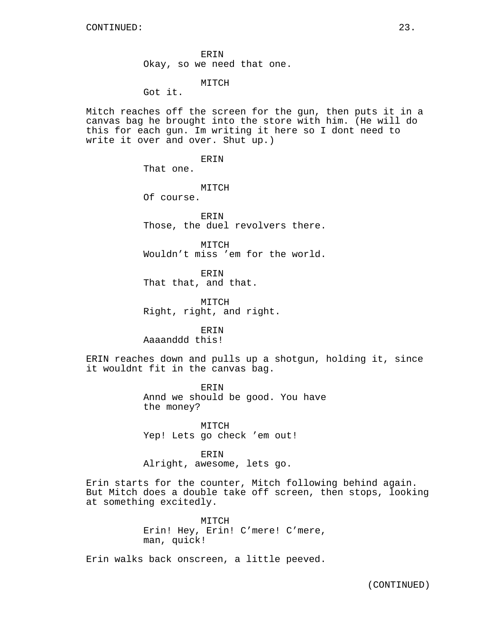ERIN Okay, so we need that one.

### MITCH

Got it.

Mitch reaches off the screen for the gun, then puts it in a canvas bag he brought into the store with him. (He will do this for each gun. Im writing it here so I dont need to write it over and over. Shut up.)

ERIN

That one.

MITCH

Of course.

ERIN Those, the duel revolvers there.

MITCH Wouldn't miss 'em for the world.

ERIN That that, and that.

MITCH Right, right, and right.

**ERIN** Aaaanddd this!

ERIN reaches down and pulls up a shotgun, holding it, since it wouldnt fit in the canvas bag.

> **ERIN** Annd we should be good. You have the money?

MITCH Yep! Lets go check 'em out!

ERIN Alright, awesome, lets go.

Erin starts for the counter, Mitch following behind again. But Mitch does a double take off screen, then stops, looking at something excitedly.

> MITCH Erin! Hey, Erin! C'mere! C'mere, man, quick!

Erin walks back onscreen, a little peeved.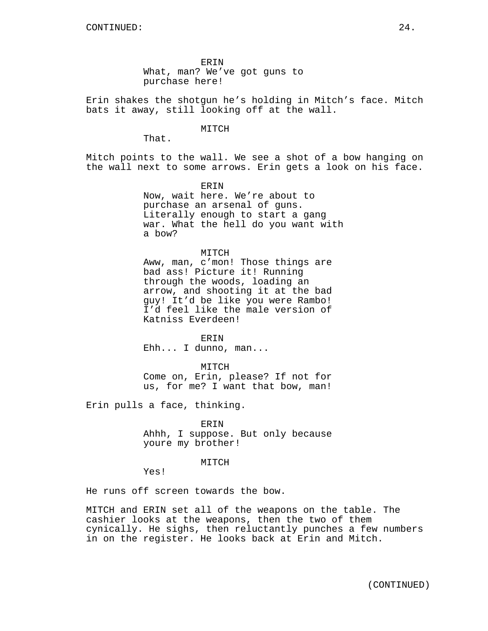ERIN What, man? We've got guns to purchase here!

Erin shakes the shotgun he's holding in Mitch's face. Mitch bats it away, still looking off at the wall.

#### MITCH

That.

Mitch points to the wall. We see a shot of a bow hanging on the wall next to some arrows. Erin gets a look on his face.

> ERIN Now, wait here. We're about to purchase an arsenal of guns. Literally enough to start a gang war. What the hell do you want with a bow?

MITCH Aww, man, c'mon! Those things are bad ass! Picture it! Running through the woods, loading an arrow, and shooting it at the bad guy! It'd be like you were Rambo! I'd feel like the male version of Katniss Everdeen!

ERIN Ehh... I dunno, man...

MITCH Come on, Erin, please? If not for us, for me? I want that bow, man!

Erin pulls a face, thinking.

ERIN Ahhh, I suppose. But only because youre my brother!

#### MITCH

Yes!

He runs off screen towards the bow.

MITCH and ERIN set all of the weapons on the table. The cashier looks at the weapons, then the two of them cynically. He sighs, then reluctantly punches a few numbers in on the register. He looks back at Erin and Mitch.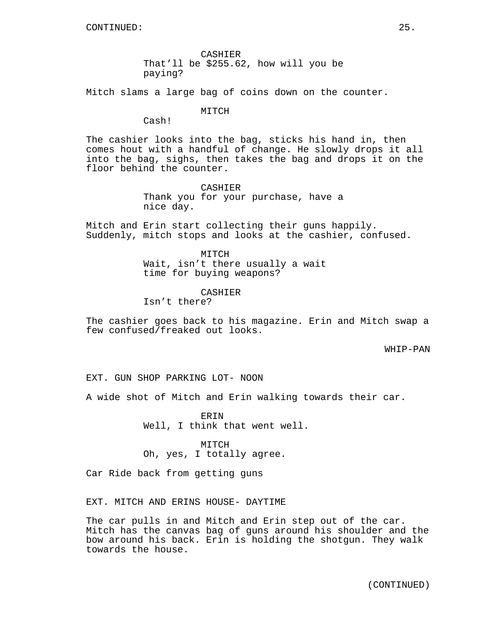CASHIER That'll be \$255.62, how will you be paying?

Mitch slams a large bag of coins down on the counter.

MITCH

Cash!

The cashier looks into the bag, sticks his hand in, then comes hout with a handful of change. He slowly drops it all into the bag, sighs, then takes the bag and drops it on the floor behind the counter.

> CASHIER Thank you for your purchase, have a nice day.

Mitch and Erin start collecting their guns happily. Suddenly, mitch stops and looks at the cashier, confused.

> MITCH Wait, isn't there usually a wait time for buying weapons?

> > CASHIER

Isn't there?

The cashier goes back to his magazine. Erin and Mitch swap a few confused/freaked out looks.

WHIP-PAN

EXT. GUN SHOP PARKING LOT- NOON

A wide shot of Mitch and Erin walking towards their car.

ERIN Well, I think that went well.

MITCH Oh, yes, I totally agree.

Car Ride back from getting guns

EXT. MITCH AND ERINS HOUSE- DAYTIME

The car pulls in and Mitch and Erin step out of the car. Mitch has the canvas bag of guns around his shoulder and the bow around his back. Erin is holding the shotgun. They walk towards the house.

(CONTINUED)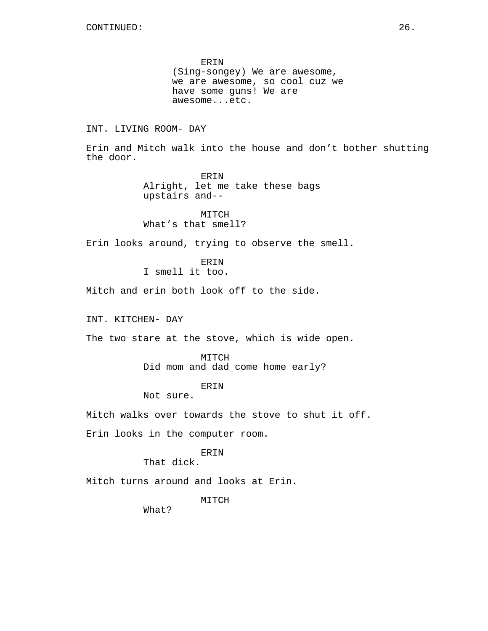ERIN (Sing-songey) We are awesome, we are awesome, so cool cuz we have some guns! We are awesome...etc.

## INT. LIVING ROOM- DAY

Erin and Mitch walk into the house and don't bother shutting the door.

> ERIN Alright, let me take these bags upstairs and--

MITCH What's that smell?

Erin looks around, trying to observe the smell.

ERIN I smell it too.

Mitch and erin both look off to the side.

INT. KITCHEN- DAY

The two stare at the stove, which is wide open.

MITCH Did mom and dad come home early?

# ERIN

Not sure.

Mitch walks over towards the stove to shut it off.

Erin looks in the computer room.

# ERIN

That dick.

Mitch turns around and looks at Erin.

MITCH

What?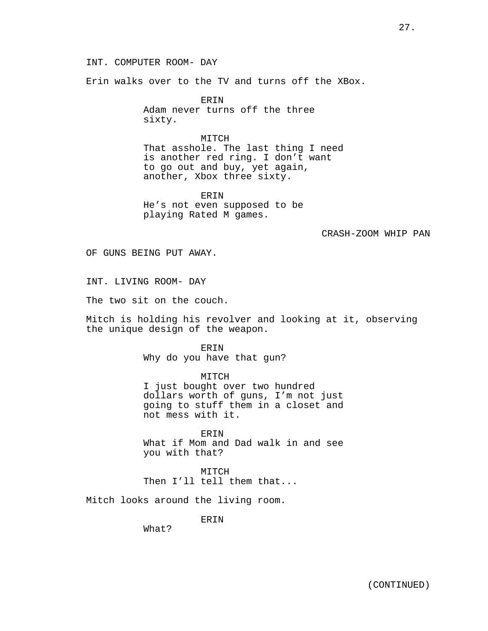INT. COMPUTER ROOM- DAY

Erin walks over to the TV and turns off the XBox.

ERIN Adam never turns off the three sixty.

MITCH That asshole. The last thing I need is another red ring. I don't want to go out and buy, yet again, another, Xbox three sixty.

ERIN He's not even supposed to be playing Rated M games.

CRASH-ZOOM WHIP PAN

OF GUNS BEING PUT AWAY.

INT. LIVING ROOM- DAY

The two sit on the couch.

Mitch is holding his revolver and looking at it, observing the unique design of the weapon.

> ERIN Why do you have that gun?

MITCH I just bought over two hundred dollars worth of guns, I'm not just going to stuff them in a closet and not mess with it.

**ERIN** What if Mom and Dad walk in and see you with that?

MITCH Then I'll tell them that...

Mitch looks around the living room.

ERIN

What?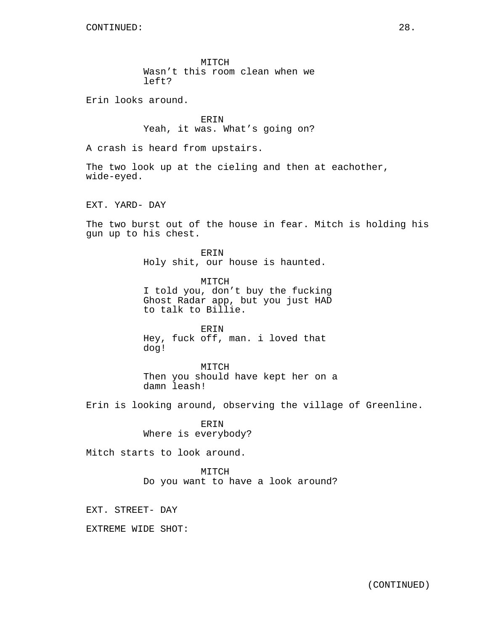MITCH Wasn't this room clean when we left?

Erin looks around.

ERIN Yeah, it was. What's going on?

A crash is heard from upstairs.

The two look up at the cieling and then at eachother, wide-eyed.

EXT. YARD- DAY

The two burst out of the house in fear. Mitch is holding his gun up to his chest.

> ERIN Holy shit, our house is haunted.

MITCH I told you, don't buy the fucking Ghost Radar app, but you just HAD to talk to Billie.

ERIN Hey, fuck off, man. i loved that dog!

MITCH Then you should have kept her on a damn leash!

Erin is looking around, observing the village of Greenline.

ERIN Where is everybody?

Mitch starts to look around.

MITCH Do you want to have a look around?

EXT. STREET- DAY

EXTREME WIDE SHOT: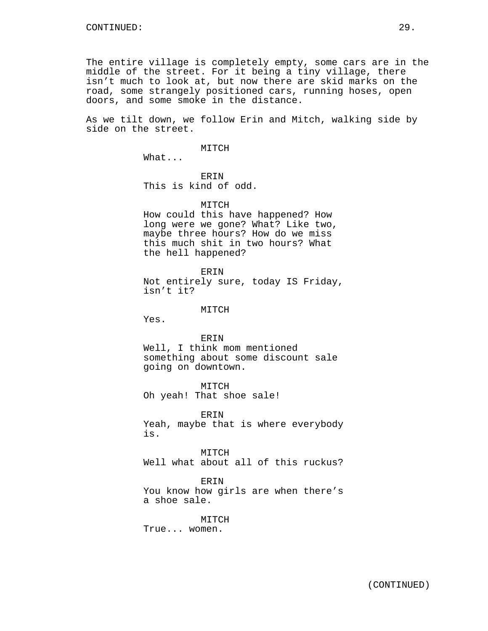The entire village is completely empty, some cars are in the middle of the street. For it being a tiny village, there isn't much to look at, but now there are skid marks on the road, some strangely positioned cars, running hoses, open doors, and some smoke in the distance.

As we tilt down, we follow Erin and Mitch, walking side by side on the street.

#### MITCH

What...

ERIN This is kind of odd.

### MITCH

How could this have happened? How long were we gone? What? Like two, maybe three hours? How do we miss this much shit in two hours? What the hell happened?

ERIN

Not entirely sure, today IS Friday, isn't it?

#### MITCH

Yes.

ERIN Well, I think mom mentioned something about some discount sale going on downtown.

MITCH Oh yeah! That shoe sale!

**ERIN** Yeah, maybe that is where everybody is.

**MTTCH** Well what about all of this ruckus?

ERIN You know how girls are when there's a shoe sale.

#### MITCH

True... women.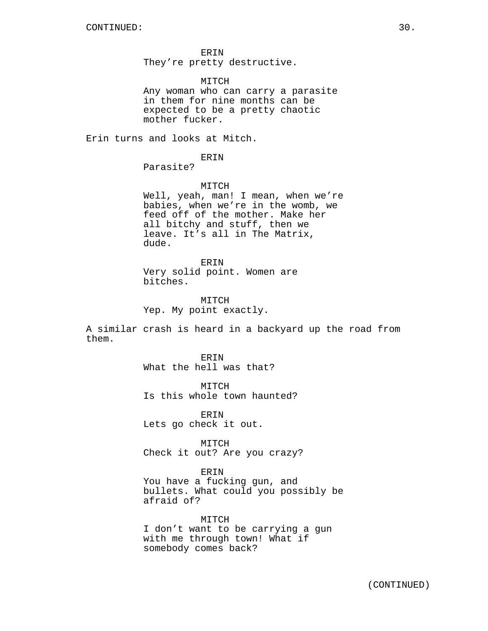ERIN They're pretty destructive.

MITCH Any woman who can carry a parasite in them for nine months can be expected to be a pretty chaotic mother fucker.

Erin turns and looks at Mitch.

ERIN

Parasite?

MITCH

Well, yeah, man! I mean, when we're babies, when we're in the womb, we feed off of the mother. Make her all bitchy and stuff, then we leave. It's all in The Matrix, dude.

ERIN Very solid point. Women are bitches.

MITCH Yep. My point exactly.

A similar crash is heard in a backyard up the road from them.

> ERIN What the hell was that?

MITCH Is this whole town haunted?

ERIN Lets go check it out.

MITCH Check it out? Are you crazy?

ERIN

You have a fucking gun, and bullets. What could you possibly be afraid of?

MITCH I don't want to be carrying a gun with me through town! What if somebody comes back?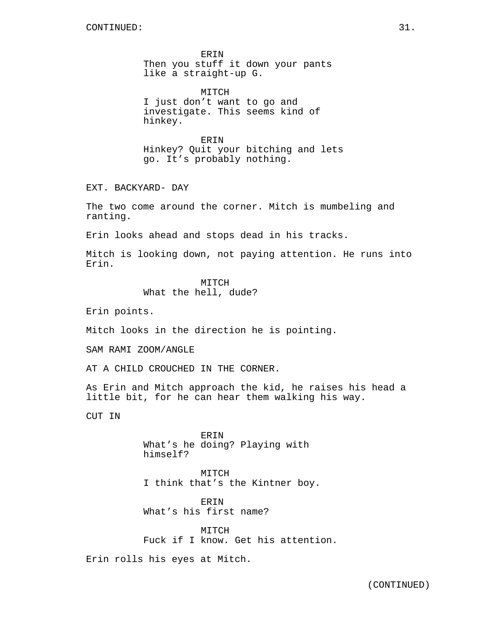ERIN Then you stuff it down your pants like a straight-up G.

MITCH I just don't want to go and investigate. This seems kind of hinkey.

ERIN Hinkey? Quit your bitching and lets go. It's probably nothing.

EXT. BACKYARD- DAY

The two come around the corner. Mitch is mumbeling and ranting.

Erin looks ahead and stops dead in his tracks.

Mitch is looking down, not paying attention. He runs into Erin.

> MITCH What the hell, dude?

Erin points.

Mitch looks in the direction he is pointing.

SAM RAMI ZOOM/ANGLE

AT A CHILD CROUCHED IN THE CORNER.

As Erin and Mitch approach the kid, he raises his head a little bit, for he can hear them walking his way.

CUT IN

ERIN What's he doing? Playing with himself?

MITCH I think that's the Kintner boy.

ERIN What's his first name?

MITCH Fuck if I know. Get his attention.

Erin rolls his eyes at Mitch.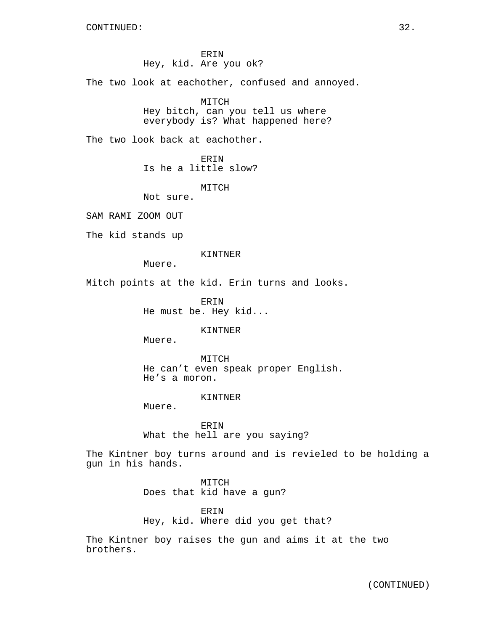ERIN Hey, kid. Are you ok?

The two look at eachother, confused and annoyed.

MITCH Hey bitch, can you tell us where everybody is? What happened here?

The two look back at eachother.

ERIN Is he a little slow?

MITCH

Not sure.

SAM RAMI ZOOM OUT

The kid stands up

KINTNER

Muere.

Mitch points at the kid. Erin turns and looks.

ERIN He must be. Hey kid...

KINTNER

Muere.

MITCH He can't even speak proper English. He's a moron.

KINTNER

Muere.

ERIN What the hell are you saying?

The Kintner boy turns around and is revieled to be holding a gun in his hands.

> MITCH Does that kid have a gun?

ERIN Hey, kid. Where did you get that?

The Kintner boy raises the gun and aims it at the two brothers.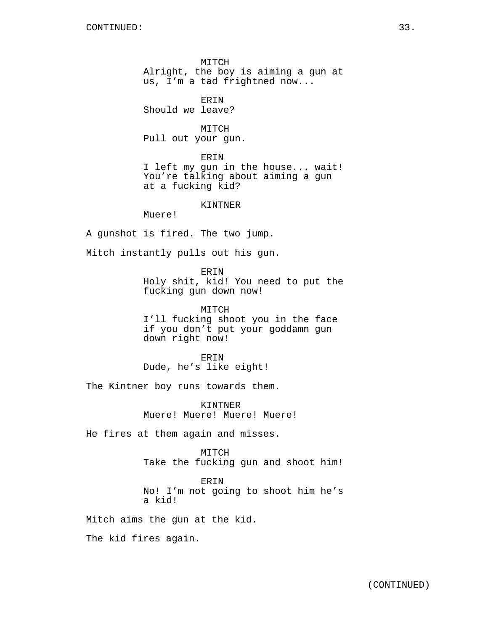MITCH Alright, the boy is aiming a gun at us, I'm a tad frightned now...

ERIN

Should we leave?

MITCH Pull out your gun.

ERIN

I left my gun in the house... wait! You're talking about aiming a gun at a fucking kid?

KINTNER

Muere!

A gunshot is fired. The two jump.

Mitch instantly pulls out his gun.

ERIN Holy shit, kid! You need to put the fucking gun down now!

MITCH I'll fucking shoot you in the face if you don't put your goddamn gun down right now!

ERIN Dude, he's like eight!

The Kintner boy runs towards them.

KINTNER Muere! Muere! Muere! Muere!

He fires at them again and misses.

**MTTCH** Take the fucking gun and shoot him!

ERIN No! I'm not going to shoot him he's a kid!

Mitch aims the gun at the kid.

The kid fires again.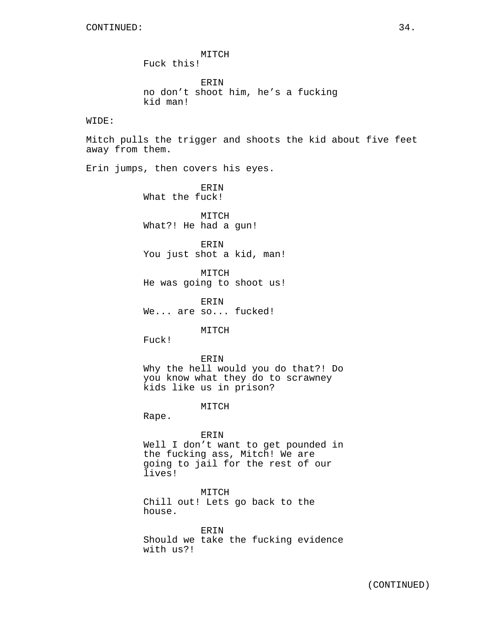CONTINUED: 34. MITCH Fuck this! ERIN no don't shoot him, he's a fucking kid man! WIDE: Mitch pulls the trigger and shoots the kid about five feet away from them. Erin jumps, then covers his eyes. **ERIN** What the fuck! MITCH What?! He had a gun! ERIN You just shot a kid, man! MITCH He was going to shoot us! ERIN We... are so... fucked! **MTTCH** Fuck! ERIN Why the hell would you do that?! Do you know what they do to scrawney kids like us in prison? MITCH Rape. ERIN Well I don't want to get pounded in the fucking ass, Mitch! We are going to jail for the rest of our lives! MITCH Chill out! Lets go back to the house. ERIN

Should we take the fucking evidence with us?!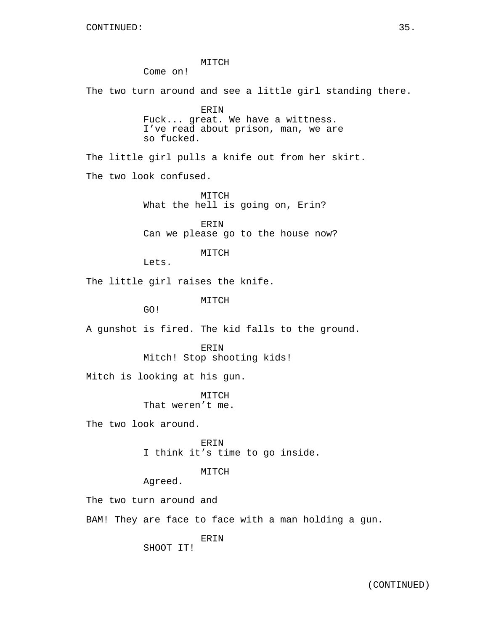MITCH Come on! The two turn around and see a little girl standing there. ERIN Fuck... great. We have a wittness. I've read about prison, man, we are so fucked. The little girl pulls a knife out from her skirt. The two look confused. MITCH What the hell is going on, Erin? ERIN Can we please go to the house now? MITCH Lets. The little girl raises the knife. MITCH GO! A gunshot is fired. The kid falls to the ground. **ERIN** Mitch! Stop shooting kids! Mitch is looking at his gun. MITCH That weren't me. The two look around. ERIN I think it's time to go inside. MITCH Agreed. The two turn around and BAM! They are face to face with a man holding a gun. ERIN SHOOT IT!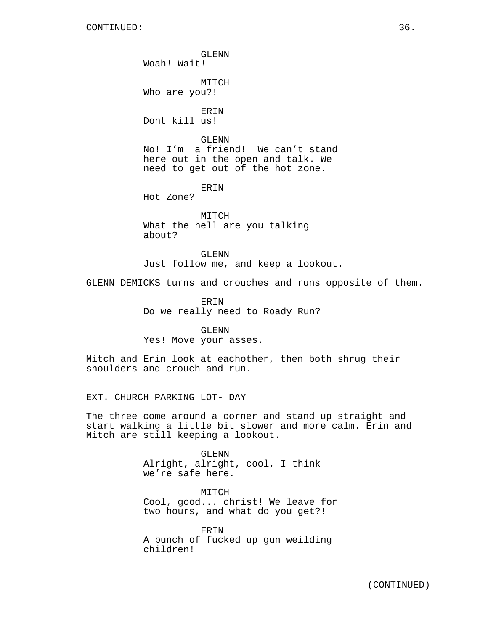GLENN Woah! Wait!

MITCH Who are you?!

ERIN Dont kill us!

GLENN

No! I'm a friend! We can't stand here out in the open and talk. We need to get out of the hot zone.

ERIN

Hot Zone?

MITCH What the hell are you talking about?

GLENN Just follow me, and keep a lookout.

GLENN DEMICKS turns and crouches and runs opposite of them.

ERIN Do we really need to Roady Run?

GLENN Yes! Move your asses.

Mitch and Erin look at eachother, then both shrug their shoulders and crouch and run.

EXT. CHURCH PARKING LOT- DAY

The three come around a corner and stand up straight and start walking a little bit slower and more calm. Erin and Mitch are still keeping a lookout.

> GLENN Alright, alright, cool, I think we're safe here.

**MTTCH** Cool, good... christ! We leave for two hours, and what do you get?!

ERIN A bunch of fucked up gun weilding children!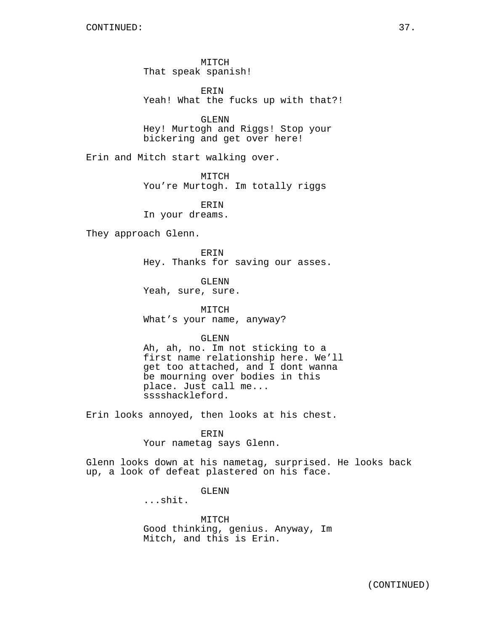MITCH That speak spanish!

ERIN Yeah! What the fucks up with that?!

GLENN Hey! Murtogh and Riggs! Stop your bickering and get over here!

Erin and Mitch start walking over.

MITCH You're Murtogh. Im totally riggs

ERIN In your dreams.

They approach Glenn.

**ERIN** Hey. Thanks for saving our asses.

GLENN Yeah, sure, sure.

MITCH What's your name, anyway?

GLENN

Ah, ah, no. Im not sticking to a first name relationship here. We'll get too attached, and I dont wanna be mourning over bodies in this place. Just call me... sssshackleford.

Erin looks annoyed, then looks at his chest.

### ERIN

Your nametag says Glenn.

Glenn looks down at his nametag, surprised. He looks back up, a look of defeat plastered on his face.

GLENN

...shit.

MITCH Good thinking, genius. Anyway, Im Mitch, and this is Erin.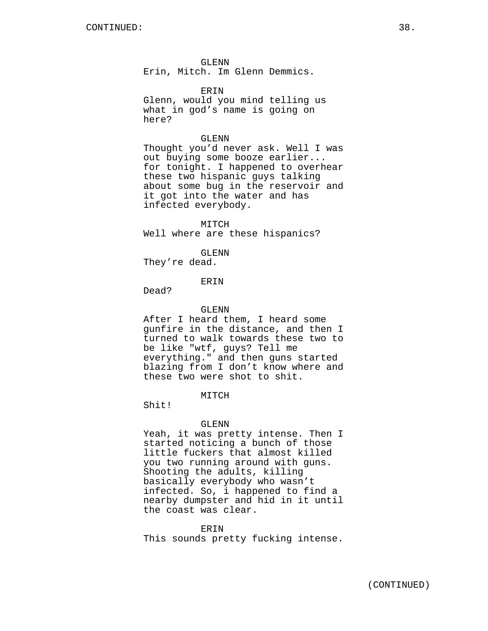GLENN

Erin, Mitch. Im Glenn Demmics.

ERIN

Glenn, would you mind telling us what in god's name is going on here?

### GLENN

Thought you'd never ask. Well I was out buying some booze earlier... for tonight. I happened to overhear these two hispanic guys talking about some bug in the reservoir and it got into the water and has infected everybody.

MITCH Well where are these hispanics?

GLENN

They're dead.

### ERIN

Dead?

GLENN

After I heard them, I heard some gunfire in the distance, and then I turned to walk towards these two to be like "wtf, guys? Tell me everything." and then guns started blazing from I don't know where and these two were shot to shit.

MITCH

Shit!

#### GLENN

Yeah, it was pretty intense. Then I started noticing a bunch of those little fuckers that almost killed you two running around with guns. Shooting the adults, killing basically everybody who wasn't infected. So, i happened to find a nearby dumpster and hid in it until the coast was clear.

ERIN This sounds pretty fucking intense.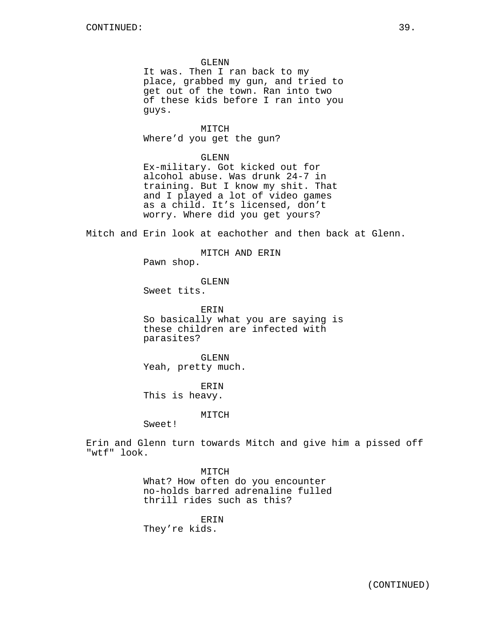### GLENN

It was. Then I ran back to my place, grabbed my gun, and tried to get out of the town. Ran into two of these kids before I ran into you guys.

MITCH Where'd you get the gun?

GLENN

Ex-military. Got kicked out for alcohol abuse. Was drunk 24-7 in training. But I know my shit. That and I played a lot of video games as a child. It's licensed, don't worry. Where did you get yours?

Mitch and Erin look at eachother and then back at Glenn.

MITCH AND ERIN

Pawn shop.

GLENN

Sweet tits.

ERIN So basically what you are saying is these children are infected with parasites?

GLENN Yeah, pretty much.

ERIN This is heavy.

### MITCH

Sweet!

Erin and Glenn turn towards Mitch and give him a pissed off "wtf" look.

> MITCH What? How often do you encounter no-holds barred adrenaline fulled thrill rides such as this?

## ERIN

They're kids.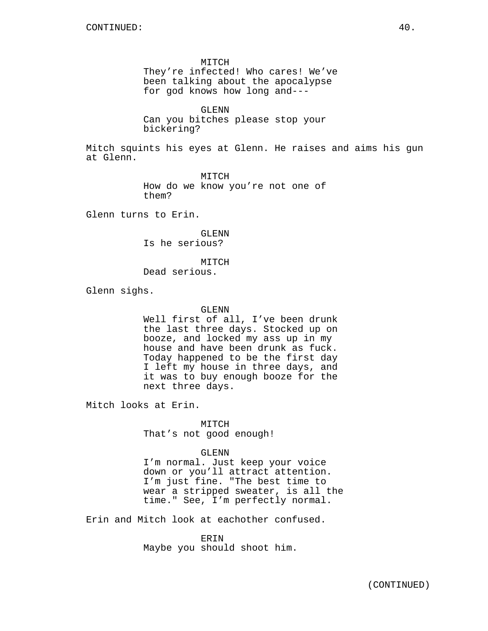MITCH They're infected! Who cares! We've been talking about the apocalypse for god knows how long and---

GLENN Can you bitches please stop your bickering?

Mitch squints his eyes at Glenn. He raises and aims his gun at Glenn.

> MITCH How do we know you're not one of them?

Glenn turns to Erin.

GLENN Is he serious?

MITCH Dead serious.

Glenn sighs.

GLENN

Well first of all, I've been drunk the last three days. Stocked up on booze, and locked my ass up in my house and have been drunk as fuck. Today happened to be the first day I left my house in three days, and it was to buy enough booze for the next three days.

Mitch looks at Erin.

MITCH That's not good enough!

GLENN

I'm normal. Just keep your voice down or you'll attract attention. I'm just fine. "The best time to wear a stripped sweater, is all the time." See, I'm perfectly normal.

Erin and Mitch look at eachother confused.

ERIN Maybe you should shoot him.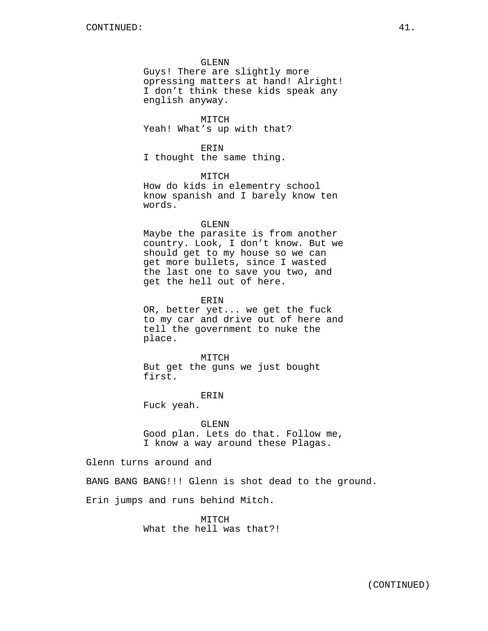### GLENN

Guys! There are slightly more opressing matters at hand! Alright! I don't think these kids speak any english anyway.

MITCH Yeah! What's up with that?

### ERIN

I thought the same thing.

# MITCH

How do kids in elementry school know spanish and I barely know ten words.

### GLENN

Maybe the parasite is from another country. Look, I don't know. But we should get to my house so we can get more bullets, since I wasted the last one to save you two, and get the hell out of here.

### ERIN

OR, better yet... we get the fuck to my car and drive out of here and tell the government to nuke the place.

MITCH But get the guns we just bought first.

# ERIN

Fuck yeah.

# GLENN

Good plan. Lets do that. Follow me, I know a way around these Plagas.

## Glenn turns around and

BANG BANG BANG!!! Glenn is shot dead to the ground.

Erin jumps and runs behind Mitch.

MITCH What the hell was that?!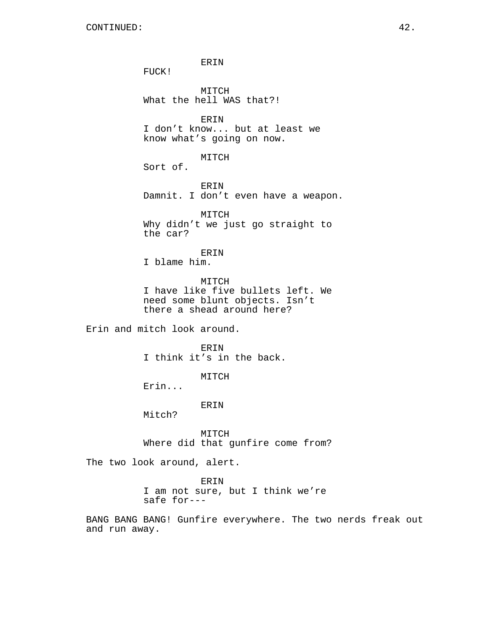ERIN FUCK! MITCH What the hell WAS that?! ERIN I don't know... but at least we know what's going on now. MITCH Sort of. ERIN Damnit. I don't even have a weapon. MITCH Why didn't we just go straight to the car? ERIN I blame him. MITCH I have like five bullets left. We need some blunt objects. Isn't there a shead around here? Erin and mitch look around. ER TN I think it's in the back. MITCH Erin... ERIN Mitch? MITCH Where did that gunfire come from? The two look around, alert. ERIN I am not sure, but I think we're safe for---

BANG BANG BANG! Gunfire everywhere. The two nerds freak out and run away.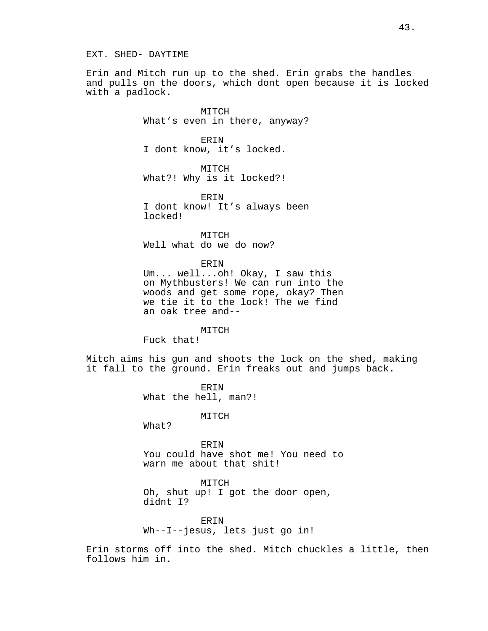Erin and Mitch run up to the shed. Erin grabs the handles and pulls on the doors, which dont open because it is locked with a padlock.

> MITCH What's even in there, anyway?

ERIN I dont know, it's locked.

MITCH What?! Why is it locked?!

ERIN I dont know! It's always been locked!

MITCH Well what do we do now?

ERIN

Um... well...oh! Okay, I saw this on Mythbusters! We can run into the woods and get some rope, okay? Then we tie it to the lock! The we find an oak tree and--

### MITCH

Fuck that!

Mitch aims his gun and shoots the lock on the shed, making it fall to the ground. Erin freaks out and jumps back.

> ERIN What the hell, man?!

> > MITCH

What?

ERIN You could have shot me! You need to warn me about that shit!

MITCH Oh, shut up! I got the door open, didnt I?

ERIN Wh--I--jesus, lets just go in!

Erin storms off into the shed. Mitch chuckles a little, then follows him in.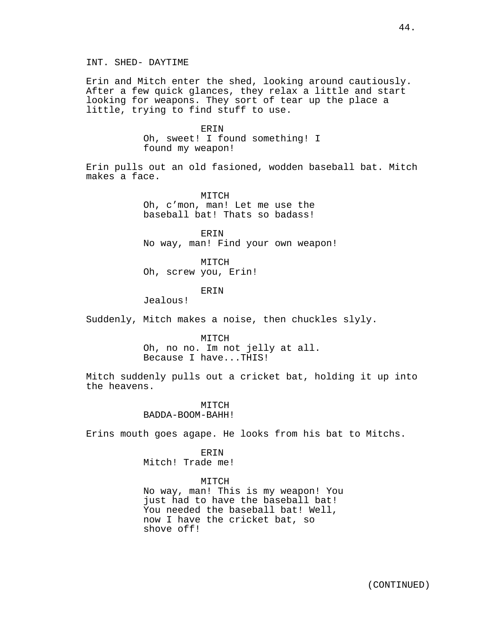INT. SHED- DAYTIME

Erin and Mitch enter the shed, looking around cautiously. After a few quick glances, they relax a little and start looking for weapons. They sort of tear up the place a little, trying to find stuff to use.

ERIN

Oh, sweet! I found something! I found my weapon!

Erin pulls out an old fasioned, wodden baseball bat. Mitch makes a face.

> MITCH Oh, c'mon, man! Let me use the baseball bat! Thats so badass!

ERIN No way, man! Find your own weapon!

MITCH Oh, screw you, Erin!

### ERIN

Jealous!

Suddenly, Mitch makes a noise, then chuckles slyly.

MITCH

Oh, no no. Im not jelly at all. Because I have...THIS!

Mitch suddenly pulls out a cricket bat, holding it up into the heavens.

> MITCH BADDA-BOOM-BAHH!

Erins mouth goes agape. He looks from his bat to Mitchs.

### ERIN

Mitch! Trade me!

## MITCH

No way, man! This is my weapon! You just had to have the baseball bat! You needed the baseball bat! Well, now I have the cricket bat, so shove off!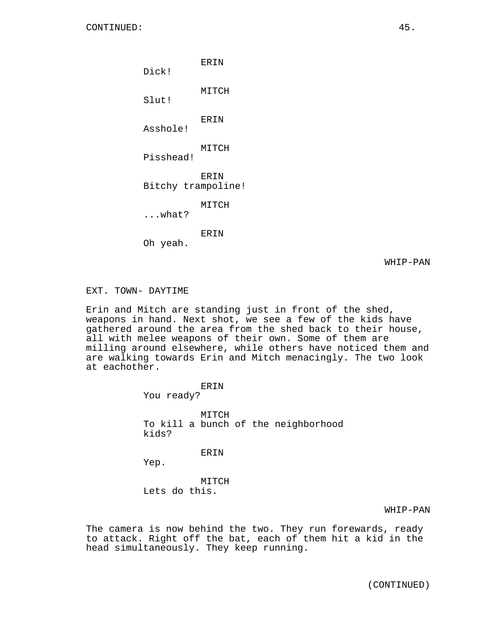ERIN Dick! MITCH Slut! ERIN Asshole! MITCH Pisshead! ERIN Bitchy trampoline! MITCH ...what? ERIN Oh yeah.

WHIP-PAN

### EXT. TOWN- DAYTIME

Erin and Mitch are standing just in front of the shed, weapons in hand. Next shot, we see a few of the kids have gathered around the area from the shed back to their house, all with melee weapons of their own. Some of them are milling around elsewhere, while others have noticed them and are walking towards Erin and Mitch menacingly. The two look at eachother.

> ERIN You ready? MITCH To kill a bunch of the neighborhood kids? ERIN

Yep.

MITCH Lets do this.

WHIP-PAN

The camera is now behind the two. They run forewards, ready to attack. Right off the bat, each of them hit a kid in the head simultaneously. They keep running.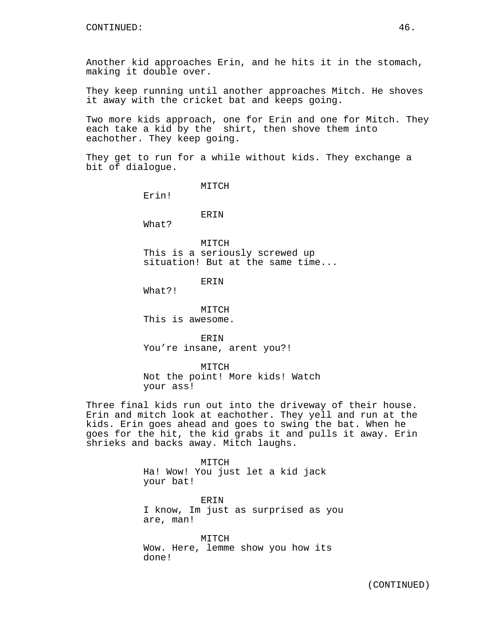Another kid approaches Erin, and he hits it in the stomach, making it double over.

They keep running until another approaches Mitch. He shoves it away with the cricket bat and keeps going.

Two more kids approach, one for Erin and one for Mitch. They each take a kid by the shirt, then shove them into eachother. They keep going.

They get to run for a while without kids. They exchange a bit of dialogue.

MITCH

Erin!

ERIN

What?

MITCH This is a seriously screwed up situation! But at the same time...

ERIN

What?!

MITCH This is awesome.

ERIN You're insane, arent you?!

MITCH Not the point! More kids! Watch your ass!

Three final kids run out into the driveway of their house. Erin and mitch look at eachother. They yell and run at the kids. Erin goes ahead and goes to swing the bat. When he goes for the hit, the kid grabs it and pulls it away. Erin shrieks and backs away. Mitch laughs.

> MITCH Ha! Wow! You just let a kid jack your bat!

ERIN I know, Im just as surprised as you are, man!

MITCH Wow. Here, lemme show you how its done!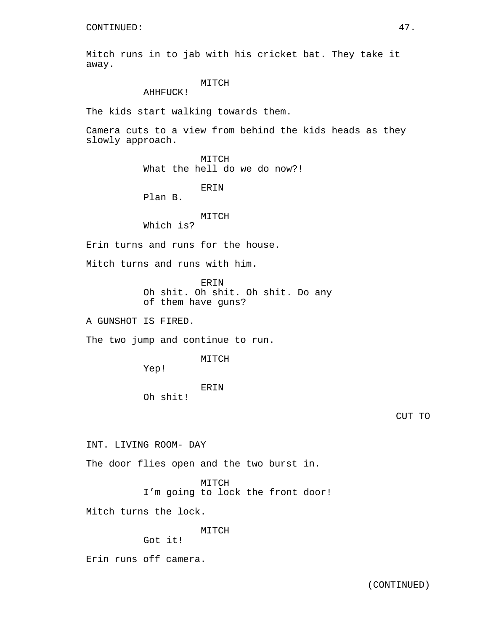Mitch runs in to jab with his cricket bat. They take it away.

# MITCH

AHHFUCK!

The kids start walking towards them.

Camera cuts to a view from behind the kids heads as they slowly approach.

> MITCH What the hell do we do now?!

> > ERIN

Plan B.

# MITCH

Which is?

Erin turns and runs for the house.

Mitch turns and runs with him.

ERIN Oh shit. Oh shit. Oh shit. Do any of them have guns?

A GUNSHOT IS FIRED.

The two jump and continue to run.

MITCH

Yep!

ERIN

Oh shit!

CUT TO

INT. LIVING ROOM- DAY

The door flies open and the two burst in.

MITCH

I'm going to lock the front door!

Mitch turns the lock.

MITCH

Got it!

Erin runs off camera.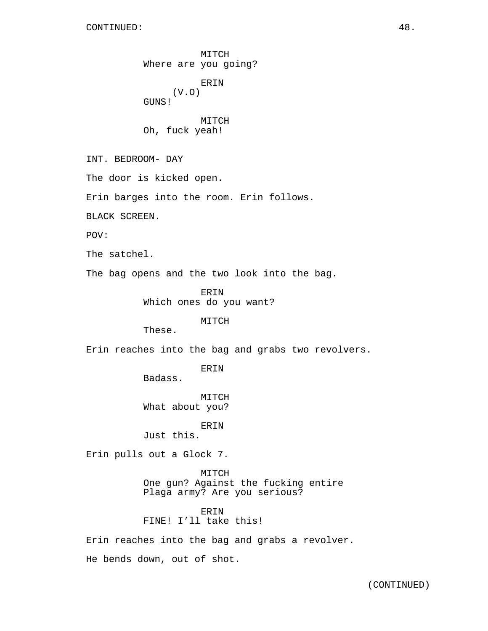MITCH Where are you going? ERIN (V.O) GUNS! MITCH Oh, fuck yeah! INT. BEDROOM- DAY The door is kicked open. Erin barges into the room. Erin follows. BLACK SCREEN. POV: The satchel. The bag opens and the two look into the bag. ERIN Which ones do you want? MITCH These. Erin reaches into the bag and grabs two revolvers. ERIN Badass. MITCH What about you? ERIN Just this. Erin pulls out a Glock 7. MITCH One gun? Against the fucking entire Plaga army? Are you serious? ERIN FINE! I'll take this! Erin reaches into the bag and grabs a revolver.

He bends down, out of shot.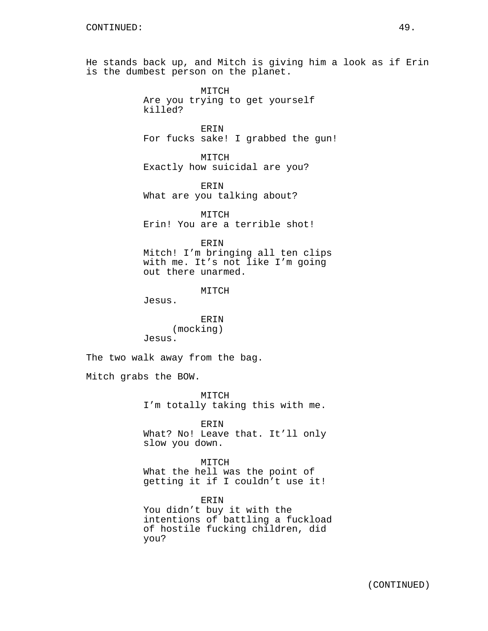He stands back up, and Mitch is giving him a look as if Erin is the dumbest person on the planet.

> MITCH Are you trying to get yourself killed?

ERIN For fucks sake! I grabbed the gun!

MITCH Exactly how suicidal are you?

ERIN What are you talking about?

MITCH Erin! You are a terrible shot!

ERIN Mitch! I'm bringing all ten clips with me. It's not like I'm going out there unarmed.

MITCH

Jesus.

ERIN (mocking) Jesus.

The two walk away from the bag.

Mitch grabs the BOW.

MITCH I'm totally taking this with me.

ERIN What? No! Leave that. It'll only slow you down.

MITCH What the hell was the point of getting it if I couldn't use it!

ERIN You didn't buy it with the intentions of battling a fuckload of hostile fucking children, did you?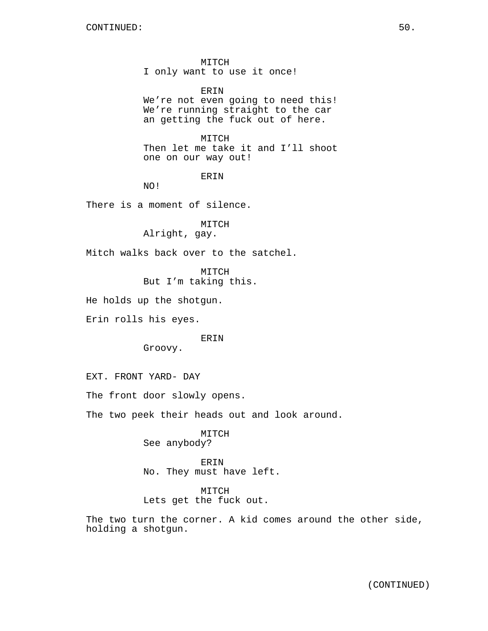MITCH I only want to use it once!

ERIN We're not even going to need this! We're running straight to the car an getting the fuck out of here.

MITCH Then let me take it and I'll shoot one on our way out!

ERIN

NO!

There is a moment of silence.

MITCH

Alright, gay.

Mitch walks back over to the satchel.

MITCH

But I'm taking this.

He holds up the shotgun.

Erin rolls his eyes.

ERIN

Groovy.

EXT. FRONT YARD- DAY

The front door slowly opens.

The two peek their heads out and look around.

MITCH See anybody?

ERIN No. They must have left.

MITCH Lets get the fuck out.

The two turn the corner. A kid comes around the other side, holding a shotgun.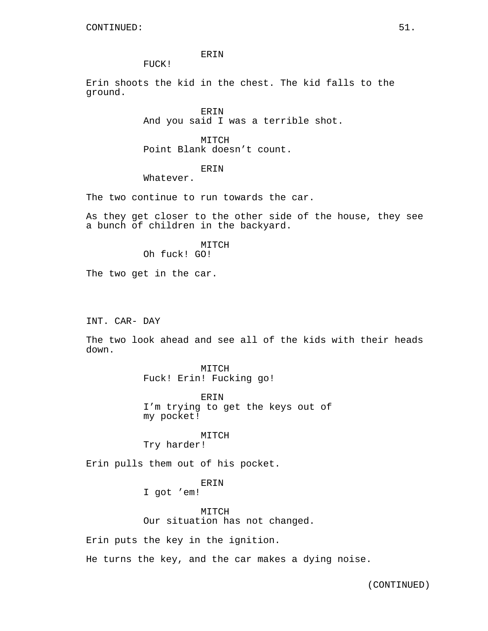ERIN

FUCK!

Erin shoots the kid in the chest. The kid falls to the ground.

> ERIN And you said I was a terrible shot.

MITCH Point Blank doesn't count.

**ERIN** 

Whatever.

The two continue to run towards the car.

As they get closer to the other side of the house, they see a bunch of children in the backyard.

# MITCH

Oh fuck! GO!

The two get in the car.

INT. CAR- DAY

The two look ahead and see all of the kids with their heads down.

> MITCH Fuck! Erin! Fucking go!

ERIN I'm trying to get the keys out of my pocket!

# MITCH

Try harder!

Erin pulls them out of his pocket.

ERIN

I got 'em!

MITCH Our situation has not changed.

Erin puts the key in the ignition.

He turns the key, and the car makes a dying noise.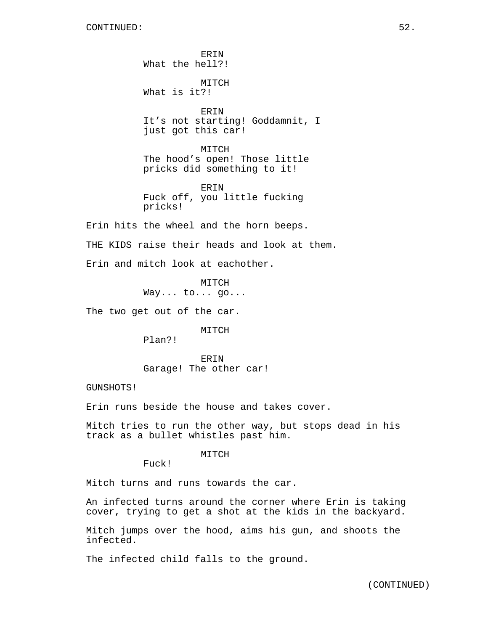ERIN What the hell?! MITCH What is it?! ERIN It's not starting! Goddamnit, I just got this car! MITCH The hood's open! Those little pricks did something to it! **ERIN** Fuck off, you little fucking pricks! Erin hits the wheel and the horn beeps. THE KIDS raise their heads and look at them. Erin and mitch look at eachother.

> MITCH Way... to... go...

The two get out of the car.

MITCH

Plan?!

ERIN Garage! The other car!

GUNSHOTS!

Erin runs beside the house and takes cover.

Mitch tries to run the other way, but stops dead in his track as a bullet whistles past him.

MITCH

Fuck!

Mitch turns and runs towards the car.

An infected turns around the corner where Erin is taking cover, trying to get a shot at the kids in the backyard.

Mitch jumps over the hood, aims his gun, and shoots the infected.

The infected child falls to the ground.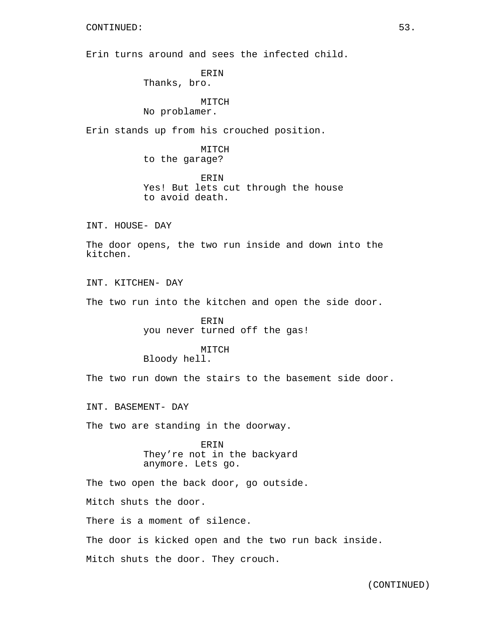Erin turns around and sees the infected child.

ERIN Thanks, bro.

MITCH No problamer.

Erin stands up from his crouched position.

MITCH to the garage?

ERIN Yes! But lets cut through the house to avoid death.

INT. HOUSE- DAY

The door opens, the two run inside and down into the kitchen.

INT. KITCHEN- DAY The two run into the kitchen and open the side door.

> ERIN you never turned off the gas!

### MITCH Bloody hell.

The two run down the stairs to the basement side door.

INT. BASEMENT- DAY

The two are standing in the doorway.

ERIN They're not in the backyard anymore. Lets go.

The two open the back door, go outside.

Mitch shuts the door.

There is a moment of silence.

The door is kicked open and the two run back inside.

Mitch shuts the door. They crouch.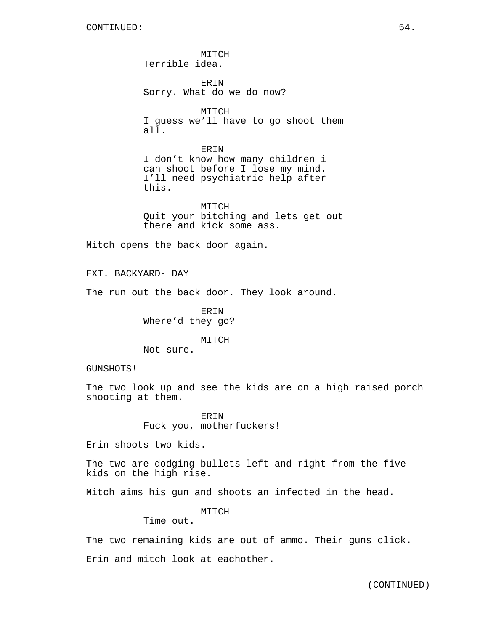**MTTCH** Terrible idea.

ERIN Sorry. What do we do now?

MITCH I guess we'll have to go shoot them all.

ERIN I don't know how many children i can shoot before I lose my mind. I'll need psychiatric help after this.

MITCH Quit your bitching and lets get out there and kick some ass.

Mitch opens the back door again.

EXT. BACKYARD- DAY

The run out the back door. They look around.

ERIN Where'd they go?

MITCH

Not sure.

GUNSHOTS!

The two look up and see the kids are on a high raised porch shooting at them.

> ERIN Fuck you, motherfuckers!

Erin shoots two kids.

The two are dodging bullets left and right from the five kids on the high rise.

Mitch aims his gun and shoots an infected in the head.

MITCH

Time out.

The two remaining kids are out of ammo. Their guns click. Erin and mitch look at eachother.

(CONTINUED)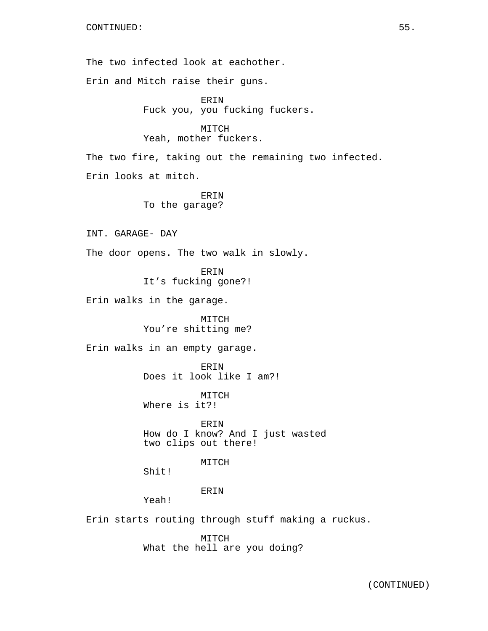The two infected look at eachother.

Erin and Mitch raise their guns.

ERIN Fuck you, you fucking fuckers.

MITCH Yeah, mother fuckers.

The two fire, taking out the remaining two infected. Erin looks at mitch.

> ERIN To the garage?

INT. GARAGE- DAY

The door opens. The two walk in slowly.

ERIN It's fucking gone?!

Erin walks in the garage.

MITCH You're shitting me?

Erin walks in an empty garage.

ERIN Does it look like I am?!

MITCH Where is it?!

ERIN How do I know? And I just wasted two clips out there!

MITCH

Shit!

ERIN

Yeah!

Erin starts routing through stuff making a ruckus.

MITCH What the hell are you doing?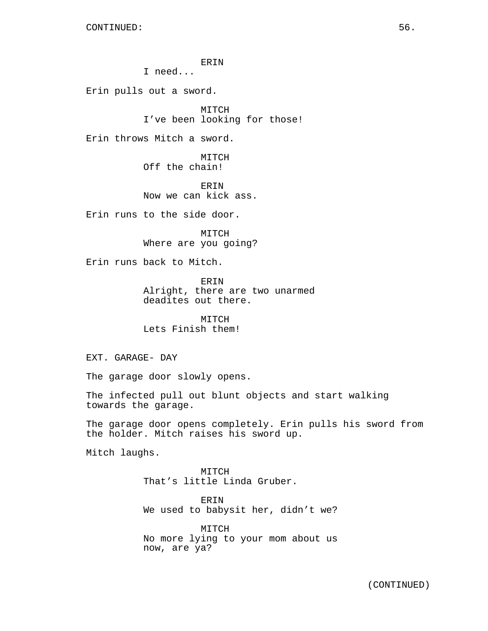ERIN

I need...

Erin pulls out a sword.

MITCH I've been looking for those!

Erin throws Mitch a sword.

MITCH Off the chain!

ERIN Now we can kick ass.

Erin runs to the side door.

MITCH Where are you going?

Erin runs back to Mitch.

ERIN Alright, there are two unarmed deadites out there.

MITCH Lets Finish them!

EXT. GARAGE- DAY

The garage door slowly opens.

The infected pull out blunt objects and start walking towards the garage.

The garage door opens completely. Erin pulls his sword from the holder. Mitch raises his sword up.

Mitch laughs.

MITCH That's little Linda Gruber.

ERIN We used to babysit her, didn't we?

MITCH No more lying to your mom about us now, are ya?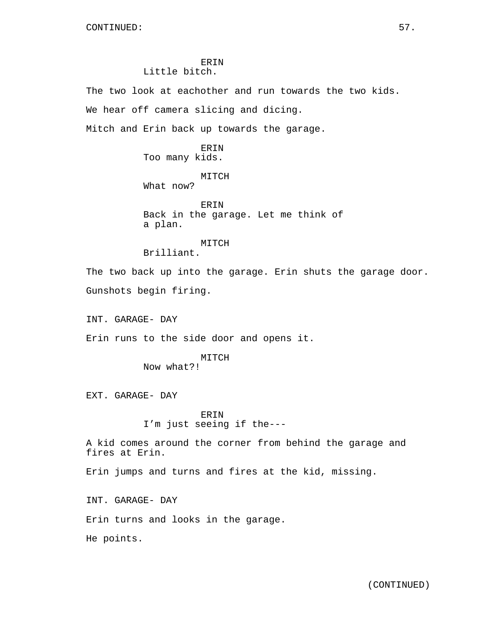# ERIN Little bitch.

The two look at eachother and run towards the two kids.

We hear off camera slicing and dicing.

Mitch and Erin back up towards the garage.

ERIN Too many kids.

MITCH

What now?

ERIN Back in the garage. Let me think of a plan.

MITCH

Brilliant.

The two back up into the garage. Erin shuts the garage door. Gunshots begin firing.

INT. GARAGE- DAY

Erin runs to the side door and opens it.

MITCH Now what?!

EXT. GARAGE- DAY

**ERIN** I'm just seeing if the---

A kid comes around the corner from behind the garage and fires at Erin.

Erin jumps and turns and fires at the kid, missing.

INT. GARAGE- DAY

Erin turns and looks in the garage.

He points.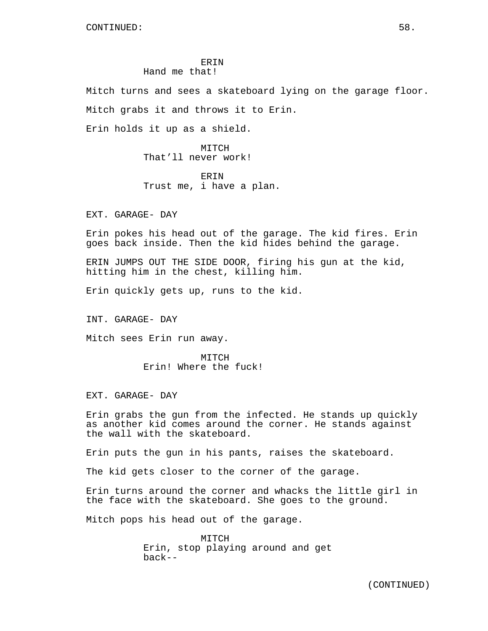# **ERIN** Hand me that!

Mitch turns and sees a skateboard lying on the garage floor. Mitch grabs it and throws it to Erin.

Erin holds it up as a shield.

MITCH That'll never work!

ERIN Trust me, i have a plan.

EXT. GARAGE- DAY

Erin pokes his head out of the garage. The kid fires. Erin goes back inside. Then the kid hides behind the garage.

ERIN JUMPS OUT THE SIDE DOOR, firing his gun at the kid, hitting him in the chest, killing him.

Erin quickly gets up, runs to the kid.

INT. GARAGE- DAY

Mitch sees Erin run away.

MITCH Erin! Where the fuck!

EXT. GARAGE- DAY

Erin grabs the gun from the infected. He stands up quickly as another kid comes around the corner. He stands against the wall with the skateboard.

Erin puts the gun in his pants, raises the skateboard.

The kid gets closer to the corner of the garage.

Erin turns around the corner and whacks the little girl in the face with the skateboard. She goes to the ground.

Mitch pops his head out of the garage.

MITCH Erin, stop playing around and get back--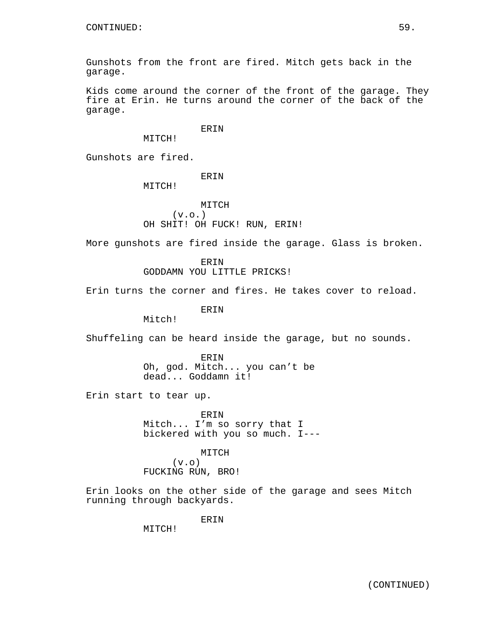Gunshots from the front are fired. Mitch gets back in the garage.

Kids come around the corner of the front of the garage. They fire at Erin. He turns around the corner of the back of the garage.

ERIN

Gunshots are fired.

ERIN

MITCH!

MITCH!

MITCH  $(v.o.)$ OH SHIT! OH FUCK! RUN, ERIN!

More gunshots are fired inside the garage. Glass is broken.

ERIN GODDAMN YOU LITTLE PRICKS!

Erin turns the corner and fires. He takes cover to reload.

ERIN

Mitch!

Shuffeling can be heard inside the garage, but no sounds.

ERIN Oh, god. Mitch... you can't be dead... Goddamn it!

Erin start to tear up.

ERIN Mitch... I'm so sorry that I bickered with you so much. I---

MITCH

 $(v \cdot o)$ FUCKING RUN, BRO!

Erin looks on the other side of the garage and sees Mitch running through backyards.

ERIN

MITCH!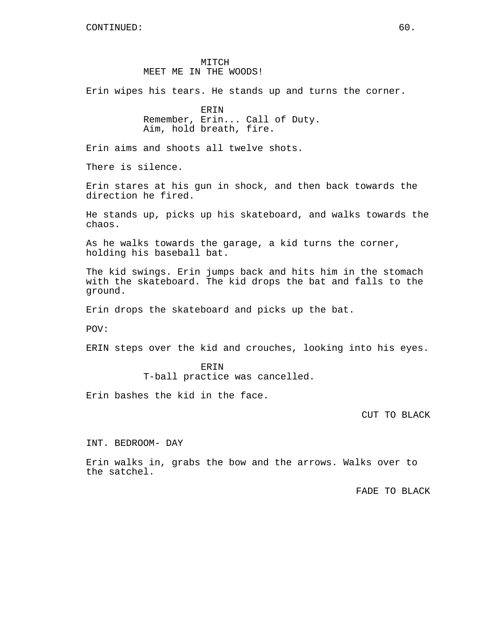# MITCH MEET ME IN THE WOODS!

Erin wipes his tears. He stands up and turns the corner.

ERIN Remember, Erin... Call of Duty. Aim, hold breath, fire.

Erin aims and shoots all twelve shots.

There is silence.

Erin stares at his gun in shock, and then back towards the direction he fired.

He stands up, picks up his skateboard, and walks towards the chaos.

As he walks towards the garage, a kid turns the corner, holding his baseball bat.

The kid swings. Erin jumps back and hits him in the stomach with the skateboard. The kid drops the bat and falls to the ground.

Erin drops the skateboard and picks up the bat.

POV:

ERIN steps over the kid and crouches, looking into his eyes.

# ERIN T-ball practice was cancelled.

Erin bashes the kid in the face.

CUT TO BLACK

INT. BEDROOM- DAY

Erin walks in, grabs the bow and the arrows. Walks over to the satchel.

FADE TO BLACK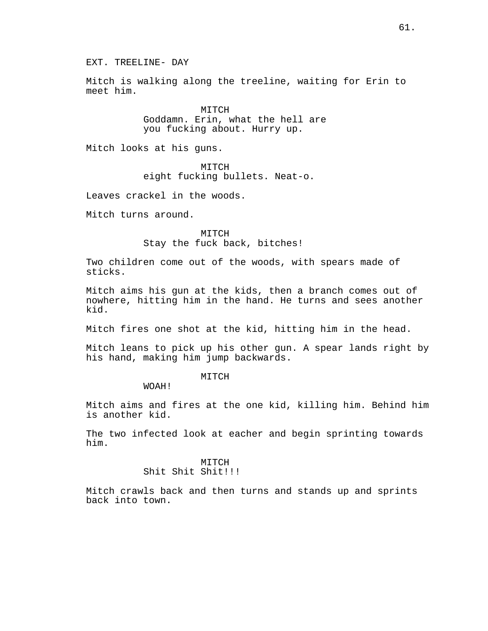Mitch is walking along the treeline, waiting for Erin to meet him.

> MITCH Goddamn. Erin, what the hell are you fucking about. Hurry up.

Mitch looks at his guns.

MITCH eight fucking bullets. Neat-o.

Leaves crackel in the woods.

Mitch turns around.

MITCH Stay the fuck back, bitches!

Two children come out of the woods, with spears made of sticks.

Mitch aims his gun at the kids, then a branch comes out of nowhere, hitting him in the hand. He turns and sees another kid.

Mitch fires one shot at the kid, hitting him in the head.

Mitch leans to pick up his other gun. A spear lands right by his hand, making him jump backwards.

### MITCH

WOAH!

Mitch aims and fires at the one kid, killing him. Behind him is another kid.

The two infected look at eacher and begin sprinting towards him.

> MITCH Shit Shit Shit!!!

Mitch crawls back and then turns and stands up and sprints back into town.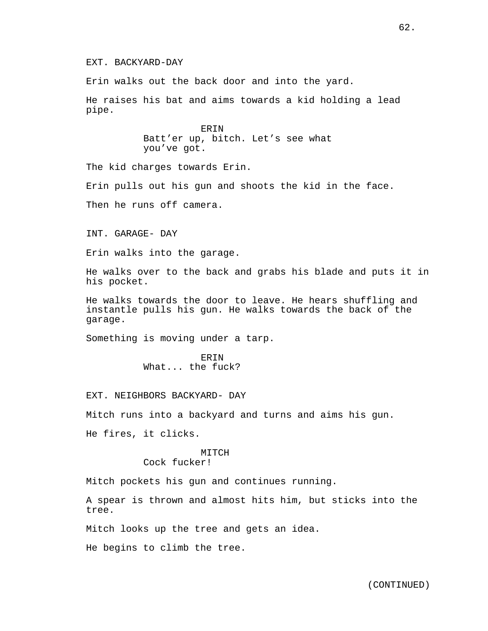### EXT. BACKYARD-DAY

Erin walks out the back door and into the yard.

He raises his bat and aims towards a kid holding a lead pipe.

> **ERIN** Batt'er up, bitch. Let's see what you've got.

The kid charges towards Erin.

Erin pulls out his gun and shoots the kid in the face.

Then he runs off camera.

INT. GARAGE- DAY

Erin walks into the garage.

He walks over to the back and grabs his blade and puts it in his pocket.

He walks towards the door to leave. He hears shuffling and instantle pulls his gun. He walks towards the back of the garage.

Something is moving under a tarp.

ERIN What... the fuck?

EXT. NEIGHBORS BACKYARD- DAY

Mitch runs into a backyard and turns and aims his gun.

He fires, it clicks.

# MTTCH

Cock fucker!

Mitch pockets his gun and continues running.

A spear is thrown and almost hits him, but sticks into the tree.

Mitch looks up the tree and gets an idea.

He begins to climb the tree.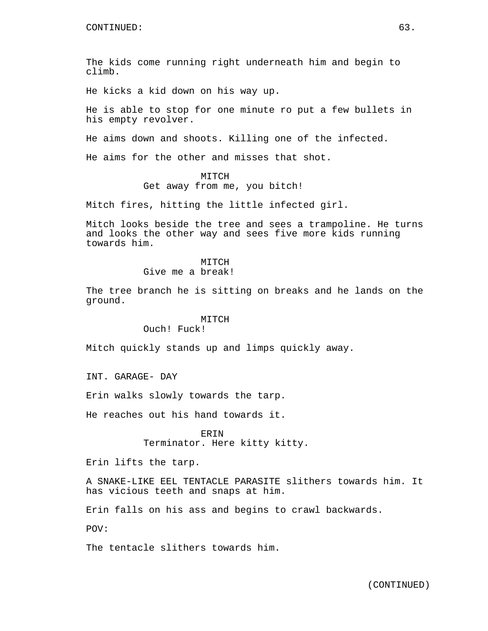The kids come running right underneath him and begin to climb.

He kicks a kid down on his way up.

He is able to stop for one minute ro put a few bullets in his empty revolver.

He aims down and shoots. Killing one of the infected.

He aims for the other and misses that shot.

# MITCH

Get away from me, you bitch!

Mitch fires, hitting the little infected girl.

Mitch looks beside the tree and sees a trampoline. He turns and looks the other way and sees five more kids running towards him.

# MITCH

Give me a break!

The tree branch he is sitting on breaks and he lands on the ground.

# MITCH

Ouch! Fuck!

Mitch quickly stands up and limps quickly away.

INT. GARAGE- DAY

Erin walks slowly towards the tarp.

He reaches out his hand towards it.

**ERIN** Terminator. Here kitty kitty.

Erin lifts the tarp.

A SNAKE-LIKE EEL TENTACLE PARASITE slithers towards him. It has vicious teeth and snaps at him.

Erin falls on his ass and begins to crawl backwards.

POV:

The tentacle slithers towards him.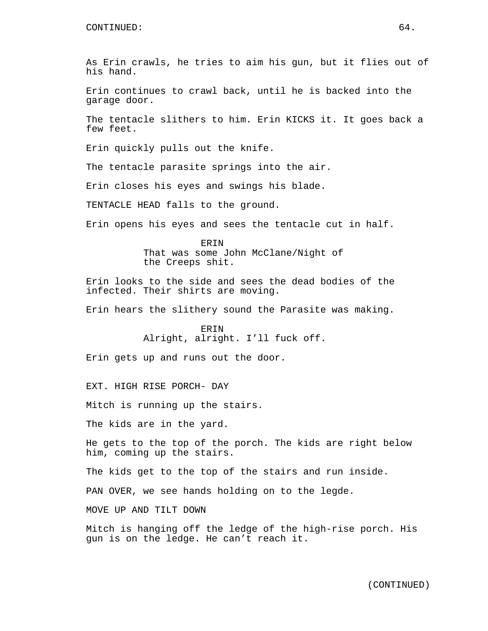As Erin crawls, he tries to aim his gun, but it flies out of his hand.

Erin continues to crawl back, until he is backed into the garage door.

The tentacle slithers to him. Erin KICKS it. It goes back a few feet.

Erin quickly pulls out the knife.

The tentacle parasite springs into the air.

Erin closes his eyes and swings his blade.

TENTACLE HEAD falls to the ground.

Erin opens his eyes and sees the tentacle cut in half.

ERIN That was some John McClane/Night of the Creeps shit.

Erin looks to the side and sees the dead bodies of the infected. Their shirts are moving.

Erin hears the slithery sound the Parasite was making.

ERIN Alright, alright. I'll fuck off.

Erin gets up and runs out the door.

EXT. HIGH RISE PORCH- DAY

Mitch is running up the stairs.

The kids are in the yard.

He gets to the top of the porch. The kids are right below him, coming up the stairs.

The kids get to the top of the stairs and run inside.

PAN OVER, we see hands holding on to the legde.

MOVE UP AND TILT DOWN

Mitch is hanging off the ledge of the high-rise porch. His gun is on the ledge. He can't reach it.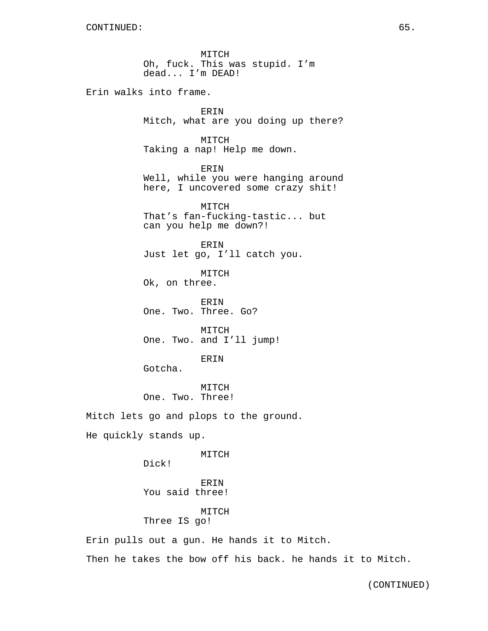MITCH Oh, fuck. This was stupid. I'm dead... I'm DEAD!

Erin walks into frame.

ERIN Mitch, what are you doing up there?

MITCH Taking a nap! Help me down.

ERIN

Well, while you were hanging around here, I uncovered some crazy shit!

MITCH That's fan-fucking-tastic... but can you help me down?!

ERIN Just let go, I'll catch you.

MITCH Ok, on three.

ERIN One. Two. Three. Go?

MITCH One. Two. and I'll jump!

### ERIN

Gotcha.

MITCH One. Two. Three!

Mitch lets go and plops to the ground.

He quickly stands up.

### MITCH

Dick!

ERIN You said three!

# MITCH

Three IS go!

Erin pulls out a gun. He hands it to Mitch.

Then he takes the bow off his back. he hands it to Mitch.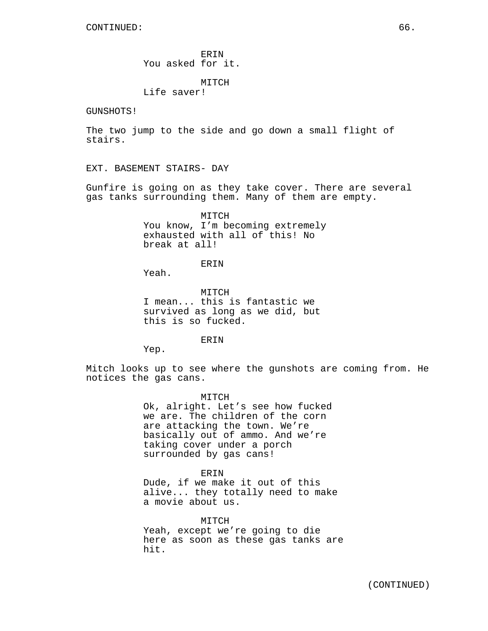ERIN You asked for it.

MITCH

Life saver!

GUNSHOTS!

The two jump to the side and go down a small flight of stairs.

EXT. BASEMENT STAIRS- DAY

Gunfire is going on as they take cover. There are several gas tanks surrounding them. Many of them are empty.

> MITCH You know, I'm becoming extremely exhausted with all of this! No break at all!

> > **ERIN**

Yeah.

MITCH I mean... this is fantastic we survived as long as we did, but this is so fucked.

ERIN

Yep.

Mitch looks up to see where the gunshots are coming from. He notices the gas cans.

> MITCH Ok, alright. Let's see how fucked we are. The children of the corn are attacking the town. We're basically out of ammo. And we're taking cover under a porch surrounded by gas cans!

> > ERIN

Dude, if we make it out of this alive... they totally need to make a movie about us.

MITCH Yeah, except we're going to die here as soon as these gas tanks are hit.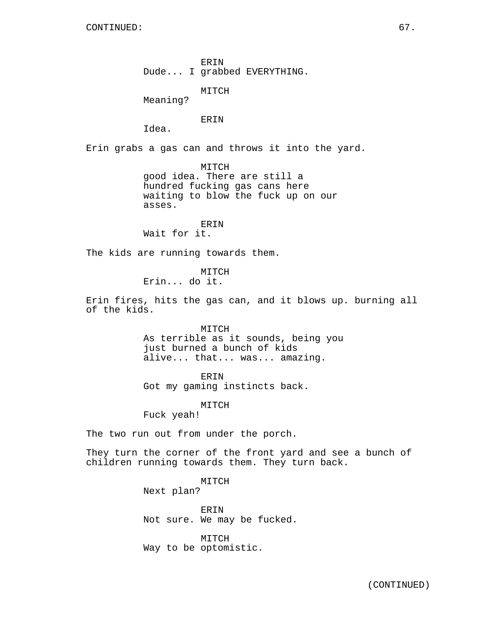ERIN Dude... I grabbed EVERYTHING.

MITCH

Meaning?

ERIN

Idea.

Erin grabs a gas can and throws it into the yard.

MITCH

good idea. There are still a hundred fucking gas cans here waiting to blow the fuck up on our asses.

ERIN Wait for it.

The kids are running towards them.

MITCH

Erin... do it.

Erin fires, hits the gas can, and it blows up. burning all of the kids.

MITCH

As terrible as it sounds, being you just burned a bunch of kids alive... that... was... amazing.

ERIN

Got my gaming instincts back.

MITCH

Fuck yeah!

The two run out from under the porch.

They turn the corner of the front yard and see a bunch of children running towards them. They turn back.

> MITCH Next plan?

ERIN Not sure. We may be fucked.

MITCH Way to be optomistic.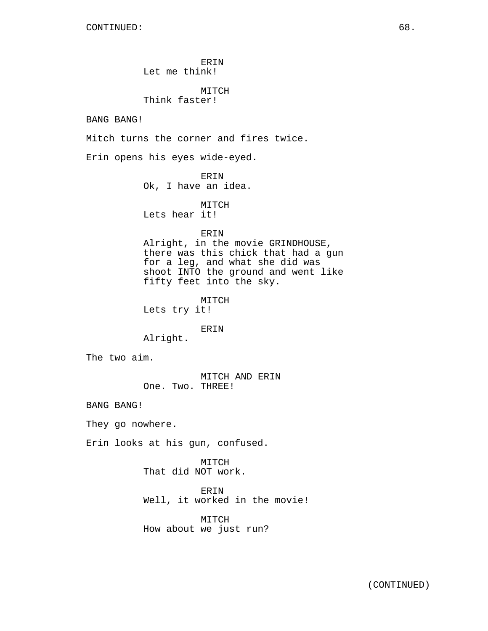ERIN Let me think! MITCH Think faster! BANG BANG! Mitch turns the corner and fires twice. Erin opens his eyes wide-eyed. ERIN Ok, I have an idea. MITCH Lets hear it! ERIN Alright, in the movie GRINDHOUSE, there was this chick that had a gun for a leg, and what she did was shoot INTO the ground and went like fifty feet into the sky. MITCH Lets try it! ERIN Alright. The two aim. MITCH AND ERIN One. Two. THREE! BANG BANG! They go nowhere. Erin looks at his gun, confused. MITCH That did NOT work. ERIN Well, it worked in the movie! MITCH How about we just run?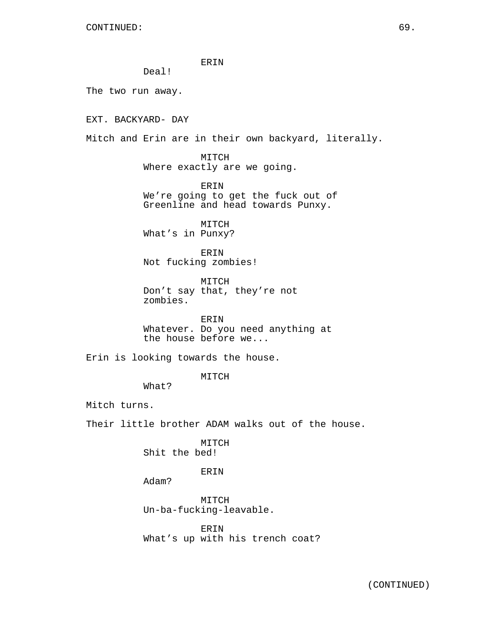ERIN

Deal!

The two run away.

EXT. BACKYARD- DAY

Mitch and Erin are in their own backyard, literally.

MITCH Where exactly are we going.

ERIN We're going to get the fuck out of Greenline and head towards Punxy.

MITCH What's in Punxy?

ERIN Not fucking zombies!

MITCH Don't say that, they're not zombies.

ERIN Whatever. Do you need anything at the house before we...

Erin is looking towards the house.

### MITCH

What?

Mitch turns.

Their little brother ADAM walks out of the house.

MITCH Shit the bed!

ERIN

Adam?

MITCH Un-ba-fucking-leavable.

ERIN What's up with his trench coat?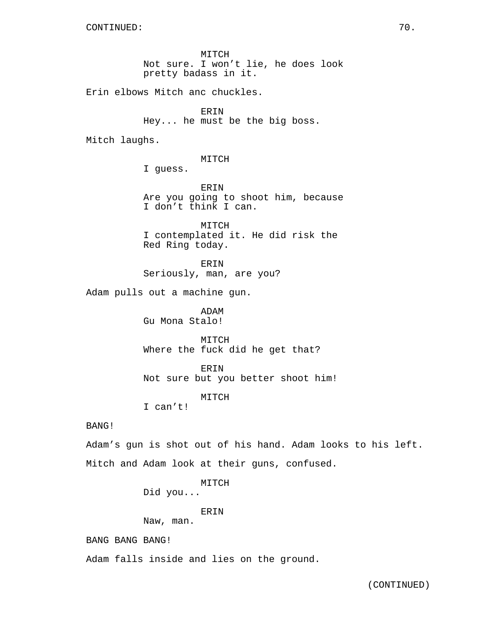MITCH Not sure. I won't lie, he does look pretty badass in it.

Erin elbows Mitch anc chuckles.

ERIN Hey... he must be the big boss.

Mitch laughs.

MITCH

I guess.

ERIN Are you going to shoot him, because I don't think I can.

MITCH I contemplated it. He did risk the Red Ring today.

ERIN Seriously, man, are you?

Adam pulls out a machine gun.

ADAM Gu Mona Stalo!

MITCH Where the fuck did he get that?

ERIN Not sure but you better shoot him!

MITCH

I can't!

# BANG!

Adam's gun is shot out of his hand. Adam looks to his left. Mitch and Adam look at their guns, confused.

MITCH

Did you...

ERIN

Naw, man.

BANG BANG BANG!

Adam falls inside and lies on the ground.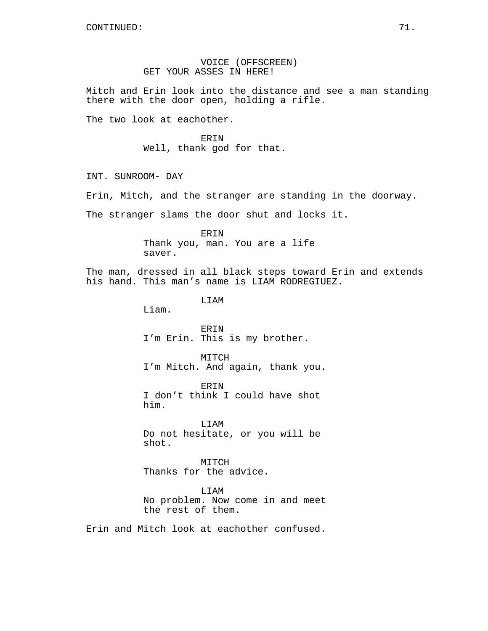# VOICE (OFFSCREEN) GET YOUR ASSES IN HERE!

Mitch and Erin look into the distance and see a man standing there with the door open, holding a rifle.

The two look at eachother.

ERIN Well, thank god for that.

INT. SUNROOM- DAY

Erin, Mitch, and the stranger are standing in the doorway.

The stranger slams the door shut and locks it.

ERIN Thank you, man. You are a life saver.

The man, dressed in all black steps toward Erin and extends his hand. This man's name is LIAM RODREGIUEZ.

LIAM

Liam.

ERIN I'm Erin. This is my brother.

MITCH I'm Mitch. And again, thank you.

ERIN I don't think I could have shot him.

LIAM Do not hesitate, or you will be shot.

MITCH Thanks for the advice.

LIAM No problem. Now come in and meet the rest of them.

Erin and Mitch look at eachother confused.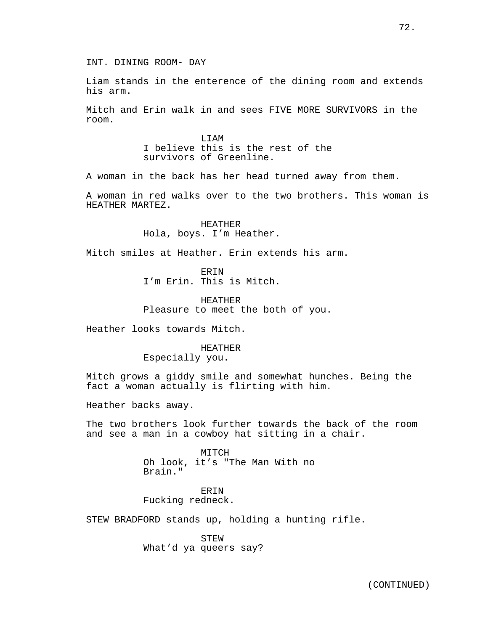72.

INT. DINING ROOM- DAY

Liam stands in the enterence of the dining room and extends his arm.

Mitch and Erin walk in and sees FIVE MORE SURVIVORS in the room.

> LIAM I believe this is the rest of the survivors of Greenline.

A woman in the back has her head turned away from them.

A woman in red walks over to the two brothers. This woman is HEATHER MARTEZ.

> HEATHER Hola, boys. I'm Heather.

Mitch smiles at Heather. Erin extends his arm.

ERIN I'm Erin. This is Mitch.

HEATHER Pleasure to meet the both of you.

Heather looks towards Mitch.

# HEATHER Especially you.

Mitch grows a giddy smile and somewhat hunches. Being the fact a woman actually is flirting with him.

Heather backs away.

The two brothers look further towards the back of the room and see a man in a cowboy hat sitting in a chair.

> MITCH Oh look, it's "The Man With no Brain."

ERIN Fucking redneck.

STEW BRADFORD stands up, holding a hunting rifle.

STEW What'd ya queers say?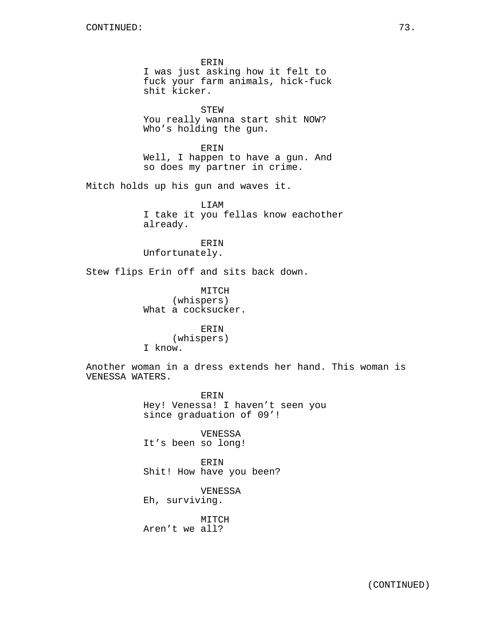ERIN I was just asking how it felt to fuck your farm animals, hick-fuck shit kicker.

STEW You really wanna start shit NOW? Who's holding the gun.

ERIN Well, I happen to have a gun. And so does my partner in crime.

Mitch holds up his gun and waves it.

LIAM I take it you fellas know eachother already.

ERIN Unfortunately.

Stew flips Erin off and sits back down.

MITCH (whispers) What a cocksucker.

ERIN (whispers) I know.

Another woman in a dress extends her hand. This woman is VENESSA WATERS.

> ERIN Hey! Venessa! I haven't seen you since graduation of 09'!

VENESSA It's been so long!

ERIN Shit! How have you been?

VENESSA Eh, surviving.

MITCH Aren't we all?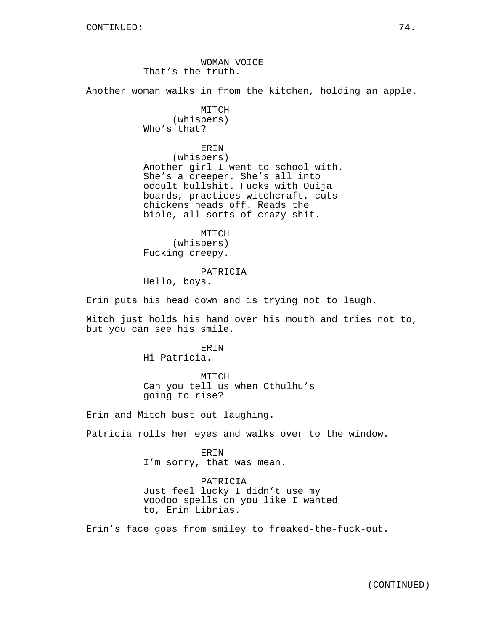WOMAN VOICE That's the truth.

Another woman walks in from the kitchen, holding an apple.

MITCH (whispers) Who's that?

ERIN

(whispers) Another girl I went to school with. She's a creeper. She's all into occult bullshit. Fucks with Ouija boards, practices witchcraft, cuts chickens heads off. Reads the bible, all sorts of crazy shit.

MITCH (whispers) Fucking creepy.

PATRICIA

Hello, boys.

Erin puts his head down and is trying not to laugh.

Mitch just holds his hand over his mouth and tries not to, but you can see his smile.

> **ERIN** Hi Patricia.

MITCH Can you tell us when Cthulhu's going to rise?

Erin and Mitch bust out laughing.

Patricia rolls her eyes and walks over to the window.

ERIN I'm sorry, that was mean.

PATRICIA Just feel lucky I didn't use my voodoo spells on you like I wanted to, Erin Librias.

Erin's face goes from smiley to freaked-the-fuck-out.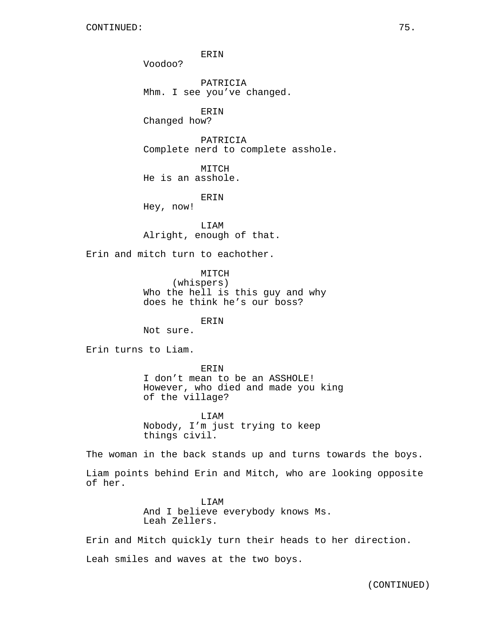Voodoo?

PATRICIA Mhm. I see you've changed.

ERIN

Changed how?

PATRICIA Complete nerd to complete asshole.

MITCH He is an asshole.

ERIN

Hey, now!

LIAM Alright, enough of that.

Erin and mitch turn to eachother.

MITCH (whispers) Who the hell is this guy and why does he think he's our boss?

ERIN

Not sure.

Erin turns to Liam.

#### ERIN

I don't mean to be an ASSHOLE! However, who died and made you king of the village?

LIAM Nobody, I'm just trying to keep things civil.

The woman in the back stands up and turns towards the boys.

Liam points behind Erin and Mitch, who are looking opposite of her.

> LIAM And I believe everybody knows Ms. Leah Zellers.

Erin and Mitch quickly turn their heads to her direction.

Leah smiles and waves at the two boys.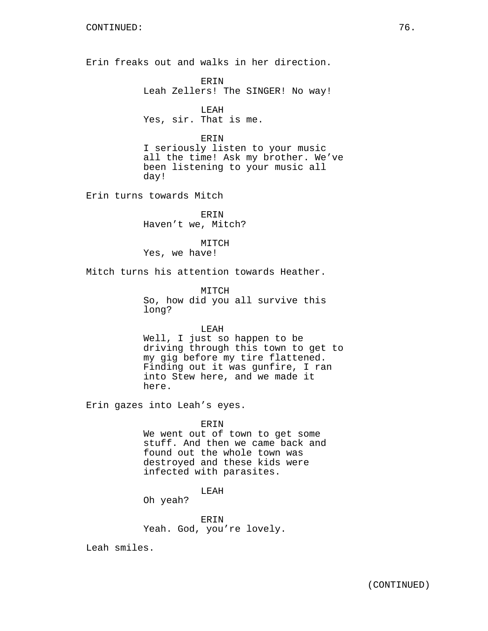Erin freaks out and walks in her direction.

ERIN Leah Zellers! The SINGER! No way!

LEAH Yes, sir. That is me.

ERIN

I seriously listen to your music all the time! Ask my brother. We've been listening to your music all day!

Erin turns towards Mitch

ERIN Haven't we, Mitch?

MITCH Yes, we have!

Mitch turns his attention towards Heather.

MITCH So, how did you all survive this long?

LEAH

Well, I just so happen to be driving through this town to get to my gig before my tire flattened. Finding out it was gunfire, I ran into Stew here, and we made it here.

Erin gazes into Leah's eyes.

## ERIN

We went out of town to get some stuff. And then we came back and found out the whole town was destroyed and these kids were infected with parasites.

LEAH

Oh yeah?

ERIN Yeah. God, you're lovely.

Leah smiles.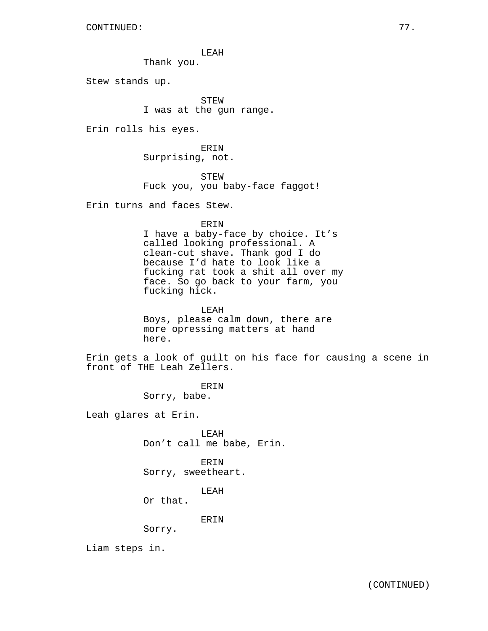LEAH

Thank you.

Stew stands up.

STEW I was at the gun range.

Erin rolls his eyes.

ERIN Surprising, not.

STEW Fuck you, you baby-face faggot!

Erin turns and faces Stew.

ERIN

I have a baby-face by choice. It's called looking professional. A clean-cut shave. Thank god I do because I'd hate to look like a fucking rat took a shit all over my face. So go back to your farm, you fucking hick.

LEAH Boys, please calm down, there are more opressing matters at hand here.

Erin gets a look of guilt on his face for causing a scene in front of THE Leah Zellers.

> ERIN Sorry, babe.

Leah glares at Erin.

LEAH Don't call me babe, Erin.

ERIN Sorry, sweetheart.

LEAH

Or that.

ERIN

Sorry.

Liam steps in.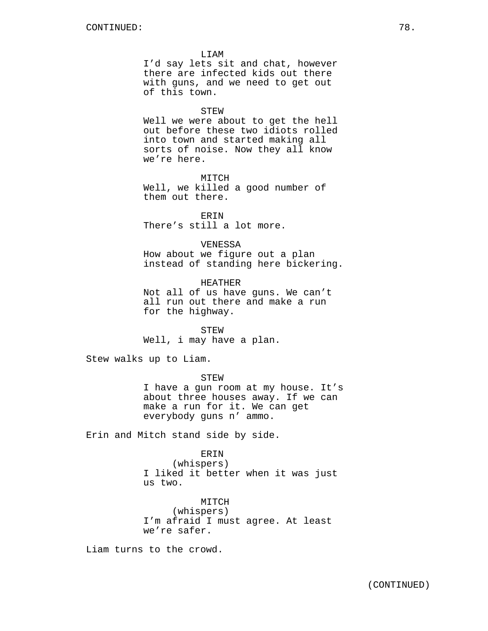LIAM

I'd say lets sit and chat, however there are infected kids out there with guns, and we need to get out of this town.

#### STEW

Well we were about to get the hell out before these two idiots rolled into town and started making all sorts of noise. Now they all know we're here.

#### MITCH

Well, we killed a good number of them out there.

ERIN There's still a lot more.

#### VENESSA

How about we figure out a plan instead of standing here bickering.

HEATHER Not all of us have guns. We can't all run out there and make a run for the highway.

STEW Well, i may have a plan.

Stew walks up to Liam.

STEW

I have a gun room at my house. It's about three houses away. If we can make a run for it. We can get everybody guns n' ammo.

Erin and Mitch stand side by side.

#### ERIN

(whispers) I liked it better when it was just us two.

MITCH (whispers) I'm afraid I must agree. At least we're safer.

Liam turns to the crowd.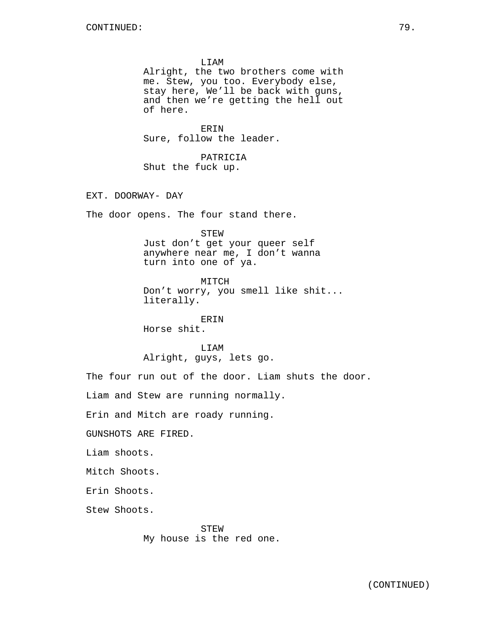LIAM Alright, the two brothers come with me. Stew, you too. Everybody else, stay here, We'll be back with guns,

and then we're getting the hell out of here.

ERIN Sure, follow the leader.

PATRICIA Shut the fuck up.

EXT. DOORWAY- DAY

The door opens. The four stand there.

STEW

Just don't get your queer self anywhere near me, I don't wanna turn into one of ya.

MITCH Don't worry, you smell like shit... literally.

ERIN Horse shit.

LIAM Alright, guys, lets go.

The four run out of the door. Liam shuts the door.

Liam and Stew are running normally.

Erin and Mitch are roady running.

GUNSHOTS ARE FIRED.

Liam shoots.

Mitch Shoots.

Erin Shoots.

Stew Shoots.

STEW My house is the red one.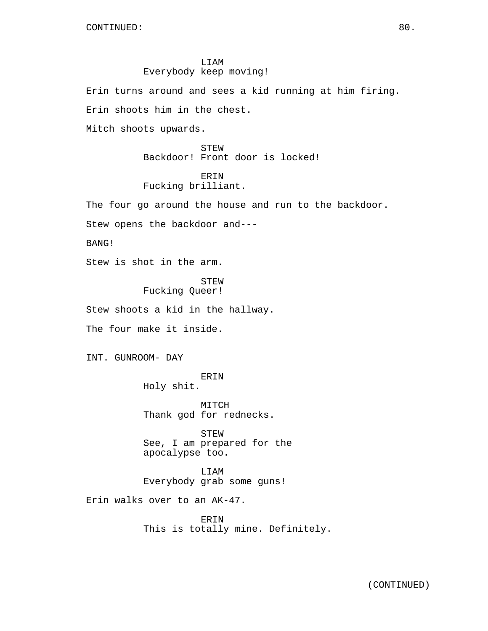# LIAM Everybody keep moving!

Erin turns around and sees a kid running at him firing.

Erin shoots him in the chest.

Mitch shoots upwards.

STEW Backdoor! Front door is locked!

# ERIN

Fucking brilliant.

The four go around the house and run to the backdoor.

Stew opens the backdoor and---

BANG!

Stew is shot in the arm.

STEW Fucking Queer!

Stew shoots a kid in the hallway.

The four make it inside.

INT. GUNROOM- DAY

ERIN Holy shit.

MITCH Thank god for rednecks.

STEW See, I am prepared for the apocalypse too.

LIAM Everybody grab some guns!

Erin walks over to an AK-47.

ERIN This is totally mine. Definitely.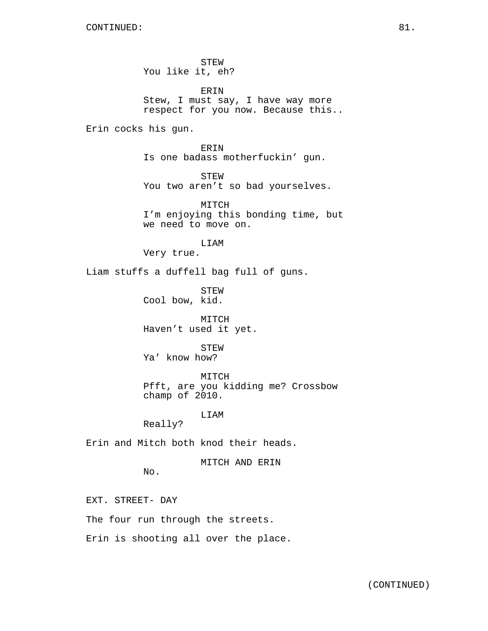STEW You like it, eh?

ERIN Stew, I must say, I have way more respect for you now. Because this..

Erin cocks his gun.

ERIN Is one badass motherfuckin' gun.

STEW You two aren't so bad yourselves.

MITCH I'm enjoying this bonding time, but we need to move on.

LIAM Very true.

Liam stuffs a duffell bag full of guns.

STEW Cool bow, kid.

MITCH Haven't used it yet.

STEW Ya' know how?

MITCH Pfft, are you kidding me? Crossbow champ of 2010.

LIAM

Really?

Erin and Mitch both knod their heads.

MITCH AND ERIN

No.

EXT. STREET- DAY

The four run through the streets.

Erin is shooting all over the place.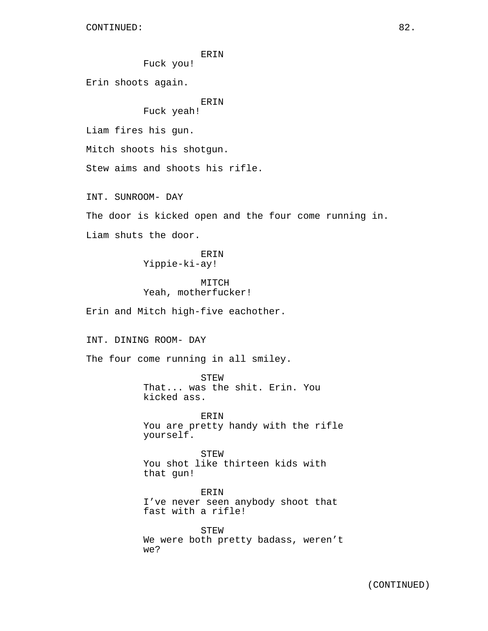Fuck you!

Erin shoots again.

# ERIN

# Fuck yeah!

Liam fires his gun.

Mitch shoots his shotgun.

Stew aims and shoots his rifle.

INT. SUNROOM- DAY

The door is kicked open and the four come running in.

Liam shuts the door.

ERIN Yippie-ki-ay!

# MITCH Yeah, motherfucker!

Erin and Mitch high-five eachother.

INT. DINING ROOM- DAY

The four come running in all smiley.

STEW That... was the shit. Erin. You kicked ass.

ERIN You are pretty handy with the rifle yourself.

STEW You shot like thirteen kids with that gun!

ERIN I've never seen anybody shoot that fast with a rifle!

STEW We were both pretty badass, weren't we?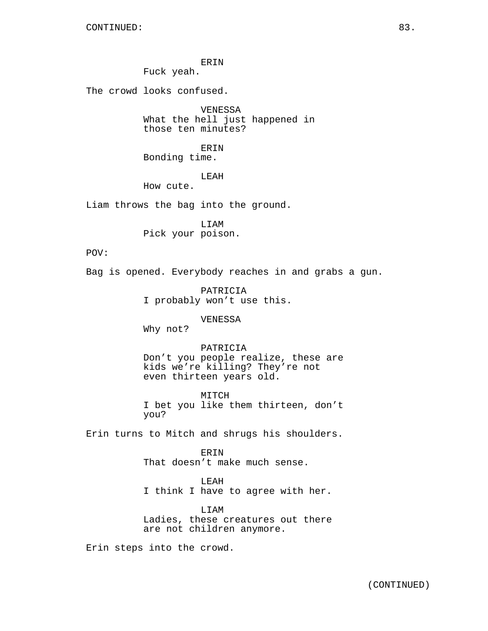Fuck yeah.

The crowd looks confused.

VENESSA What the hell just happened in those ten minutes?

ERIN

Bonding time.

LEAH

How cute.

Liam throws the bag into the ground.

LIAM Pick your poison.

POV:

Bag is opened. Everybody reaches in and grabs a gun.

PATRICIA I probably won't use this.

# VENESSA

Why not?

PATRICIA Don't you people realize, these are kids we're killing? They're not even thirteen years old.

MITCH I bet you like them thirteen, don't you?

Erin turns to Mitch and shrugs his shoulders.

ERIN That doesn't make much sense.

LEAH I think I have to agree with her.

LIAM Ladies, these creatures out there are not children anymore.

Erin steps into the crowd.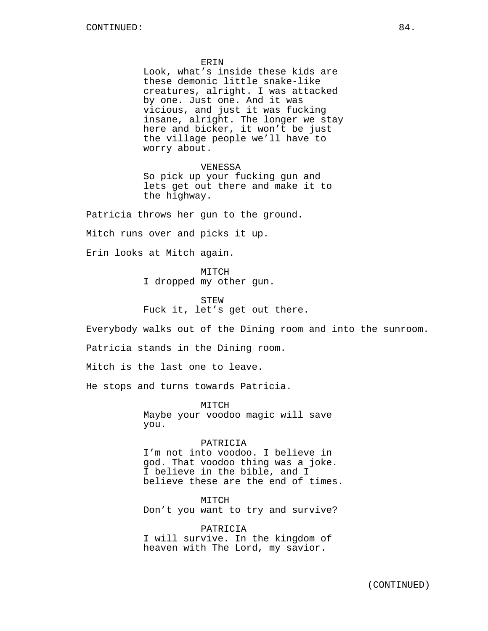Look, what's inside these kids are these demonic little snake-like creatures, alright. I was attacked by one. Just one. And it was vicious, and just it was fucking insane, alright. The longer we stay here and bicker, it won't be just the village people we'll have to worry about.

VENESSA

So pick up your fucking gun and lets get out there and make it to the highway.

Patricia throws her gun to the ground.

Mitch runs over and picks it up.

Erin looks at Mitch again.

MITCH

I dropped my other gun.

STEW Fuck it, let's get out there.

Everybody walks out of the Dining room and into the sunroom.

Patricia stands in the Dining room.

Mitch is the last one to leave.

He stops and turns towards Patricia.

MITCH Maybe your voodoo magic will save you.

PATRICIA I'm not into voodoo. I believe in god. That voodoo thing was a joke. I believe in the bible, and I believe these are the end of times.

MITCH Don't you want to try and survive?

PATRICIA I will survive. In the kingdom of heaven with The Lord, my savior.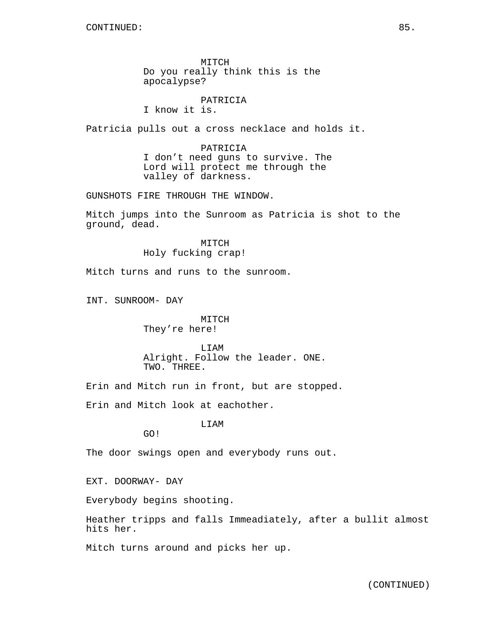MITCH Do you really think this is the apocalypse?

PATRICIA

I know it is.

Patricia pulls out a cross necklace and holds it.

PATRICIA I don't need guns to survive. The Lord will protect me through the valley of darkness.

GUNSHOTS FIRE THROUGH THE WINDOW.

Mitch jumps into the Sunroom as Patricia is shot to the ground, dead.

> MITCH Holy fucking crap!

Mitch turns and runs to the sunroom.

INT. SUNROOM- DAY

## MITCH They're here!

LIAM Alright. Follow the leader. ONE. TWO. THREE.

Erin and Mitch run in front, but are stopped.

Erin and Mitch look at eachother.

LIAM

GO!

The door swings open and everybody runs out.

EXT. DOORWAY- DAY

Everybody begins shooting.

Heather tripps and falls Immeadiately, after a bullit almost hits her.

Mitch turns around and picks her up.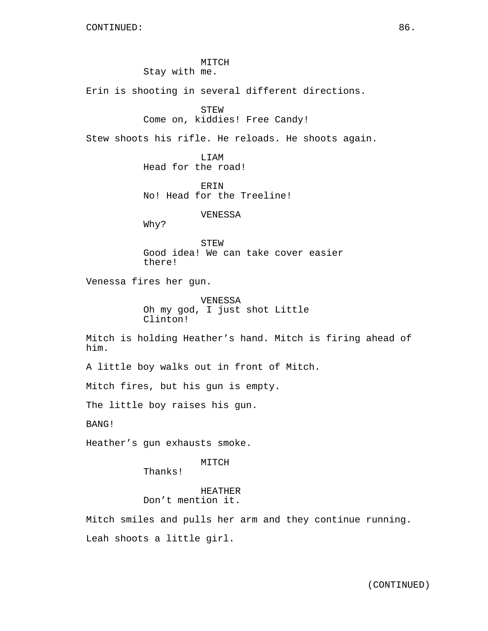MITCH Stay with me.

Erin is shooting in several different directions.

# STEW

Come on, kiddies! Free Candy!

Stew shoots his rifle. He reloads. He shoots again.

LIAM Head for the road!

ERIN No! Head for the Treeline!

## VENESSA

Why?

STEW Good idea! We can take cover easier there!

Venessa fires her gun.

VENESSA Oh my god, I just shot Little Clinton!

Mitch is holding Heather's hand. Mitch is firing ahead of him.

A little boy walks out in front of Mitch.

Mitch fires, but his gun is empty.

The little boy raises his gun.

BANG!

Heather's gun exhausts smoke.

# MITCH

Thanks!

HEATHER Don't mention it.

Mitch smiles and pulls her arm and they continue running. Leah shoots a little girl.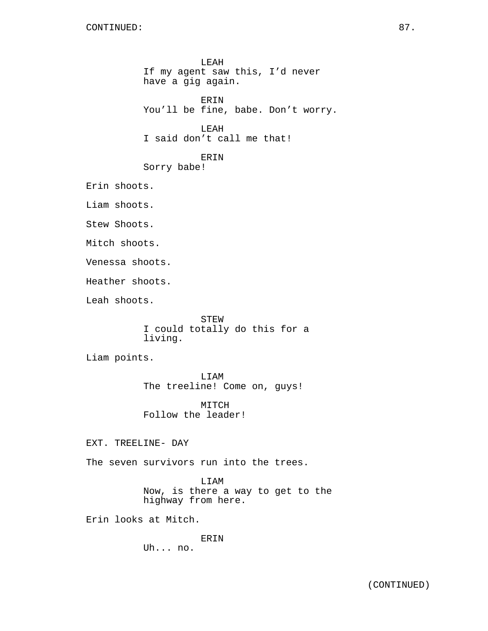LEAH If my agent saw this, I'd never have a gig again. ERIN You'll be fine, babe. Don't worry. LEAH I said don't call me that! ERIN Sorry babe! Erin shoots. Liam shoots. Stew Shoots. Mitch shoots. Venessa shoots. Heather shoots. Leah shoots. STEW I could totally do this for a living. Liam points. LIAM The treeline! Come on, guys!

MITCH Follow the leader!

EXT. TREELINE- DAY

The seven survivors run into the trees.

LIAM Now, is there a way to get to the highway from here.

Erin looks at Mitch.

ERIN Uh... no.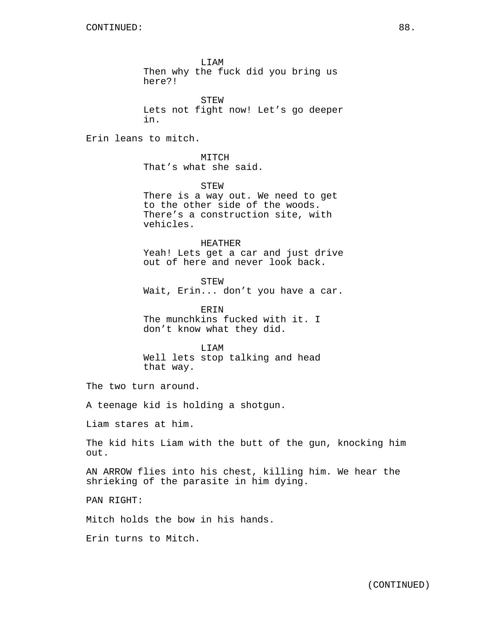LIAM Then why the fuck did you bring us here?!

STEW Lets not fight now! Let's go deeper in.

Erin leans to mitch.

MITCH That's what she said.

STEW There is a way out. We need to get to the other side of the woods. There's a construction site, with vehicles.

HEATHER Yeah! Lets get a car and just drive out of here and never look back.

STEW Wait, Erin... don't you have a car.

ERIN The munchkins fucked with it. I don't know what they did.

LIAM Well lets stop talking and head that way.

The two turn around.

A teenage kid is holding a shotgun.

Liam stares at him.

The kid hits Liam with the butt of the gun, knocking him out.

AN ARROW flies into his chest, killing him. We hear the shrieking of the parasite in him dying.

PAN RIGHT:

Mitch holds the bow in his hands.

Erin turns to Mitch.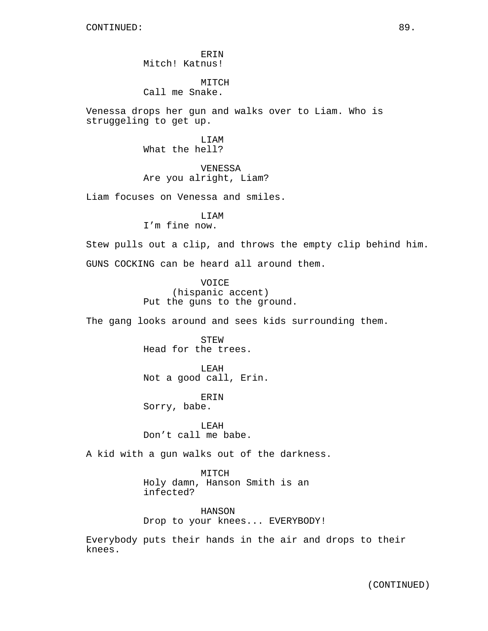ERIN Mitch! Katnus!

MITCH Call me Snake.

Venessa drops her gun and walks over to Liam. Who is struggeling to get up.

> LIAM What the hell?

VENESSA Are you alright, Liam?

Liam focuses on Venessa and smiles.

LIAM

I'm fine now.

Stew pulls out a clip, and throws the empty clip behind him. GUNS COCKING can be heard all around them.

> VOICE (hispanic accent) Put the guns to the ground.

The gang looks around and sees kids surrounding them.

STEW Head for the trees.

LEAH Not a good call, Erin.

ERIN Sorry, babe.

LEAH Don't call me babe.

A kid with a gun walks out of the darkness.

MITCH Holy damn, Hanson Smith is an infected?

HANSON Drop to your knees... EVERYBODY!

Everybody puts their hands in the air and drops to their knees.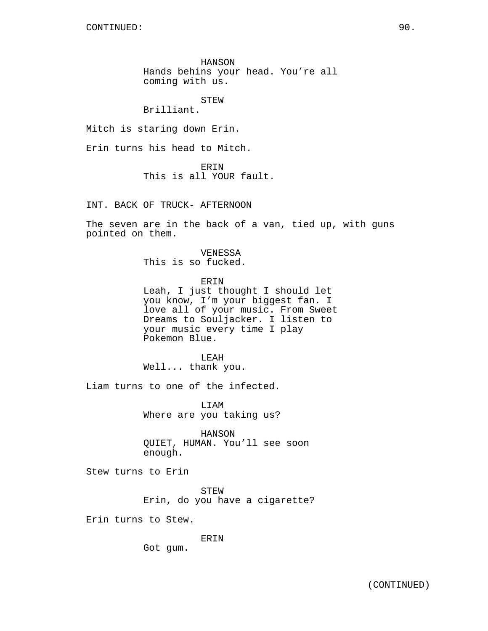HANSON Hands behins your head. You're all coming with us.

STEW

Brilliant.

Mitch is staring down Erin.

Erin turns his head to Mitch.

ERIN This is all YOUR fault.

INT. BACK OF TRUCK- AFTERNOON

The seven are in the back of a van, tied up, with guns pointed on them.

> VENESSA This is so fucked.

ERIN Leah, I just thought I should let you know, I'm your biggest fan. I love all of your music. From Sweet Dreams to Souljacker. I listen to your music every time I play Pokemon Blue.

LEAH Well... thank you.

Liam turns to one of the infected.

LIAM Where are you taking us?

HANSON QUIET, HUMAN. You'll see soon enough.

Stew turns to Erin

STEW Erin, do you have a cigarette?

Erin turns to Stew.

ERIN

Got gum.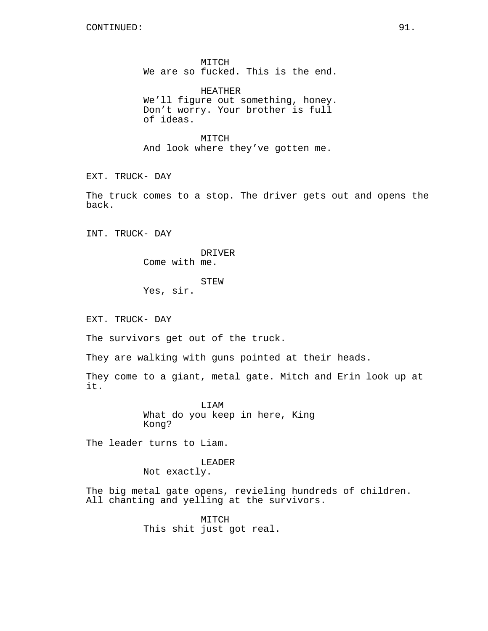MITCH We are so fucked. This is the end.

HEATHER We'll figure out something, honey. Don't worry. Your brother is full of ideas.

MITCH And look where they've gotten me.

EXT. TRUCK- DAY

The truck comes to a stop. The driver gets out and opens the back.

INT. TRUCK- DAY

DRIVER Come with me.

STEW Yes, sir.

EXT. TRUCK- DAY

The survivors get out of the truck.

They are walking with guns pointed at their heads.

They come to a giant, metal gate. Mitch and Erin look up at it.

> LIAM What do you keep in here, King Kong?

The leader turns to Liam.

## LEADER

Not exactly.

The big metal gate opens, revieling hundreds of children. All chanting and yelling at the survivors.

> MITCH This shit just got real.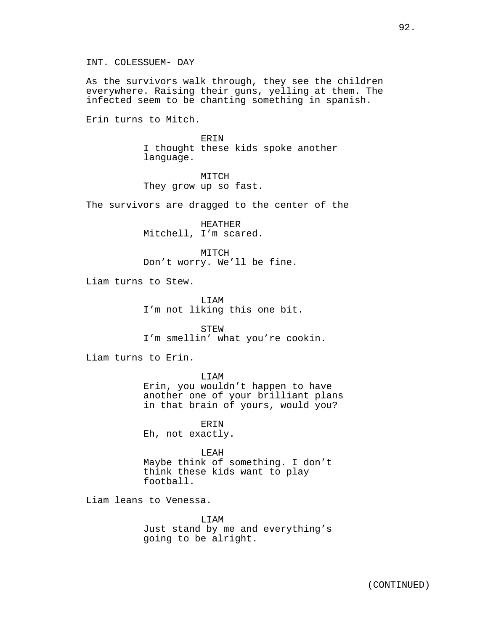As the survivors walk through, they see the children everywhere. Raising their guns, yelling at them. The infected seem to be chanting something in spanish.

Erin turns to Mitch.

ERIN I thought these kids spoke another language.

MITCH They grow up so fast.

The survivors are dragged to the center of the

HEATHER Mitchell, I'm scared.

MITCH Don't worry. We'll be fine.

Liam turns to Stew.

LIAM I'm not liking this one bit.

STEW I'm smellin' what you're cookin.

Liam turns to Erin.

LIAM Erin, you wouldn't happen to have another one of your brilliant plans in that brain of yours, would you?

ERIN Eh, not exactly.

LEAH Maybe think of something. I don't think these kids want to play football.

Liam leans to Venessa.

LIAM Just stand by me and everything's going to be alright.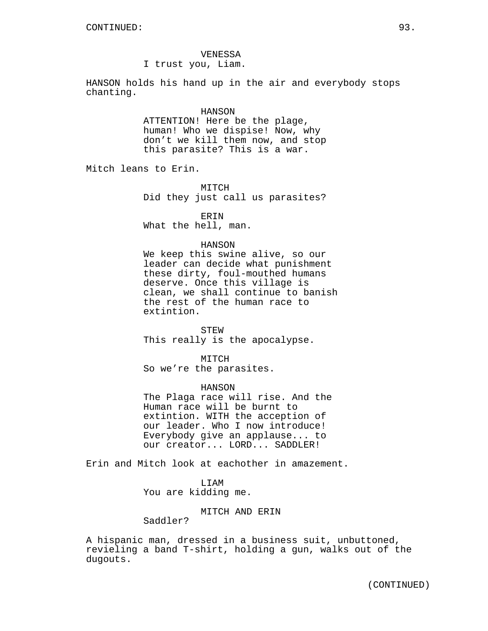## VENESSA I trust you, Liam.

HANSON holds his hand up in the air and everybody stops chanting.

#### HANSON

ATTENTION! Here be the plage, human! Who we dispise! Now, why don't we kill them now, and stop this parasite? This is a war.

Mitch leans to Erin.

MITCH Did they just call us parasites?

ERIN What the hell, man.

## HANSON

We keep this swine alive, so our leader can decide what punishment these dirty, foul-mouthed humans deserve. Once this village is clean, we shall continue to banish the rest of the human race to extintion.

STEW This really is the apocalypse.

MITCH So we're the parasites.

HANSON

The Plaga race will rise. And the Human race will be burnt to extintion. WITH the acception of our leader. Who I now introduce! Everybody give an applause... to our creator... LORD... SADDLER!

Erin and Mitch look at eachother in amazement.

LIAM You are kidding me.

MITCH AND ERIN

Saddler?

A hispanic man, dressed in a business suit, unbuttoned, revieling a band T-shirt, holding a gun, walks out of the dugouts.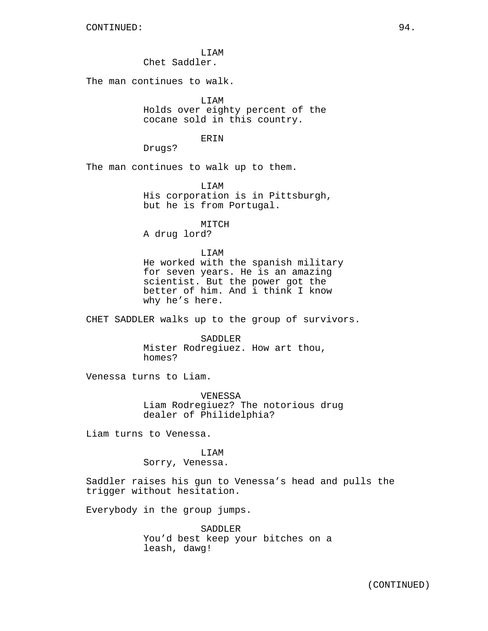LIAM Chet Saddler.

The man continues to walk.

LIAM Holds over eighty percent of the cocane sold in this country.

#### ERIN

Drugs?

The man continues to walk up to them.

LIAM His corporation is in Pittsburgh, but he is from Portugal.

MITCH A drug lord?

# LIAM

He worked with the spanish military for seven years. He is an amazing scientist. But the power got the better of him. And i think I know why he's here.

CHET SADDLER walks up to the group of survivors.

SADDLER Mister Rodregiuez. How art thou, homes?

Venessa turns to Liam.

VENESSA Liam Rodregiuez? The notorious drug dealer of Philidelphia?

Liam turns to Venessa.

# **T.TAM**

Sorry, Venessa.

Saddler raises his gun to Venessa's head and pulls the trigger without hesitation.

Everybody in the group jumps.

SADDLER You'd best keep your bitches on a leash, dawg!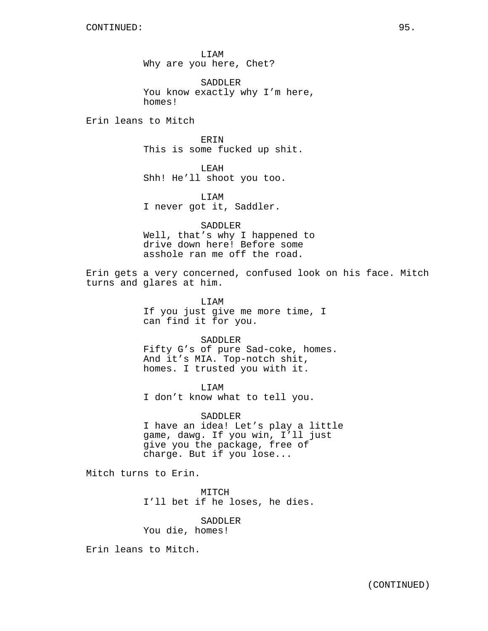LIAM Why are you here, Chet?

SADDLER You know exactly why I'm here, homes!

Erin leans to Mitch

ERIN This is some fucked up shit.

LEAH Shh! He'll shoot you too.

LIAM I never got it, Saddler.

SADDLER Well, that's why I happened to drive down here! Before some asshole ran me off the road.

Erin gets a very concerned, confused look on his face. Mitch turns and glares at him.

> LIAM If you just give me more time, I can find it for you.

> > SADDLER

Fifty G's of pure Sad-coke, homes. And it's MIA. Top-notch shit, homes. I trusted you with it.

LIAM I don't know what to tell you.

SADDLER I have an idea! Let's play a little game, dawg. If you win, I'll just give you the package, free of charge. But if you lose...

Mitch turns to Erin.

MITCH I'll bet if he loses, he dies.

SADDLER

You die, homes!

Erin leans to Mitch.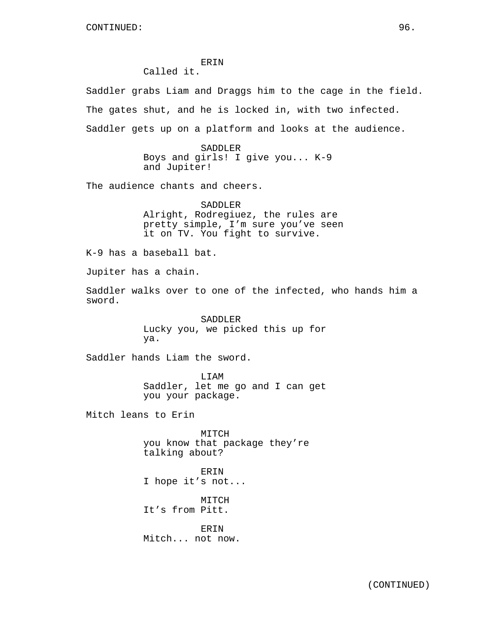ERIN Called it.

Saddler grabs Liam and Draggs him to the cage in the field. The gates shut, and he is locked in, with two infected. Saddler gets up on a platform and looks at the audience.

> SADDLER Boys and girls! I give you... K-9 and Jupiter!

The audience chants and cheers.

SADDLER Alright, Rodregiuez, the rules are pretty simple, I'm sure you've seen it on TV. You fight to survive.

K-9 has a baseball bat.

Jupiter has a chain.

Saddler walks over to one of the infected, who hands him a sword.

> SADDLER Lucky you, we picked this up for ya.

Saddler hands Liam the sword.

LIAM Saddler, let me go and I can get you your package.

Mitch leans to Erin

MITCH you know that package they're talking about?

ERIN I hope it's not...

MITCH It's from Pitt.

**ERIN** Mitch... not now.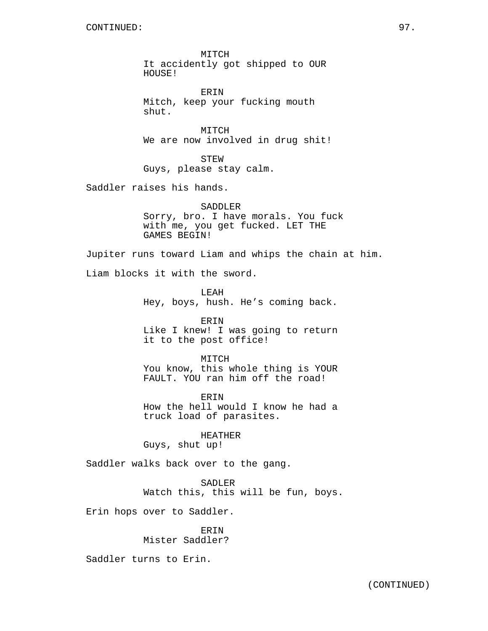MITCH It accidently got shipped to OUR HOUSE!

ERIN Mitch, keep your fucking mouth shut.

MITCH We are now involved in drug shit!

STEW Guys, please stay calm.

Saddler raises his hands.

SADDLER Sorry, bro. I have morals. You fuck with me, you get fucked. LET THE GAMES BEGIN!

Jupiter runs toward Liam and whips the chain at him.

Liam blocks it with the sword.

LEAH Hey, boys, hush. He's coming back.

ERIN Like I knew! I was going to return it to the post office!

MITCH You know, this whole thing is YOUR FAULT. YOU ran him off the road!

**ERIN** How the hell would I know he had a truck load of parasites.

HEATHER Guys, shut up!

Saddler walks back over to the gang.

SADLER

Watch this, this will be fun, boys.

Erin hops over to Saddler.

ERIN Mister Saddler?

Saddler turns to Erin.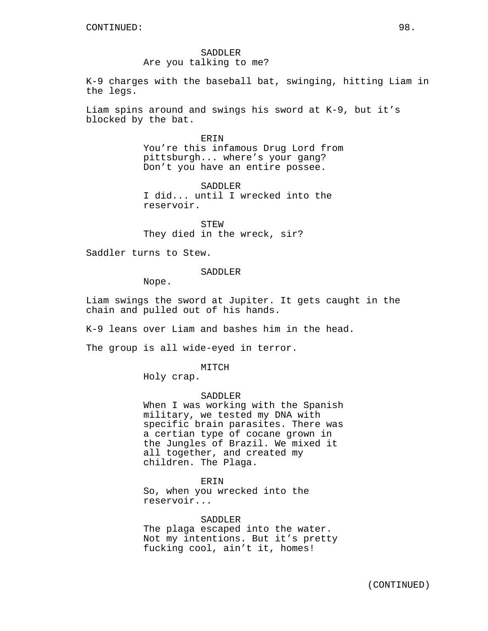SADDLER Are you talking to me?

K-9 charges with the baseball bat, swinging, hitting Liam in the legs.

Liam spins around and swings his sword at K-9, but it's blocked by the bat.

> ERIN You're this infamous Drug Lord from pittsburgh... where's your gang? Don't you have an entire possee.

SADDLER I did... until I wrecked into the reservoir.

STEW They died in the wreck, sir?

Saddler turns to Stew.

SADDLER

Nope.

Liam swings the sword at Jupiter. It gets caught in the chain and pulled out of his hands.

K-9 leans over Liam and bashes him in the head.

The group is all wide-eyed in terror.

MITCH

Holy crap.

#### SADDLER

When I was working with the Spanish military, we tested my DNA with specific brain parasites. There was a certian type of cocane grown in the Jungles of Brazil. We mixed it all together, and created my children. The Plaga.

ERIN

So, when you wrecked into the reservoir...

SADDLER The plaga escaped into the water. Not my intentions. But it's pretty fucking cool, ain't it, homes!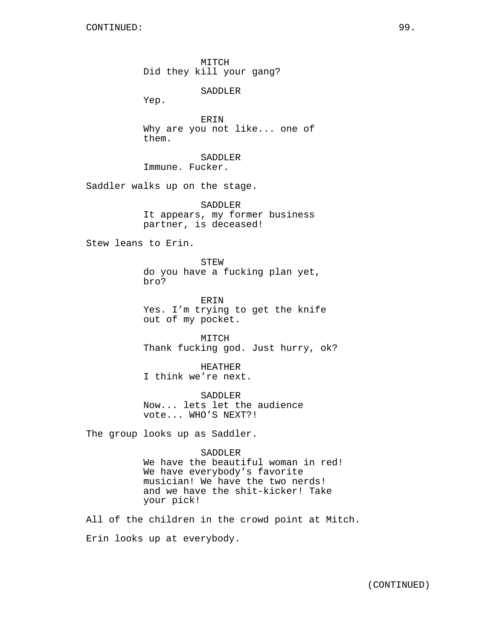MITCH Did they kill your gang?

SADDLER

Yep.

ERIN Why are you not like... one of them.

SADDLER Immune. Fucker.

Saddler walks up on the stage.

SADDLER It appears, my former business partner, is deceased!

Stew leans to Erin.

STEW do you have a fucking plan yet, bro?

ERIN Yes. I'm trying to get the knife out of my pocket.

MITCH Thank fucking god. Just hurry, ok?

HEATHER I think we're next.

SADDLER Now... lets let the audience vote... WHO'S NEXT?!

The group looks up as Saddler.

## SADDLER

We have the beautiful woman in red! We have everybody's favorite musician! We have the two nerds! and we have the shit-kicker! Take your pick!

All of the children in the crowd point at Mitch. Erin looks up at everybody.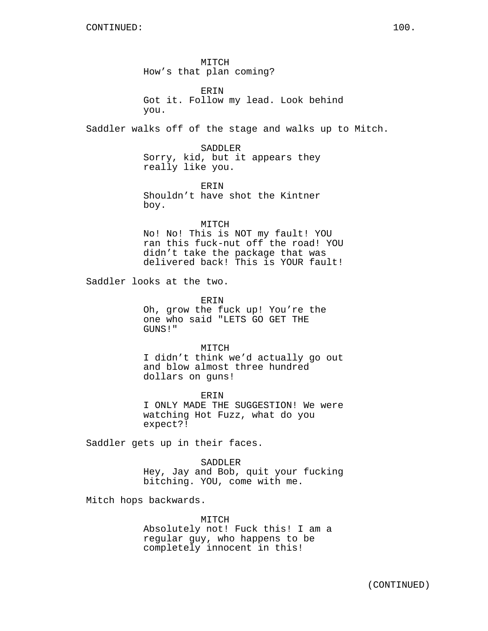MITCH How's that plan coming?

ERIN Got it. Follow my lead. Look behind you.

Saddler walks off of the stage and walks up to Mitch.

SADDLER Sorry, kid, but it appears they really like you.

ERIN Shouldn't have shot the Kintner boy.

MITCH No! No! This is NOT my fault! YOU ran this fuck-nut off the road! YOU didn't take the package that was delivered back! This is YOUR fault!

Saddler looks at the two.

ERIN Oh, grow the fuck up! You're the one who said "LETS GO GET THE GUNS!"

MITCH I didn't think we'd actually go out and blow almost three hundred dollars on guns!

ERIN I ONLY MADE THE SUGGESTION! We were watching Hot Fuzz, what do you expect?!

Saddler gets up in their faces.

SADDLER Hey, Jay and Bob, quit your fucking bitching. YOU, come with me.

Mitch hops backwards.

MITCH Absolutely not! Fuck this! I am a regular guy, who happens to be completely innocent in this!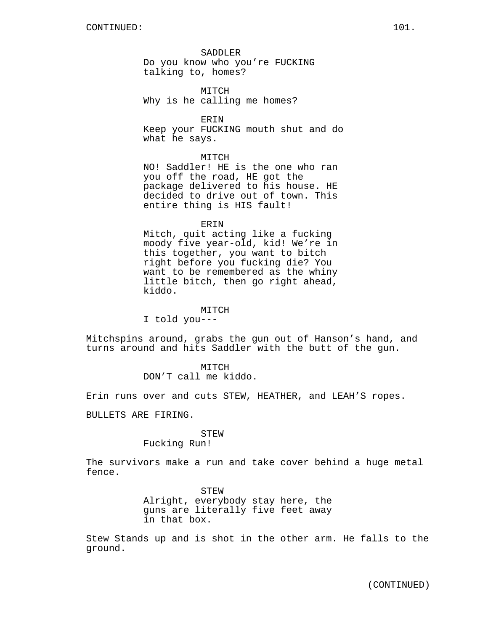SADDLER Do you know who you're FUCKING talking to, homes?

MITCH Why is he calling me homes?

ERIN

Keep your FUCKING mouth shut and do what he says.

## MITCH

NO! Saddler! HE is the one who ran you off the road, HE got the package delivered to his house. HE decided to drive out of town. This entire thing is HIS fault!

#### ERIN

Mitch, quit acting like a fucking moody five year-old, kid! We're in this together, you want to bitch right before you fucking die? You want to be remembered as the whiny little bitch, then go right ahead, kiddo.

#### MITCH

I told you---

Mitchspins around, grabs the gun out of Hanson's hand, and turns around and hits Saddler with the butt of the gun.

## MITCH

DON'T call me kiddo.

Erin runs over and cuts STEW, HEATHER, and LEAH'S ropes.

BULLETS ARE FIRING.

# STEW

Fucking Run!

The survivors make a run and take cover behind a huge metal fence.

> STEW Alright, everybody stay here, the guns are literally five feet away in that box.

Stew Stands up and is shot in the other arm. He falls to the ground.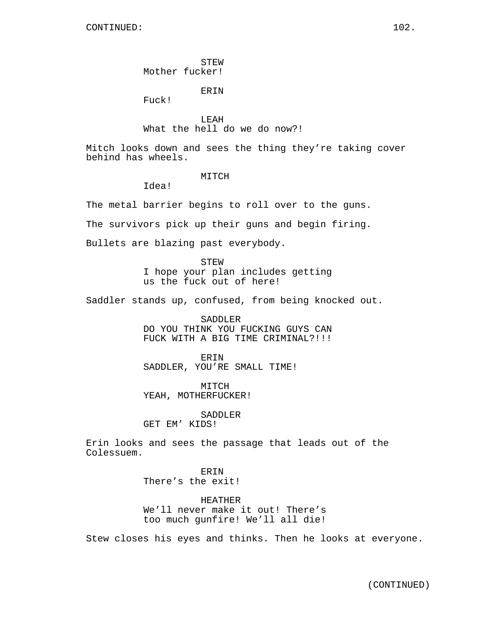Fuck!

LEAH What the hell do we do now?!

Mitch looks down and sees the thing they're taking cover behind has wheels.

## MITCH

Idea!

The metal barrier begins to roll over to the guns.

The survivors pick up their guns and begin firing.

Bullets are blazing past everybody.

STEW I hope your plan includes getting us the fuck out of here!

Saddler stands up, confused, from being knocked out.

SADDLER DO YOU THINK YOU FUCKING GUYS CAN FUCK WITH A BIG TIME CRIMINAL?!!!

ERIN SADDLER, YOU'RE SMALL TIME!

MITCH YEAH, MOTHERFUCKER!

SADDLER GET EM' KIDS!

Erin looks and sees the passage that leads out of the Colessuem.

> ERIN There's the exit!

HEATHER We'll never make it out! There's too much gunfire! We'll all die!

Stew closes his eyes and thinks. Then he looks at everyone.

(CONTINUED)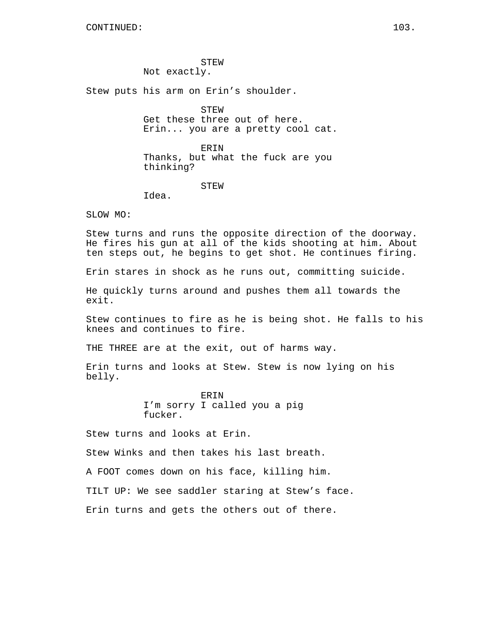STEW Not exactly.

Stew puts his arm on Erin's shoulder.

STEW

Get these three out of here. Erin... you are a pretty cool cat.

ERIN Thanks, but what the fuck are you thinking?

STEW

Idea.

SLOW MO:

Stew turns and runs the opposite direction of the doorway. He fires his gun at all of the kids shooting at him. About ten steps out, he begins to get shot. He continues firing.

Erin stares in shock as he runs out, committing suicide.

He quickly turns around and pushes them all towards the exit.

Stew continues to fire as he is being shot. He falls to his knees and continues to fire.

THE THREE are at the exit, out of harms way.

Erin turns and looks at Stew. Stew is now lying on his belly.

> ERIN I'm sorry I called you a pig fucker.

Stew turns and looks at Erin.

Stew Winks and then takes his last breath.

A FOOT comes down on his face, killing him.

TILT UP: We see saddler staring at Stew's face.

Erin turns and gets the others out of there.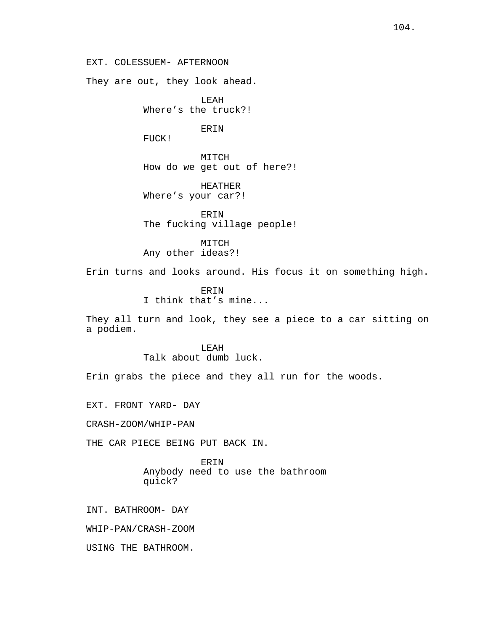EXT. COLESSUEM- AFTERNOON

They are out, they look ahead.

LEAH Where's the truck?!

**ERIN** 

FUCK!

MITCH How do we get out of here?!

HEATHER Where's your car?!

ERIN The fucking village people!

MITCH

Any other ideas?!

Erin turns and looks around. His focus it on something high.

ERIN I think that's mine...

They all turn and look, they see a piece to a car sitting on a podiem.

# LEAH Talk about dumb luck.

Erin grabs the piece and they all run for the woods.

EXT. FRONT YARD- DAY

CRASH-ZOOM/WHIP-PAN

THE CAR PIECE BEING PUT BACK IN.

ERIN Anybody need to use the bathroom quick?

INT. BATHROOM- DAY

WHIP-PAN/CRASH-ZOOM

USING THE BATHROOM.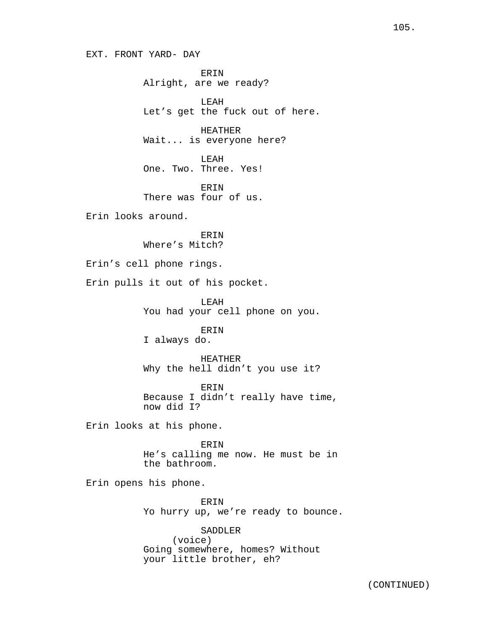EXT. FRONT YARD- DAY

ERIN Alright, are we ready?

LEAH Let's get the fuck out of here.

HEATHER Wait... is everyone here?

LEAH One. Two. Three. Yes!

ERIN There was four of us.

Erin looks around.

ERIN Where's Mitch?

Erin's cell phone rings.

Erin pulls it out of his pocket.

LEAH You had your cell phone on you.

ERIN I always do.

HEATHER Why the hell didn't you use it?

ERIN Because I didn't really have time, now did I?

Erin looks at his phone.

ERIN He's calling me now. He must be in the bathroom.

Erin opens his phone.

ERIN Yo hurry up, we're ready to bounce.

SADDLER (voice) Going somewhere, homes? Without your little brother, eh?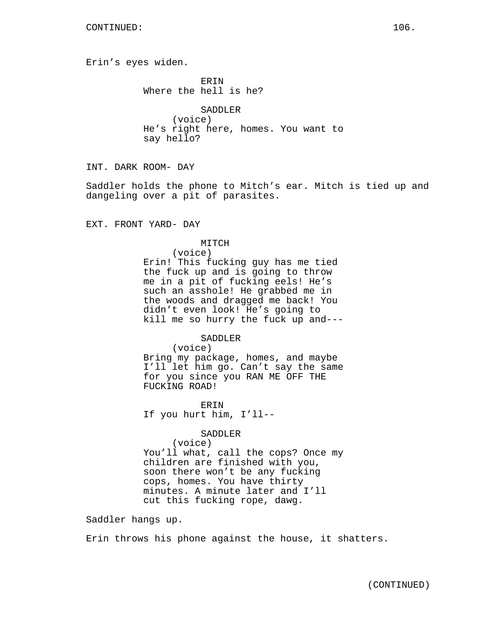Erin's eyes widen.

ERIN Where the hell is he?

SADDLER (voice) He's right here, homes. You want to say hello?

INT. DARK ROOM- DAY

Saddler holds the phone to Mitch's ear. Mitch is tied up and dangeling over a pit of parasites.

EXT. FRONT YARD- DAY

#### MITCH

(voice)

Erin! This fucking guy has me tied the fuck up and is going to throw me in a pit of fucking eels! He's such an asshole! He grabbed me in the woods and dragged me back! You didn't even look! He's going to kill me so hurry the fuck up and---

SADDLER

(voice)

Bring my package, homes, and maybe I'll let him go. Can't say the same for you since you RAN ME OFF THE FUCKING ROAD!

ERIN If you hurt him, I'll--

# SADDLER

(voice) You'll what, call the cops? Once my children are finished with you, soon there won't be any fucking cops, homes. You have thirty minutes. A minute later and I'll cut this fucking rope, dawg.

Saddler hangs up.

Erin throws his phone against the house, it shatters.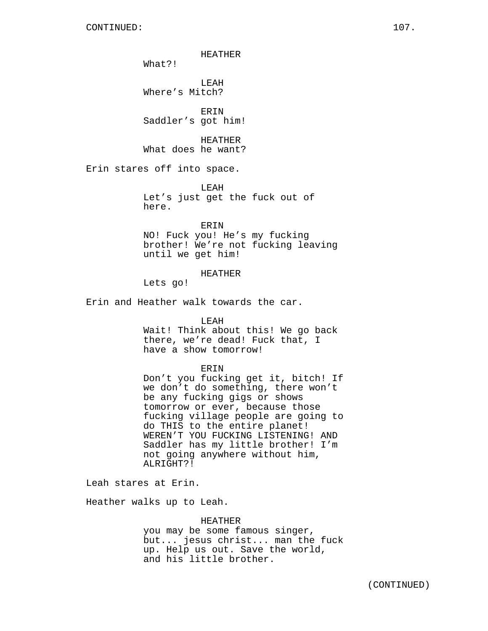HEATHER

What?!

LEAH Where's Mitch?

ERIN Saddler's got him!

HEATHER What does he want?

Erin stares off into space.

LEAH Let's just get the fuck out of here.

ERIN

NO! Fuck you! He's my fucking brother! We're not fucking leaving until we get him!

## HEATHER

Lets go!

Erin and Heather walk towards the car.

#### LEAH

Wait! Think about this! We go back there, we're dead! Fuck that, I have a show tomorrow!

#### ERIN

Don't you fucking get it, bitch! If we don't do something, there won't be any fucking gigs or shows tomorrow or ever, because those fucking village people are going to do THIS to the entire planet! WEREN'T YOU FUCKING LISTENING! AND Saddler has my little brother! I'm not going anywhere without him, ALRIGHT?!

Leah stares at Erin.

Heather walks up to Leah.

#### HEATHER

you may be some famous singer, but... jesus christ... man the fuck up. Help us out. Save the world, and his little brother.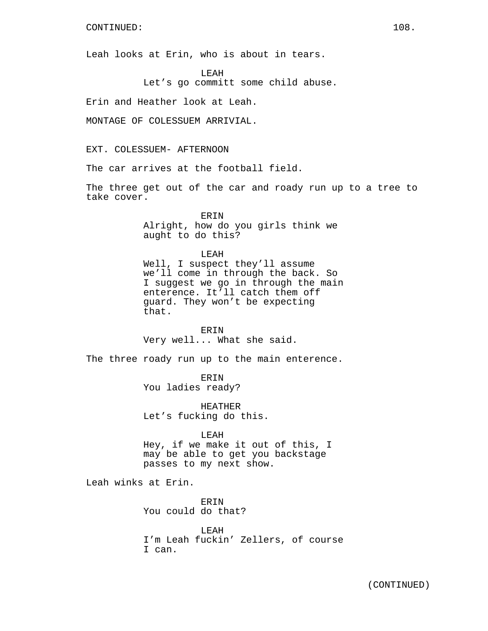Leah looks at Erin, who is about in tears.

LEAH

Let's go committ some child abuse.

Erin and Heather look at Leah.

MONTAGE OF COLESSUEM ARRIVIAL.

EXT. COLESSUEM- AFTERNOON

The car arrives at the football field.

The three get out of the car and roady run up to a tree to take cover.

> ERIN Alright, how do you girls think we aught to do this?

LEAH Well, I suspect they'll assume we'll come in through the back. So I suggest we go in through the main enterence. It'll catch them off guard. They won't be expecting that.

**ERIN** Very well... What she said.

The three roady run up to the main enterence.

ERIN You ladies ready?

HEATHER Let's fucking do this.

LEAH

Hey, if we make it out of this, I may be able to get you backstage passes to my next show.

Leah winks at Erin.

ERIN You could do that?

LEAH I'm Leah fuckin' Zellers, of course I can.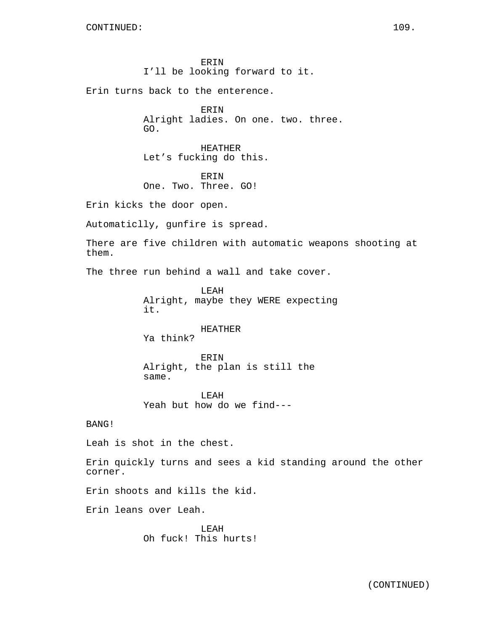ERIN I'll be looking forward to it.

Erin turns back to the enterence.

ERIN Alright ladies. On one. two. three. GO.

HEATHER Let's fucking do this.

ERIN One. Two. Three. GO!

Erin kicks the door open.

Automaticlly, gunfire is spread.

There are five children with automatic weapons shooting at them.

The three run behind a wall and take cover.

LEAH Alright, maybe they WERE expecting it.

# HEATHER

Ya think?

ERIN Alright, the plan is still the same.

LEAH Yeah but how do we find---

BANG!

Leah is shot in the chest.

Erin quickly turns and sees a kid standing around the other corner.

Erin shoots and kills the kid.

Erin leans over Leah.

LEAH Oh fuck! This hurts!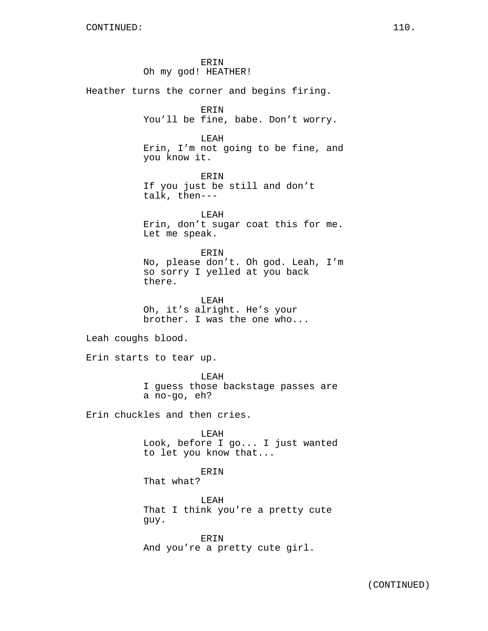ERIN Oh my god! HEATHER! Heather turns the corner and begins firing. ERIN You'll be fine, babe. Don't worry. LEAH Erin, I'm not going to be fine, and you know it. ERIN If you just be still and don't talk, then--- LEAH Erin, don't sugar coat this for me. Let me speak. ERIN No, please don't. Oh god. Leah, I'm so sorry I yelled at you back there. LEAH Oh, it's alright. He's your brother. I was the one who... Leah coughs blood. Erin starts to tear up. LEAH I guess those backstage passes are a no-go, eh? Erin chuckles and then cries. LEAH Look, before I go... I just wanted to let you know that... ERIN That what? LEAH That I think you're a pretty cute guy. ERIN And you're a pretty cute girl.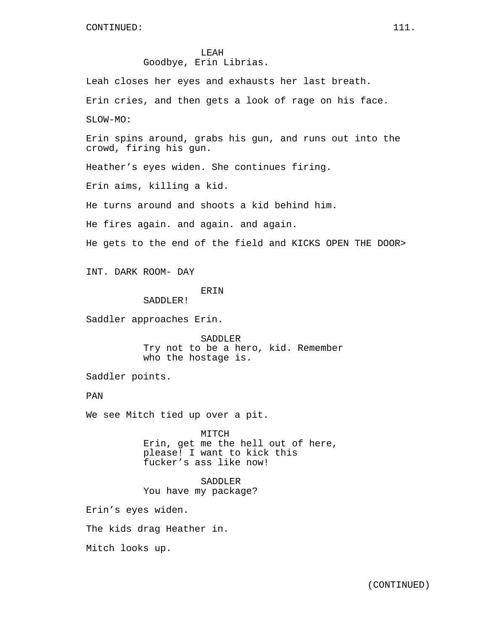LEAH Goodbye, Erin Librias.

Leah closes her eyes and exhausts her last breath. Erin cries, and then gets a look of rage on his face. SLOW-MO:

Erin spins around, grabs his gun, and runs out into the crowd, firing his gun.

Heather's eyes widen. She continues firing.

Erin aims, killing a kid.

He turns around and shoots a kid behind him.

He fires again. and again. and again.

He gets to the end of the field and KICKS OPEN THE DOOR>

INT. DARK ROOM- DAY

# **ERIN**

SADDLER!

Saddler approaches Erin.

SADDLER Try not to be a hero, kid. Remember who the hostage is.

Saddler points.

PAN

We see Mitch tied up over a pit.

MITCH

Erin, get me the hell out of here, please! I want to kick this fucker's ass like now!

SADDLER You have my package?

Erin's eyes widen.

The kids drag Heather in.

Mitch looks up.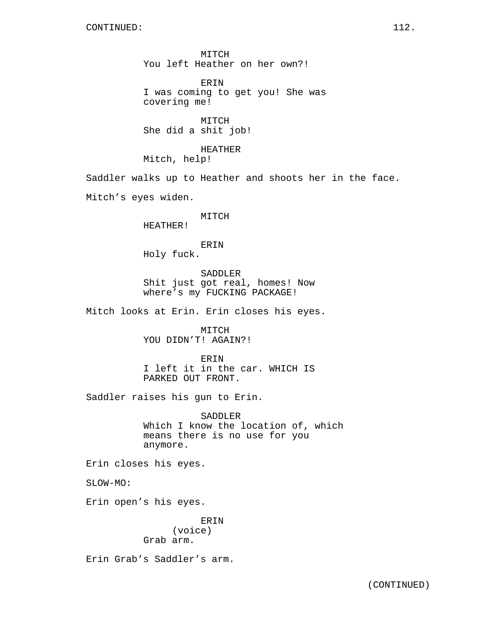MITCH You left Heather on her own?!

ERIN I was coming to get you! She was covering me!

MITCH She did a shit job!

HEATHER Mitch, help!

Saddler walks up to Heather and shoots her in the face.

Mitch's eyes widen.

#### MITCH

HEATHER!

## ERIN Holy fuck.

SADDLER Shit just got real, homes! Now where's my FUCKING PACKAGE!

Mitch looks at Erin. Erin closes his eyes.

MITCH YOU DIDN'T! AGAIN?!

ERIN I left it in the car. WHICH IS PARKED OUT FRONT.

Saddler raises his gun to Erin.

SADDLER Which I know the location of, which means there is no use for you anymore.

Erin closes his eyes.

SLOW-MO:

Erin open's his eyes.

ERIN (voice) Grab arm.

Erin Grab's Saddler's arm.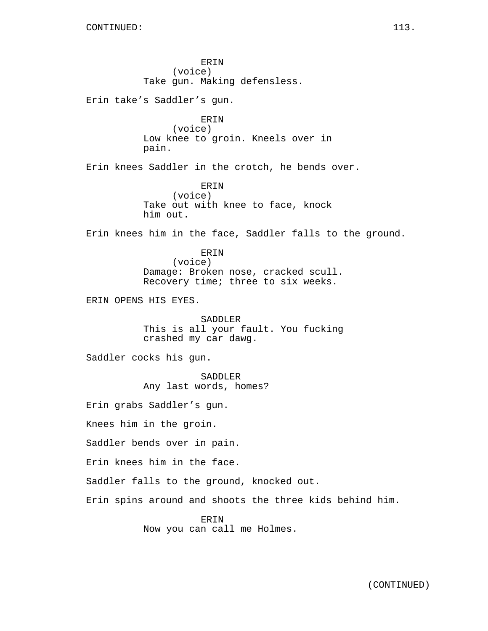ERIN (voice) Take gun. Making defensless. Erin take's Saddler's gun. ERIN (voice) Low knee to groin. Kneels over in pain. Erin knees Saddler in the crotch, he bends over. ERIN (voice) Take out with knee to face, knock him out. Erin knees him in the face, Saddler falls to the ground. ERIN (voice) Damage: Broken nose, cracked scull. Recovery time; three to six weeks. ERIN OPENS HIS EYES. SADDLER This is all your fault. You fucking crashed my car dawg. Saddler cocks his gun. SADDLER Any last words, homes? Erin grabs Saddler's gun. Knees him in the groin. Saddler bends over in pain. Erin knees him in the face. Saddler falls to the ground, knocked out. Erin spins around and shoots the three kids behind him. ERIN Now you can call me Holmes.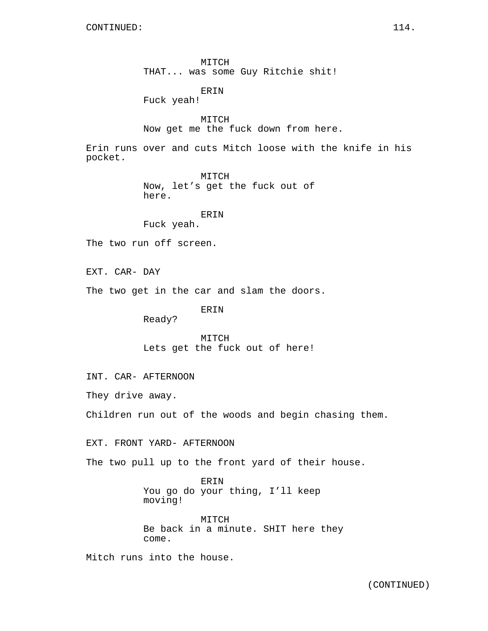MITCH THAT... was some Guy Ritchie shit!

ERIN Fuck yeah!

MITCH Now get me the fuck down from here.

Erin runs over and cuts Mitch loose with the knife in his pocket.

> MITCH Now, let's get the fuck out of here.

> > ERIN

Fuck yeah.

The two run off screen.

EXT. CAR- DAY

The two get in the car and slam the doors.

ERIN

Ready?

MITCH Lets get the fuck out of here!

INT. CAR- AFTERNOON

They drive away.

Children run out of the woods and begin chasing them.

EXT. FRONT YARD- AFTERNOON

The two pull up to the front yard of their house.

ERIN You go do your thing, I'll keep moving!

MITCH Be back in a minute. SHIT here they come.

Mitch runs into the house.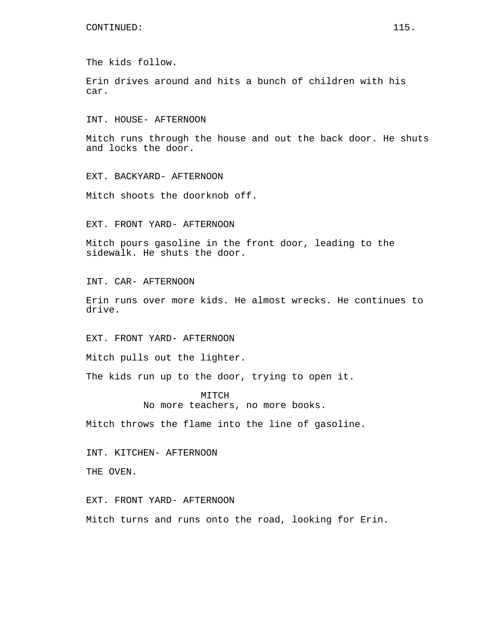The kids follow.

Erin drives around and hits a bunch of children with his car.

INT. HOUSE- AFTERNOON

Mitch runs through the house and out the back door. He shuts and locks the door.

EXT. BACKYARD- AFTERNOON

Mitch shoots the doorknob off.

EXT. FRONT YARD- AFTERNOON

Mitch pours gasoline in the front door, leading to the sidewalk. He shuts the door.

INT. CAR- AFTERNOON

Erin runs over more kids. He almost wrecks. He continues to drive.

EXT. FRONT YARD- AFTERNOON

Mitch pulls out the lighter.

The kids run up to the door, trying to open it.

MITCH No more teachers, no more books.

Mitch throws the flame into the line of gasoline.

INT. KITCHEN- AFTERNOON

THE OVEN.

EXT. FRONT YARD- AFTERNOON

Mitch turns and runs onto the road, looking for Erin.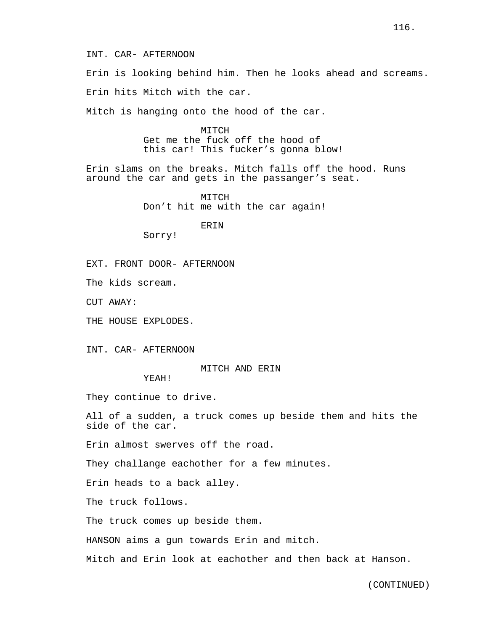Erin is looking behind him. Then he looks ahead and screams.

Erin hits Mitch with the car.

Mitch is hanging onto the hood of the car.

MITCH Get me the fuck off the hood of this car! This fucker's gonna blow!

Erin slams on the breaks. Mitch falls off the hood. Runs around the car and gets in the passanger's seat.

> MITCH Don't hit me with the car again!

> > ERIN

Sorry!

EXT. FRONT DOOR- AFTERNOON

The kids scream.

CUT AWAY:

THE HOUSE EXPLODES.

INT. CAR- AFTERNOON

MITCH AND ERIN

YEAH!

They continue to drive.

All of a sudden, a truck comes up beside them and hits the side of the car.

Erin almost swerves off the road.

They challange eachother for a few minutes.

Erin heads to a back alley.

The truck follows.

The truck comes up beside them.

HANSON aims a gun towards Erin and mitch.

Mitch and Erin look at eachother and then back at Hanson.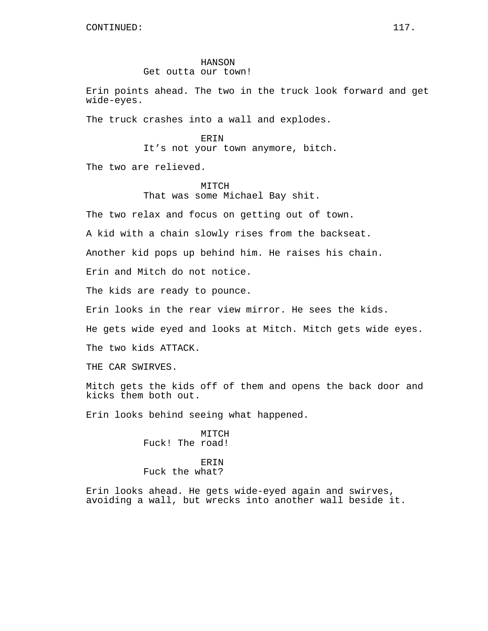#### HANSON

## Get outta our town!

Erin points ahead. The two in the truck look forward and get wide-eyes.

The truck crashes into a wall and explodes.

#### ERIN

It's not your town anymore, bitch.

The two are relieved.

## MITCH That was some Michael Bay shit.

The two relax and focus on getting out of town.

A kid with a chain slowly rises from the backseat.

Another kid pops up behind him. He raises his chain.

Erin and Mitch do not notice.

The kids are ready to pounce.

Erin looks in the rear view mirror. He sees the kids.

He gets wide eyed and looks at Mitch. Mitch gets wide eyes.

The two kids ATTACK.

THE CAR SWIRVES.

Mitch gets the kids off of them and opens the back door and kicks them both out.

Erin looks behind seeing what happened.

MITCH Fuck! The road!

## **ERIN** Fuck the what?

Erin looks ahead. He gets wide-eyed again and swirves, avoiding a wall, but wrecks into another wall beside it.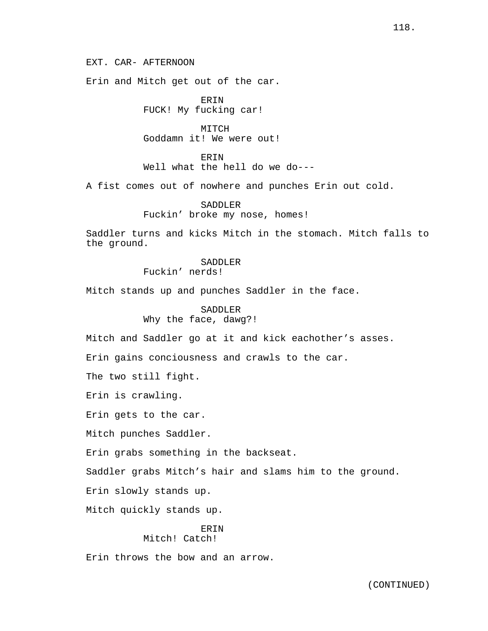EXT. CAR- AFTERNOON

Erin and Mitch get out of the car.

ERIN FUCK! My fucking car!

MITCH Goddamn it! We were out!

ERIN Well what the hell do we do---

A fist comes out of nowhere and punches Erin out cold.

SADDLER Fuckin' broke my nose, homes!

Saddler turns and kicks Mitch in the stomach. Mitch falls to the ground.

> SADDLER Fuckin' nerds!

Mitch stands up and punches Saddler in the face.

SADDLER Why the face, dawg?!

Mitch and Saddler go at it and kick eachother's asses.

Erin gains conciousness and crawls to the car.

The two still fight.

Erin is crawling.

Erin gets to the car.

Mitch punches Saddler.

Erin grabs something in the backseat.

Saddler grabs Mitch's hair and slams him to the ground.

Erin slowly stands up.

Mitch quickly stands up.

#### ERIN Mitch! Catch!

Erin throws the bow and an arrow.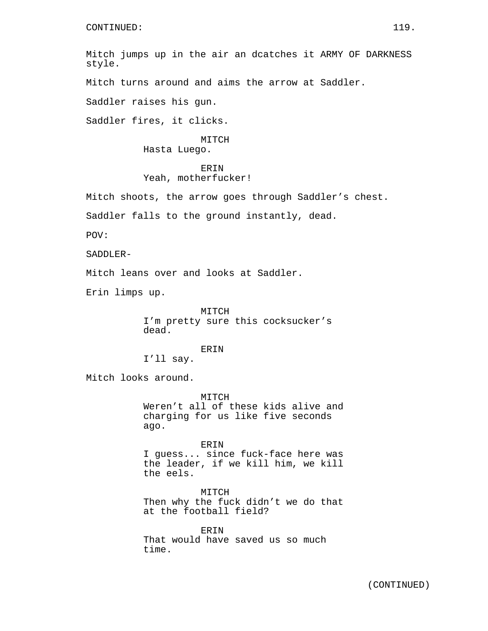Mitch jumps up in the air an dcatches it ARMY OF DARKNESS style.

Mitch turns around and aims the arrow at Saddler.

Saddler raises his gun.

Saddler fires, it clicks.

MITCH Hasta Luego.

# **ERIN**

### Yeah, motherfucker!

Mitch shoots, the arrow goes through Saddler's chest.

Saddler falls to the ground instantly, dead.

POV:

SADDLER-

Mitch leans over and looks at Saddler.

Erin limps up.

MITCH I'm pretty sure this cocksucker's dead.

### ERIN

I'll say.

Mitch looks around.

MITCH Weren't all of these kids alive and charging for us like five seconds ago.

ERIN I guess... since fuck-face here was the leader, if we kill him, we kill the eels.

MITCH Then why the fuck didn't we do that at the football field?

**ERIN** That would have saved us so much time.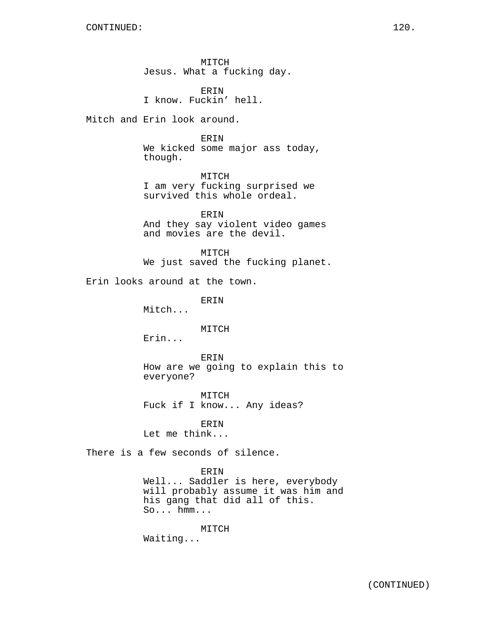MITCH Jesus. What a fucking day.

ERIN I know. Fuckin' hell.

Mitch and Erin look around.

#### ERIN

We kicked some major ass today, though.

MITCH I am very fucking surprised we survived this whole ordeal.

ERIN And they say violent video games and movies are the devil.

MITCH We just saved the fucking planet.

Erin looks around at the town.

ERIN

Mitch...

MITCH

Erin...

ERIN How are we going to explain this to everyone?

MITCH Fuck if I know... Any ideas?

ERIN Let me think...

There is a few seconds of silence.

#### ERIN

Well... Saddler is here, everybody will probably assume it was him and his gang that did all of this. So... hmm...

MITCH

Waiting...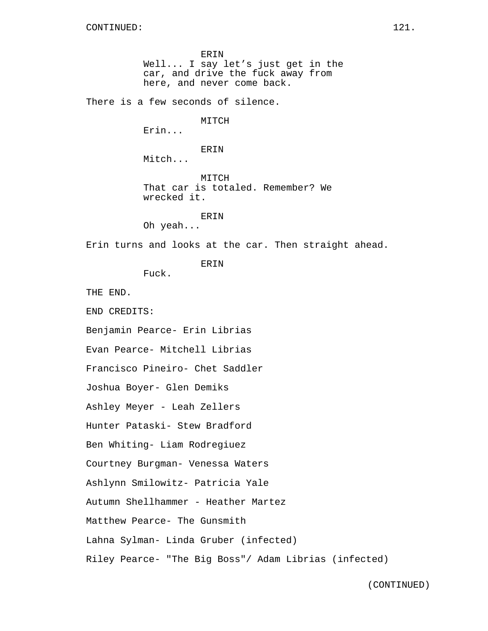ERIN Well... I say let's just get in the car, and drive the fuck away from here, and never come back. There is a few seconds of silence. MITCH Erin... ERIN Mitch... MITCH That car is totaled. Remember? We wrecked it. ERIN Oh yeah... Erin turns and looks at the car. Then straight ahead. ERIN Fuck. THE END. END CREDITS: Benjamin Pearce- Erin Librias Evan Pearce- Mitchell Librias Francisco Pineiro- Chet Saddler Joshua Boyer- Glen Demiks Ashley Meyer - Leah Zellers Hunter Pataski- Stew Bradford Ben Whiting- Liam Rodregiuez Courtney Burgman- Venessa Waters Ashlynn Smilowitz- Patricia Yale Autumn Shellhammer - Heather Martez Matthew Pearce- The Gunsmith Lahna Sylman- Linda Gruber (infected) Riley Pearce- "The Big Boss"/ Adam Librias (infected)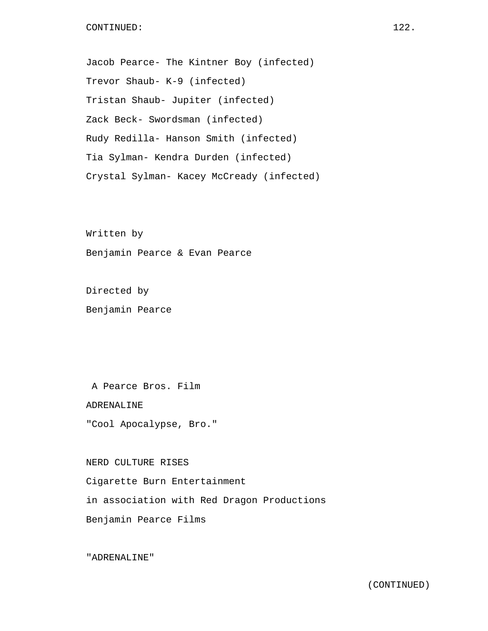# CONTINUED: 122.

Jacob Pearce- The Kintner Boy (infected) Trevor Shaub- K-9 (infected) Tristan Shaub- Jupiter (infected) Zack Beck- Swordsman (infected) Rudy Redilla- Hanson Smith (infected) Tia Sylman- Kendra Durden (infected) Crystal Sylman- Kacey McCready (infected)

Written by Benjamin Pearce & Evan Pearce

Directed by Benjamin Pearce

A Pearce Bros. Film

ADRENALINE

"Cool Apocalypse, Bro."

NERD CULTURE RISES Cigarette Burn Entertainment in association with Red Dragon Productions Benjamin Pearce Films

"ADRENALINE"